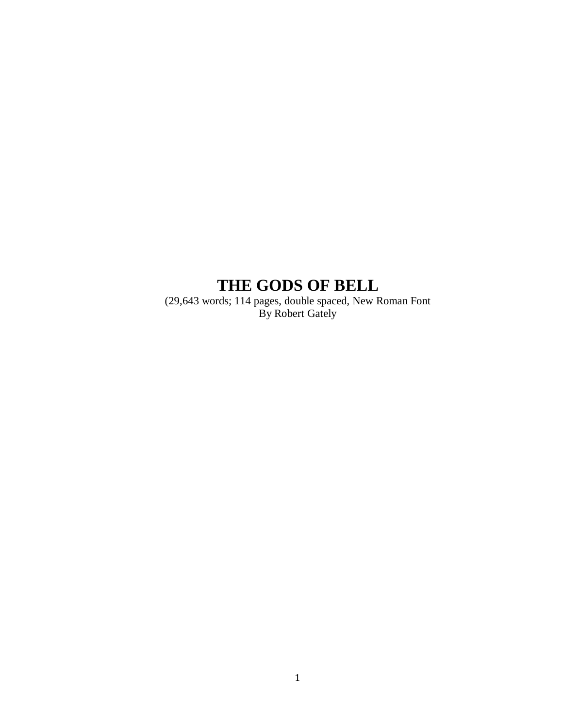# **THE GODS OF BELL**

(29,643 words; 114 pages, double spaced, New Roman Font By Robert Gately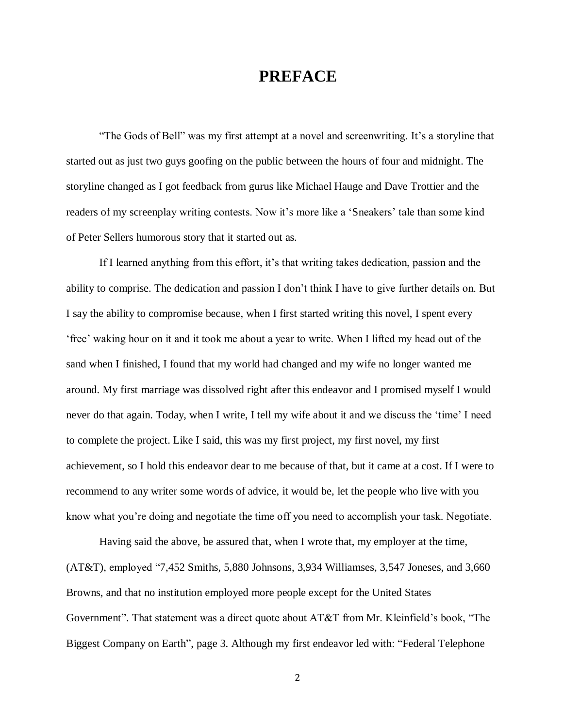# **PREFACE**

"The Gods of Bell" was my first attempt at a novel and screenwriting. It's a storyline that started out as just two guys goofing on the public between the hours of four and midnight. The storyline changed as I got feedback from gurus like Michael Hauge and Dave Trottier and the readers of my screenplay writing contests. Now it's more like a 'Sneakers' tale than some kind of Peter Sellers humorous story that it started out as.

If I learned anything from this effort, it's that writing takes dedication, passion and the ability to comprise. The dedication and passion I don't think I have to give further details on. But I say the ability to compromise because, when I first started writing this novel, I spent every 'free' waking hour on it and it took me about a year to write. When I lifted my head out of the sand when I finished, I found that my world had changed and my wife no longer wanted me around. My first marriage was dissolved right after this endeavor and I promised myself I would never do that again. Today, when I write, I tell my wife about it and we discuss the 'time' I need to complete the project. Like I said, this was my first project, my first novel, my first achievement, so I hold this endeavor dear to me because of that, but it came at a cost. If I were to recommend to any writer some words of advice, it would be, let the people who live with you know what you're doing and negotiate the time off you need to accomplish your task. Negotiate.

Having said the above, be assured that, when I wrote that, my employer at the time, (AT&T), employed "7,452 Smiths, 5,880 Johnsons, 3,934 Williamses, 3,547 Joneses, and 3,660 Browns, and that no institution employed more people except for the United States Government". That statement was a direct quote about AT&T from Mr. Kleinfield's book, "The Biggest Company on Earth", page 3. Although my first endeavor led with: "Federal Telephone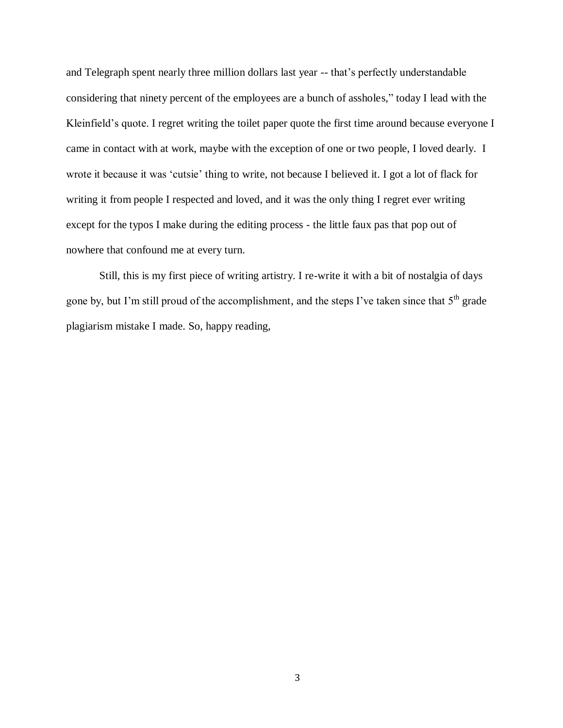and Telegraph spent nearly three million dollars last year -- that's perfectly understandable considering that ninety percent of the employees are a bunch of assholes," today I lead with the Kleinfield's quote. I regret writing the toilet paper quote the first time around because everyone I came in contact with at work, maybe with the exception of one or two people, I loved dearly. I wrote it because it was 'cutsie' thing to write, not because I believed it. I got a lot of flack for writing it from people I respected and loved, and it was the only thing I regret ever writing except for the typos I make during the editing process - the little faux pas that pop out of nowhere that confound me at every turn.

Still, this is my first piece of writing artistry. I re-write it with a bit of nostalgia of days gone by, but I'm still proud of the accomplishment, and the steps I've taken since that 5<sup>th</sup> grade plagiarism mistake I made. So, happy reading,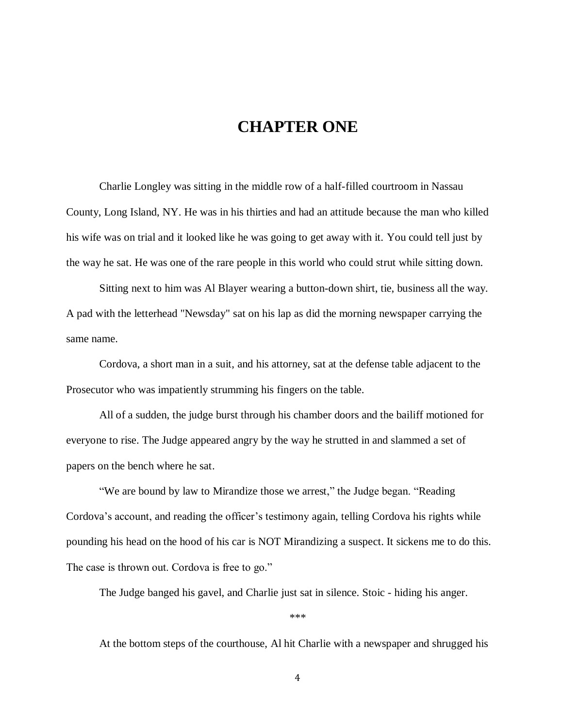### **CHAPTER ONE**

Charlie Longley was sitting in the middle row of a half-filled courtroom in Nassau County, Long Island, NY. He was in his thirties and had an attitude because the man who killed his wife was on trial and it looked like he was going to get away with it. You could tell just by the way he sat. He was one of the rare people in this world who could strut while sitting down.

Sitting next to him was Al Blayer wearing a button-down shirt, tie, business all the way. A pad with the letterhead "Newsday" sat on his lap as did the morning newspaper carrying the same name.

Cordova, a short man in a suit, and his attorney, sat at the defense table adjacent to the Prosecutor who was impatiently strumming his fingers on the table.

All of a sudden, the judge burst through his chamber doors and the bailiff motioned for everyone to rise. The Judge appeared angry by the way he strutted in and slammed a set of papers on the bench where he sat.

"We are bound by law to Mirandize those we arrest," the Judge began. "Reading Cordova's account, and reading the officer's testimony again, telling Cordova his rights while pounding his head on the hood of his car is NOT Mirandizing a suspect. It sickens me to do this. The case is thrown out. Cordova is free to go."

The Judge banged his gavel, and Charlie just sat in silence. Stoic - hiding his anger.

\*\*\*

At the bottom steps of the courthouse, Al hit Charlie with a newspaper and shrugged his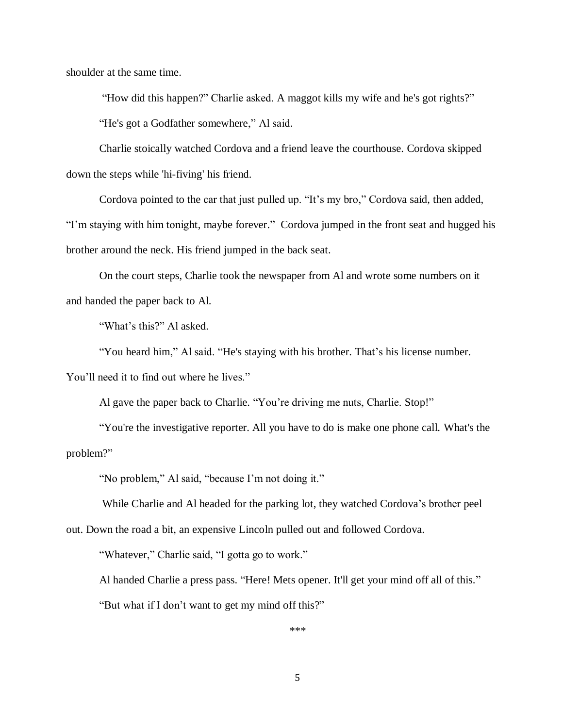shoulder at the same time.

"How did this happen?" Charlie asked. A maggot kills my wife and he's got rights?" "He's got a Godfather somewhere," Al said.

Charlie stoically watched Cordova and a friend leave the courthouse. Cordova skipped down the steps while 'hi-fiving' his friend.

Cordova pointed to the car that just pulled up. "It's my bro," Cordova said, then added,

"I'm staying with him tonight, maybe forever." Cordova jumped in the front seat and hugged his brother around the neck. His friend jumped in the back seat.

On the court steps, Charlie took the newspaper from Al and wrote some numbers on it and handed the paper back to Al.

"What's this?" Al asked.

"You heard him," Al said. "He's staying with his brother. That's his license number.

You'll need it to find out where he lives."

Al gave the paper back to Charlie. "You're driving me nuts, Charlie. Stop!"

"You're the investigative reporter. All you have to do is make one phone call. What's the problem?"

"No problem," Al said, "because I'm not doing it."

While Charlie and Al headed for the parking lot, they watched Cordova's brother peel

out. Down the road a bit, an expensive Lincoln pulled out and followed Cordova.

"Whatever," Charlie said, "I gotta go to work."

Al handed Charlie a press pass. "Here! Mets opener. It'll get your mind off all of this."

"But what if I don't want to get my mind off this?"

\*\*\*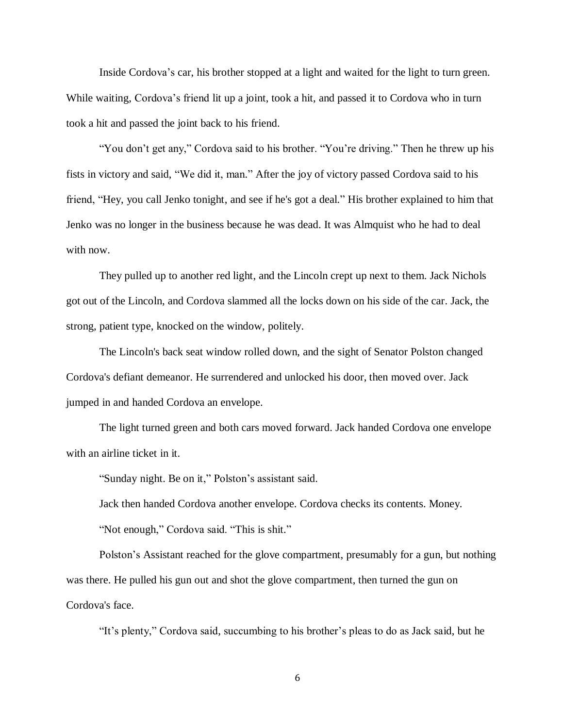Inside Cordova's car, his brother stopped at a light and waited for the light to turn green. While waiting, Cordova's friend lit up a joint, took a hit, and passed it to Cordova who in turn took a hit and passed the joint back to his friend.

"You don't get any," Cordova said to his brother. "You're driving." Then he threw up his fists in victory and said, "We did it, man." After the joy of victory passed Cordova said to his friend, "Hey, you call Jenko tonight, and see if he's got a deal." His brother explained to him that Jenko was no longer in the business because he was dead. It was Almquist who he had to deal with now.

They pulled up to another red light, and the Lincoln crept up next to them. Jack Nichols got out of the Lincoln, and Cordova slammed all the locks down on his side of the car. Jack, the strong, patient type, knocked on the window, politely.

The Lincoln's back seat window rolled down, and the sight of Senator Polston changed Cordova's defiant demeanor. He surrendered and unlocked his door, then moved over. Jack jumped in and handed Cordova an envelope.

The light turned green and both cars moved forward. Jack handed Cordova one envelope with an airline ticket in it.

"Sunday night. Be on it," Polston's assistant said.

Jack then handed Cordova another envelope. Cordova checks its contents. Money.

"Not enough," Cordova said. "This is shit."

Polston's Assistant reached for the glove compartment, presumably for a gun, but nothing was there. He pulled his gun out and shot the glove compartment, then turned the gun on Cordova's face.

"It's plenty," Cordova said, succumbing to his brother's pleas to do as Jack said, but he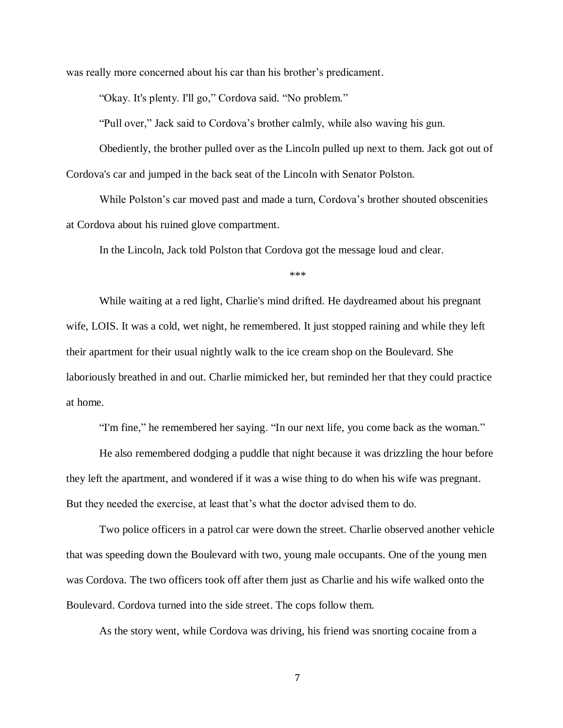was really more concerned about his car than his brother's predicament.

"Okay. It's plenty. I'll go," Cordova said. "No problem."

"Pull over," Jack said to Cordova's brother calmly, while also waving his gun.

Obediently, the brother pulled over as the Lincoln pulled up next to them. Jack got out of Cordova's car and jumped in the back seat of the Lincoln with Senator Polston.

While Polston's car moved past and made a turn, Cordova's brother shouted obscenities at Cordova about his ruined glove compartment.

In the Lincoln, Jack told Polston that Cordova got the message loud and clear.

\*\*\*

While waiting at a red light, Charlie's mind drifted. He daydreamed about his pregnant wife, LOIS. It was a cold, wet night, he remembered. It just stopped raining and while they left their apartment for their usual nightly walk to the ice cream shop on the Boulevard. She laboriously breathed in and out. Charlie mimicked her, but reminded her that they could practice at home.

"I'm fine," he remembered her saying. "In our next life, you come back as the woman."

He also remembered dodging a puddle that night because it was drizzling the hour before they left the apartment, and wondered if it was a wise thing to do when his wife was pregnant. But they needed the exercise, at least that's what the doctor advised them to do.

Two police officers in a patrol car were down the street. Charlie observed another vehicle that was speeding down the Boulevard with two, young male occupants. One of the young men was Cordova. The two officers took off after them just as Charlie and his wife walked onto the Boulevard. Cordova turned into the side street. The cops follow them.

As the story went, while Cordova was driving, his friend was snorting cocaine from a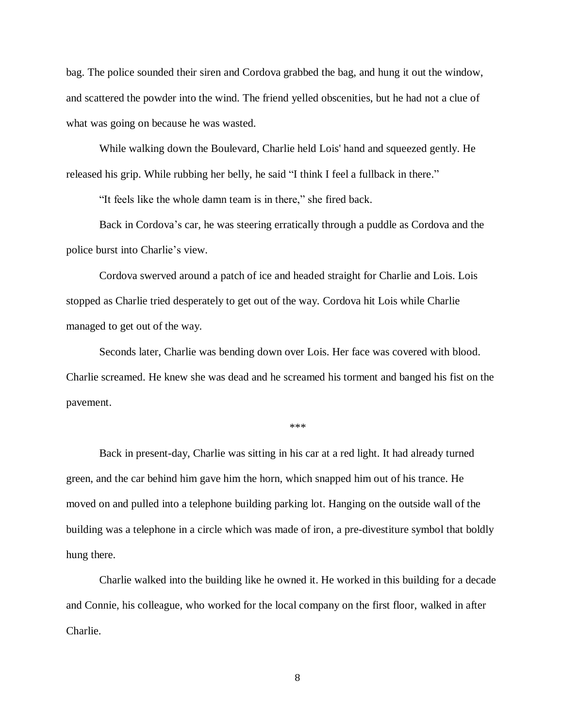bag. The police sounded their siren and Cordova grabbed the bag, and hung it out the window, and scattered the powder into the wind. The friend yelled obscenities, but he had not a clue of what was going on because he was wasted.

While walking down the Boulevard, Charlie held Lois' hand and squeezed gently. He released his grip. While rubbing her belly, he said "I think I feel a fullback in there."

"It feels like the whole damn team is in there," she fired back.

Back in Cordova's car, he was steering erratically through a puddle as Cordova and the police burst into Charlie's view.

Cordova swerved around a patch of ice and headed straight for Charlie and Lois. Lois stopped as Charlie tried desperately to get out of the way. Cordova hit Lois while Charlie managed to get out of the way.

Seconds later, Charlie was bending down over Lois. Her face was covered with blood. Charlie screamed. He knew she was dead and he screamed his torment and banged his fist on the pavement.

\*\*\*

Back in present-day, Charlie was sitting in his car at a red light. It had already turned green, and the car behind him gave him the horn, which snapped him out of his trance. He moved on and pulled into a telephone building parking lot. Hanging on the outside wall of the building was a telephone in a circle which was made of iron, a pre-divestiture symbol that boldly hung there.

Charlie walked into the building like he owned it. He worked in this building for a decade and Connie, his colleague, who worked for the local company on the first floor, walked in after Charlie.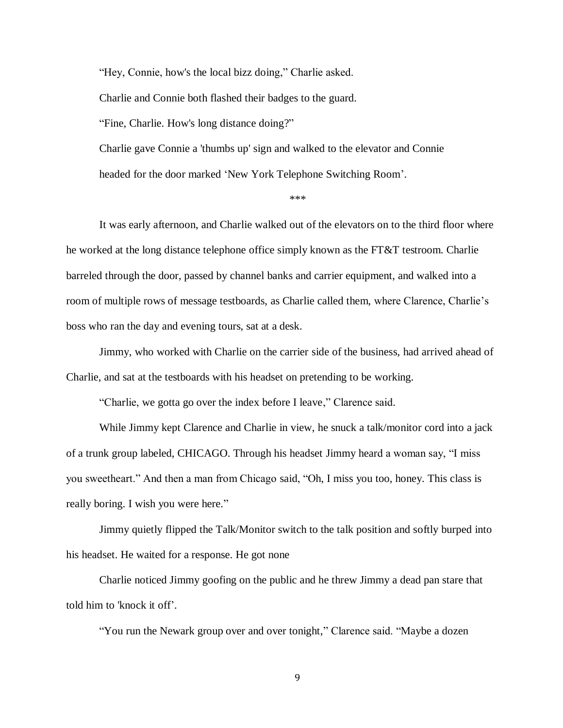"Hey, Connie, how's the local bizz doing," Charlie asked. Charlie and Connie both flashed their badges to the guard. "Fine, Charlie. How's long distance doing?" Charlie gave Connie a 'thumbs up' sign and walked to the elevator and Connie

headed for the door marked 'New York Telephone Switching Room'.

\*\*\*

It was early afternoon, and Charlie walked out of the elevators on to the third floor where he worked at the long distance telephone office simply known as the FT&T testroom. Charlie barreled through the door, passed by channel banks and carrier equipment, and walked into a room of multiple rows of message testboards, as Charlie called them, where Clarence, Charlie's boss who ran the day and evening tours, sat at a desk.

Jimmy, who worked with Charlie on the carrier side of the business, had arrived ahead of Charlie, and sat at the testboards with his headset on pretending to be working.

"Charlie, we gotta go over the index before I leave," Clarence said.

While Jimmy kept Clarence and Charlie in view, he snuck a talk/monitor cord into a jack of a trunk group labeled, CHICAGO. Through his headset Jimmy heard a woman say, "I miss you sweetheart." And then a man from Chicago said, "Oh, I miss you too, honey. This class is really boring. I wish you were here."

Jimmy quietly flipped the Talk/Monitor switch to the talk position and softly burped into his headset. He waited for a response. He got none

Charlie noticed Jimmy goofing on the public and he threw Jimmy a dead pan stare that told him to 'knock it off'.

"You run the Newark group over and over tonight," Clarence said. "Maybe a dozen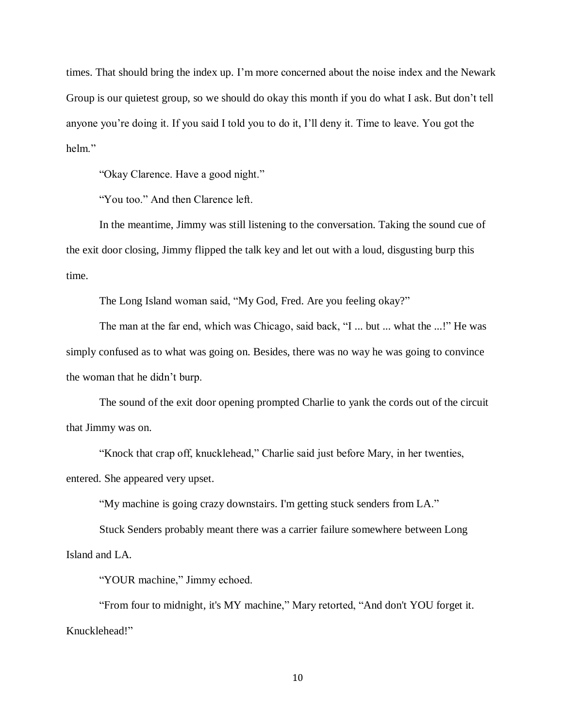times. That should bring the index up. I'm more concerned about the noise index and the Newark Group is our quietest group, so we should do okay this month if you do what I ask. But don't tell anyone you're doing it. If you said I told you to do it, I'll deny it. Time to leave. You got the helm."

"Okay Clarence. Have a good night."

"You too." And then Clarence left.

In the meantime, Jimmy was still listening to the conversation. Taking the sound cue of the exit door closing, Jimmy flipped the talk key and let out with a loud, disgusting burp this time.

The Long Island woman said, "My God, Fred. Are you feeling okay?"

The man at the far end, which was Chicago, said back, "I ... but ... what the ...!" He was simply confused as to what was going on. Besides, there was no way he was going to convince the woman that he didn't burp.

The sound of the exit door opening prompted Charlie to yank the cords out of the circuit that Jimmy was on.

"Knock that crap off, knucklehead," Charlie said just before Mary, in her twenties, entered. She appeared very upset.

"My machine is going crazy downstairs. I'm getting stuck senders from LA."

Stuck Senders probably meant there was a carrier failure somewhere between Long Island and LA.

"YOUR machine," Jimmy echoed.

"From four to midnight, it's MY machine," Mary retorted, "And don't YOU forget it. Knucklehead!"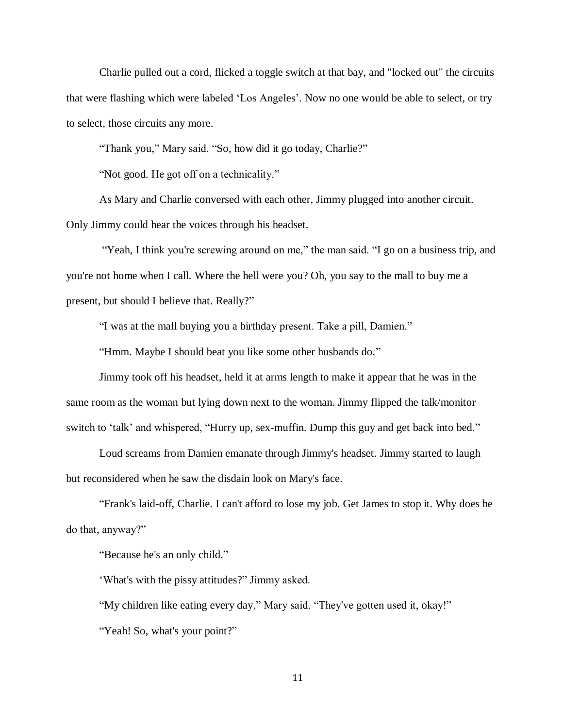Charlie pulled out a cord, flicked a toggle switch at that bay, and "locked out" the circuits that were flashing which were labeled 'Los Angeles'. Now no one would be able to select, or try to select, those circuits any more.

"Thank you," Mary said. "So, how did it go today, Charlie?"

"Not good. He got off on a technicality."

As Mary and Charlie conversed with each other, Jimmy plugged into another circuit. Only Jimmy could hear the voices through his headset.

"Yeah, I think you're screwing around on me," the man said. "I go on a business trip, and you're not home when I call. Where the hell were you? Oh, you say to the mall to buy me a present, but should I believe that. Really?"

"I was at the mall buying you a birthday present. Take a pill, Damien."

"Hmm. Maybe I should beat you like some other husbands do."

Jimmy took off his headset, held it at arms length to make it appear that he was in the same room as the woman but lying down next to the woman. Jimmy flipped the talk/monitor switch to 'talk' and whispered, "Hurry up, sex-muffin. Dump this guy and get back into bed."

Loud screams from Damien emanate through Jimmy's headset. Jimmy started to laugh but reconsidered when he saw the disdain look on Mary's face.

"Frank's laid-off, Charlie. I can't afford to lose my job. Get James to stop it. Why does he do that, anyway?"

"Because he's an only child."

'What's with the pissy attitudes?" Jimmy asked.

"My children like eating every day," Mary said. "They've gotten used it, okay!"

"Yeah! So, what's your point?"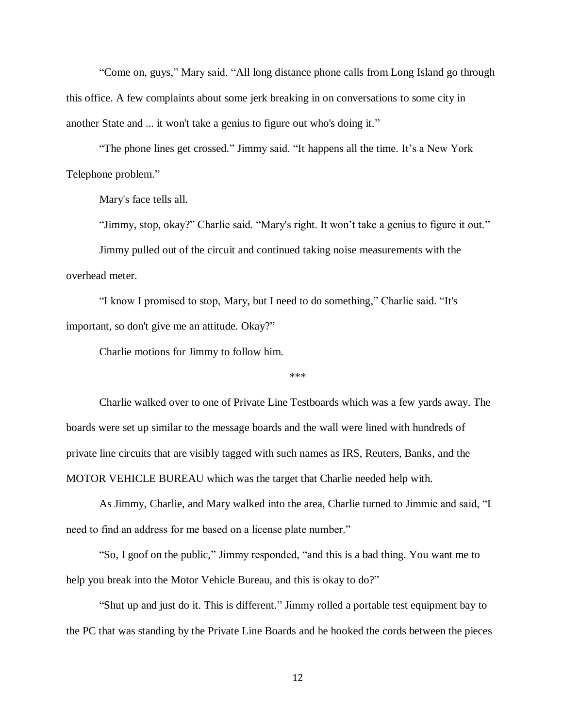"Come on, guys," Mary said. "All long distance phone calls from Long Island go through this office. A few complaints about some jerk breaking in on conversations to some city in another State and ... it won't take a genius to figure out who's doing it."

"The phone lines get crossed." Jimmy said. "It happens all the time. It's a New York Telephone problem."

Mary's face tells all.

"Jimmy, stop, okay?" Charlie said. "Mary's right. It won't take a genius to figure it out."

Jimmy pulled out of the circuit and continued taking noise measurements with the overhead meter.

"I know I promised to stop, Mary, but I need to do something," Charlie said. "It's important, so don't give me an attitude. Okay?"

Charlie motions for Jimmy to follow him.

\*\*\*

Charlie walked over to one of Private Line Testboards which was a few yards away. The boards were set up similar to the message boards and the wall were lined with hundreds of private line circuits that are visibly tagged with such names as IRS, Reuters, Banks, and the MOTOR VEHICLE BUREAU which was the target that Charlie needed help with.

As Jimmy, Charlie, and Mary walked into the area, Charlie turned to Jimmie and said, "I need to find an address for me based on a license plate number."

"So, I goof on the public," Jimmy responded, "and this is a bad thing. You want me to help you break into the Motor Vehicle Bureau, and this is okay to do?"

"Shut up and just do it. This is different." Jimmy rolled a portable test equipment bay to the PC that was standing by the Private Line Boards and he hooked the cords between the pieces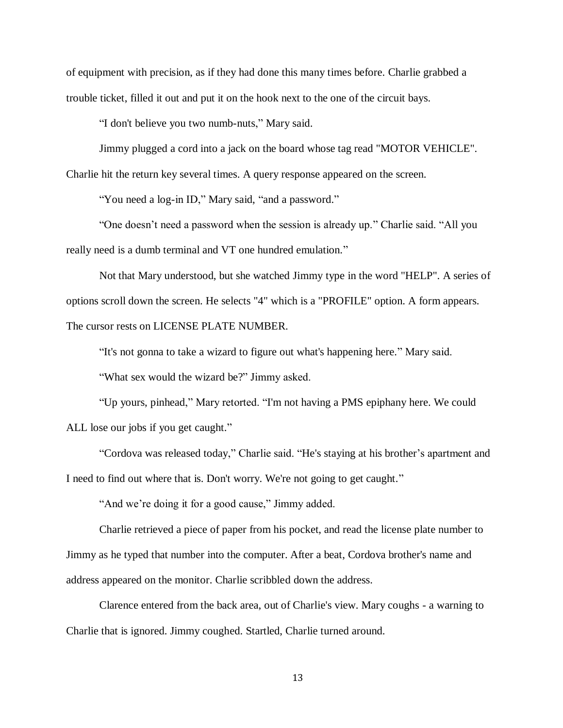of equipment with precision, as if they had done this many times before. Charlie grabbed a trouble ticket, filled it out and put it on the hook next to the one of the circuit bays.

"I don't believe you two numb-nuts," Mary said.

Jimmy plugged a cord into a jack on the board whose tag read "MOTOR VEHICLE". Charlie hit the return key several times. A query response appeared on the screen.

"You need a log-in ID," Mary said, "and a password."

"One doesn't need a password when the session is already up." Charlie said. "All you really need is a dumb terminal and VT one hundred emulation."

Not that Mary understood, but she watched Jimmy type in the word "HELP". A series of options scroll down the screen. He selects "4" which is a "PROFILE" option. A form appears. The cursor rests on LICENSE PLATE NUMBER.

"It's not gonna to take a wizard to figure out what's happening here." Mary said.

"What sex would the wizard be?" Jimmy asked.

"Up yours, pinhead," Mary retorted. "I'm not having a PMS epiphany here. We could ALL lose our jobs if you get caught."

"Cordova was released today," Charlie said. "He's staying at his brother's apartment and I need to find out where that is. Don't worry. We're not going to get caught."

"And we're doing it for a good cause," Jimmy added.

Charlie retrieved a piece of paper from his pocket, and read the license plate number to Jimmy as he typed that number into the computer. After a beat, Cordova brother's name and address appeared on the monitor. Charlie scribbled down the address.

Clarence entered from the back area, out of Charlie's view. Mary coughs - a warning to Charlie that is ignored. Jimmy coughed. Startled, Charlie turned around.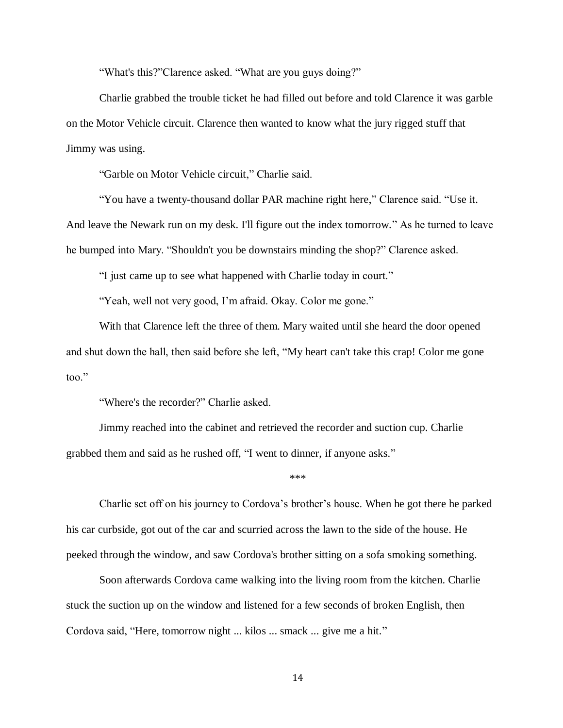"What's this?"Clarence asked. "What are you guys doing?"

Charlie grabbed the trouble ticket he had filled out before and told Clarence it was garble on the Motor Vehicle circuit. Clarence then wanted to know what the jury rigged stuff that Jimmy was using.

"Garble on Motor Vehicle circuit," Charlie said.

"You have a twenty-thousand dollar PAR machine right here," Clarence said. "Use it.

And leave the Newark run on my desk. I'll figure out the index tomorrow." As he turned to leave he bumped into Mary. "Shouldn't you be downstairs minding the shop?" Clarence asked.

"I just came up to see what happened with Charlie today in court."

"Yeah, well not very good, I'm afraid. Okay. Color me gone."

With that Clarence left the three of them. Mary waited until she heard the door opened and shut down the hall, then said before she left, "My heart can't take this crap! Color me gone too."

"Where's the recorder?" Charlie asked.

Jimmy reached into the cabinet and retrieved the recorder and suction cup. Charlie grabbed them and said as he rushed off, "I went to dinner, if anyone asks."

\*\*\*

Charlie set off on his journey to Cordova's brother's house. When he got there he parked his car curbside, got out of the car and scurried across the lawn to the side of the house. He peeked through the window, and saw Cordova's brother sitting on a sofa smoking something.

Soon afterwards Cordova came walking into the living room from the kitchen. Charlie stuck the suction up on the window and listened for a few seconds of broken English, then Cordova said, "Here, tomorrow night ... kilos ... smack ... give me a hit."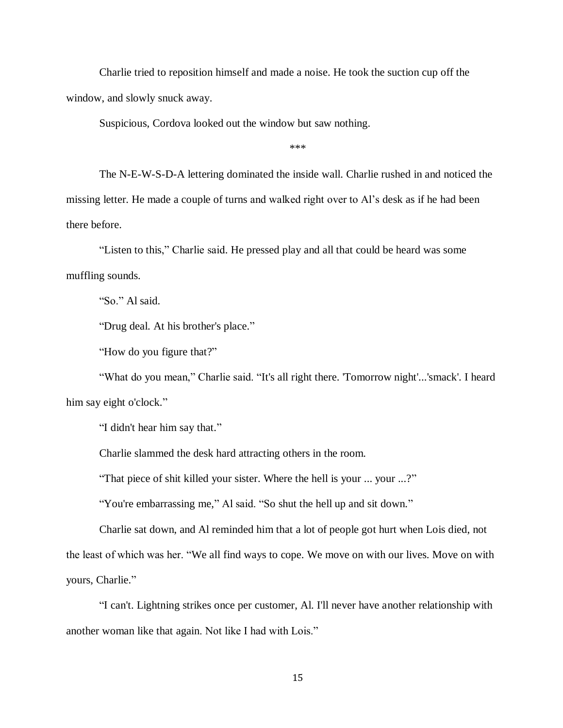Charlie tried to reposition himself and made a noise. He took the suction cup off the window, and slowly snuck away.

Suspicious, Cordova looked out the window but saw nothing.

\*\*\*

The N-E-W-S-D-A lettering dominated the inside wall. Charlie rushed in and noticed the missing letter. He made a couple of turns and walked right over to Al's desk as if he had been there before.

"Listen to this," Charlie said. He pressed play and all that could be heard was some muffling sounds.

"So." Al said.

"Drug deal. At his brother's place."

"How do you figure that?"

"What do you mean," Charlie said. "It's all right there. 'Tomorrow night'...'smack'. I heard him say eight o'clock."

"I didn't hear him say that."

Charlie slammed the desk hard attracting others in the room.

"That piece of shit killed your sister. Where the hell is your ... your ...?"

"You're embarrassing me," Al said. "So shut the hell up and sit down."

Charlie sat down, and Al reminded him that a lot of people got hurt when Lois died, not the least of which was her. "We all find ways to cope. We move on with our lives. Move on with yours, Charlie."

"I can't. Lightning strikes once per customer, Al. I'll never have another relationship with another woman like that again. Not like I had with Lois."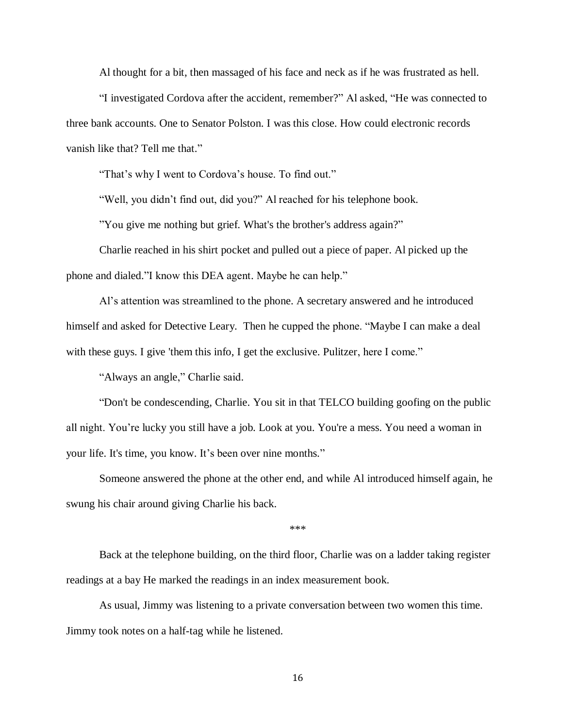Al thought for a bit, then massaged of his face and neck as if he was frustrated as hell.

"I investigated Cordova after the accident, remember?" Al asked, "He was connected to three bank accounts. One to Senator Polston. I was this close. How could electronic records vanish like that? Tell me that."

"That's why I went to Cordova's house. To find out."

"Well, you didn't find out, did you?" Al reached for his telephone book.

"You give me nothing but grief. What's the brother's address again?"

Charlie reached in his shirt pocket and pulled out a piece of paper. Al picked up the phone and dialed."I know this DEA agent. Maybe he can help."

Al's attention was streamlined to the phone. A secretary answered and he introduced himself and asked for Detective Leary. Then he cupped the phone. "Maybe I can make a deal with these guys. I give 'them this info, I get the exclusive. Pulitzer, here I come."

"Always an angle," Charlie said.

"Don't be condescending, Charlie. You sit in that TELCO building goofing on the public all night. You're lucky you still have a job. Look at you. You're a mess. You need a woman in your life. It's time, you know. It's been over nine months."

Someone answered the phone at the other end, and while Al introduced himself again, he swung his chair around giving Charlie his back.

\*\*\*

Back at the telephone building, on the third floor, Charlie was on a ladder taking register readings at a bay He marked the readings in an index measurement book.

As usual, Jimmy was listening to a private conversation between two women this time. Jimmy took notes on a half-tag while he listened.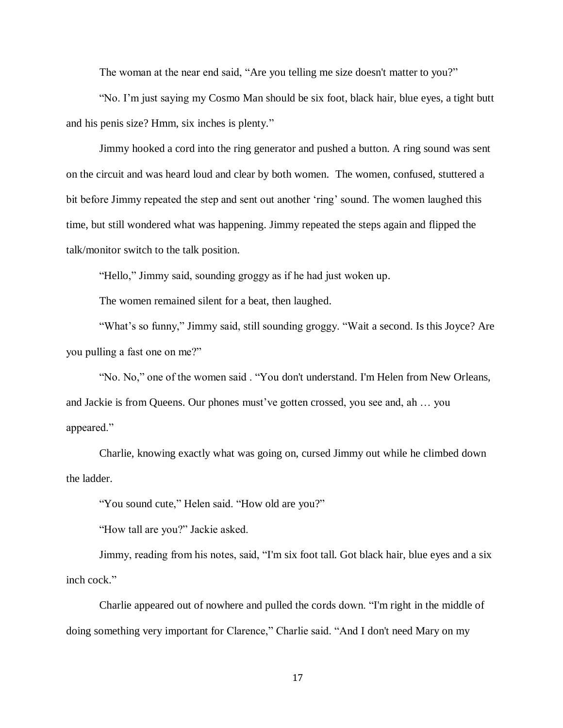The woman at the near end said, "Are you telling me size doesn't matter to you?"

"No. I'm just saying my Cosmo Man should be six foot, black hair, blue eyes, a tight butt and his penis size? Hmm, six inches is plenty."

Jimmy hooked a cord into the ring generator and pushed a button. A ring sound was sent on the circuit and was heard loud and clear by both women. The women, confused, stuttered a bit before Jimmy repeated the step and sent out another 'ring' sound. The women laughed this time, but still wondered what was happening. Jimmy repeated the steps again and flipped the talk/monitor switch to the talk position.

"Hello," Jimmy said, sounding groggy as if he had just woken up.

The women remained silent for a beat, then laughed.

"What's so funny," Jimmy said, still sounding groggy. "Wait a second. Is this Joyce? Are you pulling a fast one on me?"

"No. No," one of the women said . "You don't understand. I'm Helen from New Orleans, and Jackie is from Queens. Our phones must've gotten crossed, you see and, ah … you appeared."

Charlie, knowing exactly what was going on, cursed Jimmy out while he climbed down the ladder.

"You sound cute," Helen said. "How old are you?"

"How tall are you?" Jackie asked.

Jimmy, reading from his notes, said, "I'm six foot tall. Got black hair, blue eyes and a six inch cock."

Charlie appeared out of nowhere and pulled the cords down. "I'm right in the middle of doing something very important for Clarence," Charlie said. "And I don't need Mary on my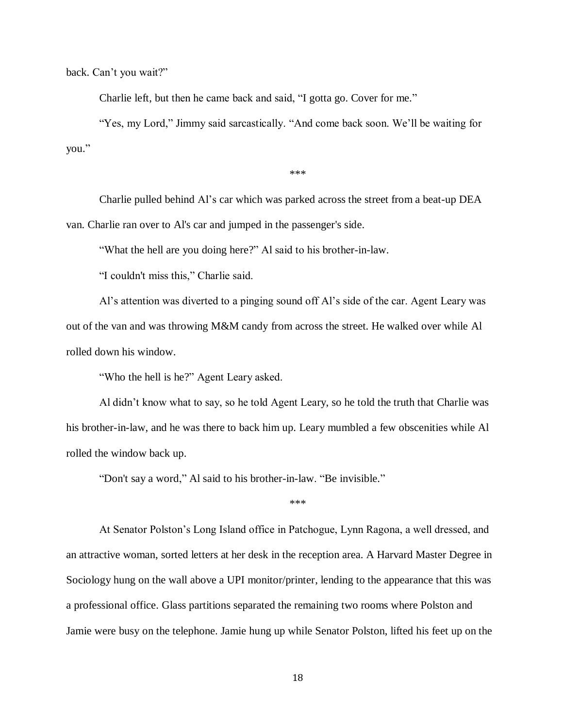back. Can't you wait?"

Charlie left, but then he came back and said, "I gotta go. Cover for me."

"Yes, my Lord," Jimmy said sarcastically. "And come back soon. We'll be waiting for you."

\*\*\*

Charlie pulled behind Al's car which was parked across the street from a beat-up DEA van. Charlie ran over to Al's car and jumped in the passenger's side.

"What the hell are you doing here?" Al said to his brother-in-law.

"I couldn't miss this," Charlie said.

Al's attention was diverted to a pinging sound off Al's side of the car. Agent Leary was out of the van and was throwing M&M candy from across the street. He walked over while Al rolled down his window.

"Who the hell is he?" Agent Leary asked.

Al didn't know what to say, so he told Agent Leary, so he told the truth that Charlie was his brother-in-law, and he was there to back him up. Leary mumbled a few obscenities while Al rolled the window back up.

"Don't say a word," Al said to his brother-in-law. "Be invisible."

\*\*\*

At Senator Polston's Long Island office in Patchogue, Lynn Ragona, a well dressed, and an attractive woman, sorted letters at her desk in the reception area. A Harvard Master Degree in Sociology hung on the wall above a UPI monitor/printer, lending to the appearance that this was a professional office. Glass partitions separated the remaining two rooms where Polston and Jamie were busy on the telephone. Jamie hung up while Senator Polston, lifted his feet up on the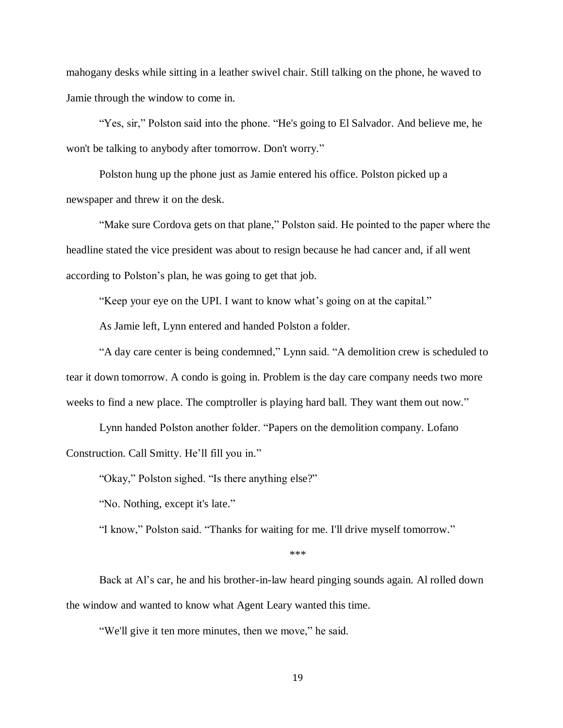mahogany desks while sitting in a leather swivel chair. Still talking on the phone, he waved to Jamie through the window to come in.

"Yes, sir," Polston said into the phone. "He's going to El Salvador. And believe me, he won't be talking to anybody after tomorrow. Don't worry."

Polston hung up the phone just as Jamie entered his office. Polston picked up a newspaper and threw it on the desk.

"Make sure Cordova gets on that plane," Polston said. He pointed to the paper where the headline stated the vice president was about to resign because he had cancer and, if all went according to Polston's plan, he was going to get that job.

"Keep your eye on the UPI. I want to know what's going on at the capital."

As Jamie left, Lynn entered and handed Polston a folder.

"A day care center is being condemned," Lynn said. "A demolition crew is scheduled to tear it down tomorrow. A condo is going in. Problem is the day care company needs two more weeks to find a new place. The comptroller is playing hard ball. They want them out now."

Lynn handed Polston another folder. "Papers on the demolition company. Lofano Construction. Call Smitty. He'll fill you in."

"Okay," Polston sighed. "Is there anything else?"

"No. Nothing, except it's late."

"I know," Polston said. "Thanks for waiting for me. I'll drive myself tomorrow."

#### \*\*\*

Back at Al's car, he and his brother-in-law heard pinging sounds again. Al rolled down the window and wanted to know what Agent Leary wanted this time.

"We'll give it ten more minutes, then we move," he said.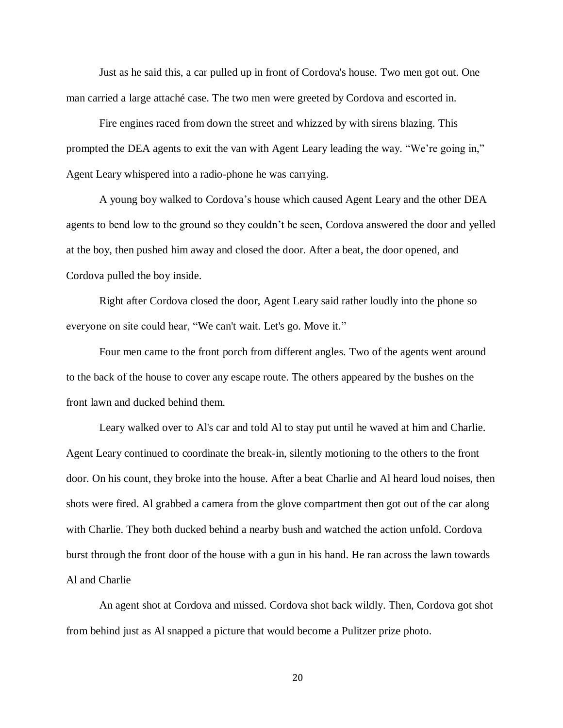Just as he said this, a car pulled up in front of Cordova's house. Two men got out. One man carried a large attaché case. The two men were greeted by Cordova and escorted in.

Fire engines raced from down the street and whizzed by with sirens blazing. This prompted the DEA agents to exit the van with Agent Leary leading the way. "We're going in," Agent Leary whispered into a radio-phone he was carrying.

A young boy walked to Cordova's house which caused Agent Leary and the other DEA agents to bend low to the ground so they couldn't be seen, Cordova answered the door and yelled at the boy, then pushed him away and closed the door. After a beat, the door opened, and Cordova pulled the boy inside.

Right after Cordova closed the door, Agent Leary said rather loudly into the phone so everyone on site could hear, "We can't wait. Let's go. Move it."

Four men came to the front porch from different angles. Two of the agents went around to the back of the house to cover any escape route. The others appeared by the bushes on the front lawn and ducked behind them.

Leary walked over to Al's car and told Al to stay put until he waved at him and Charlie. Agent Leary continued to coordinate the break-in, silently motioning to the others to the front door. On his count, they broke into the house. After a beat Charlie and Al heard loud noises, then shots were fired. Al grabbed a camera from the glove compartment then got out of the car along with Charlie. They both ducked behind a nearby bush and watched the action unfold. Cordova burst through the front door of the house with a gun in his hand. He ran across the lawn towards Al and Charlie

An agent shot at Cordova and missed. Cordova shot back wildly. Then, Cordova got shot from behind just as Al snapped a picture that would become a Pulitzer prize photo.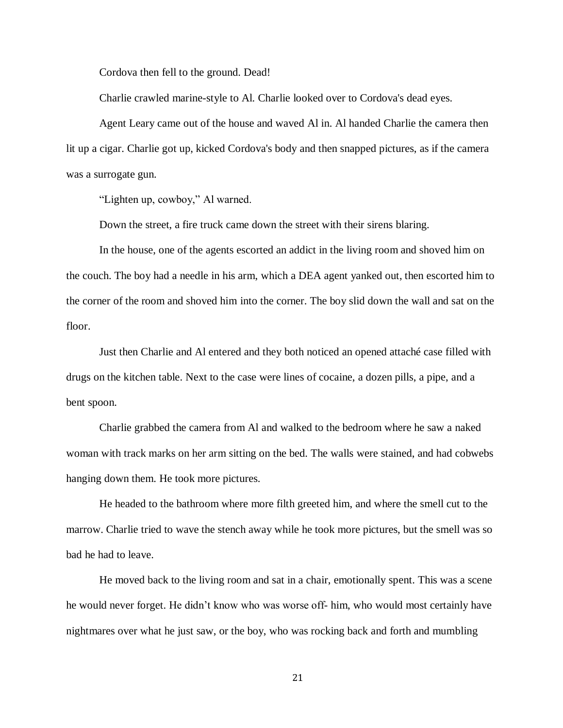Cordova then fell to the ground. Dead!

Charlie crawled marine-style to Al. Charlie looked over to Cordova's dead eyes.

Agent Leary came out of the house and waved Al in. Al handed Charlie the camera then lit up a cigar. Charlie got up, kicked Cordova's body and then snapped pictures, as if the camera was a surrogate gun.

"Lighten up, cowboy," Al warned.

Down the street, a fire truck came down the street with their sirens blaring.

In the house, one of the agents escorted an addict in the living room and shoved him on the couch. The boy had a needle in his arm, which a DEA agent yanked out, then escorted him to the corner of the room and shoved him into the corner. The boy slid down the wall and sat on the floor.

Just then Charlie and Al entered and they both noticed an opened attaché case filled with drugs on the kitchen table. Next to the case were lines of cocaine, a dozen pills, a pipe, and a bent spoon.

Charlie grabbed the camera from Al and walked to the bedroom where he saw a naked woman with track marks on her arm sitting on the bed. The walls were stained, and had cobwebs hanging down them. He took more pictures.

He headed to the bathroom where more filth greeted him, and where the smell cut to the marrow. Charlie tried to wave the stench away while he took more pictures, but the smell was so bad he had to leave.

He moved back to the living room and sat in a chair, emotionally spent. This was a scene he would never forget. He didn't know who was worse off- him, who would most certainly have nightmares over what he just saw, or the boy, who was rocking back and forth and mumbling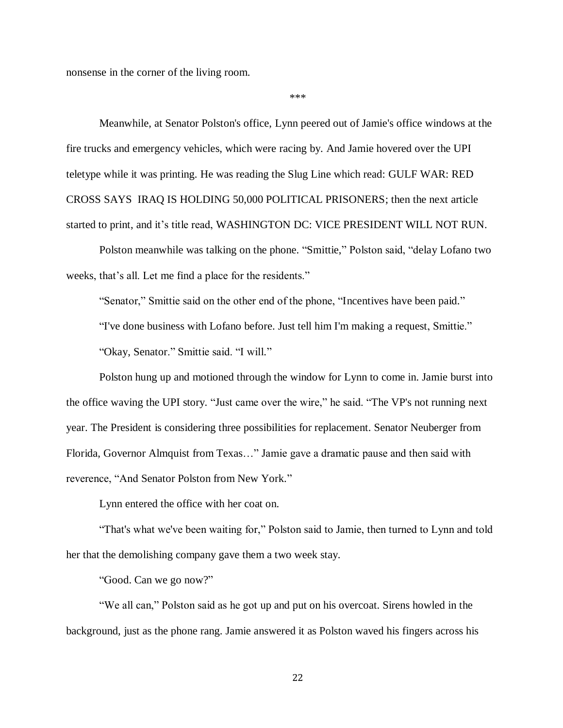nonsense in the corner of the living room.

\*\*\*

Meanwhile, at Senator Polston's office, Lynn peered out of Jamie's office windows at the fire trucks and emergency vehicles, which were racing by. And Jamie hovered over the UPI teletype while it was printing. He was reading the Slug Line which read: GULF WAR: RED CROSS SAYS IRAQ IS HOLDING 50,000 POLITICAL PRISONERS; then the next article started to print, and it's title read, WASHINGTON DC: VICE PRESIDENT WILL NOT RUN.

Polston meanwhile was talking on the phone. "Smittie," Polston said, "delay Lofano two weeks, that's all. Let me find a place for the residents."

"Senator," Smittie said on the other end of the phone, "Incentives have been paid."

"I've done business with Lofano before. Just tell him I'm making a request, Smittie."

"Okay, Senator." Smittie said. "I will."

Polston hung up and motioned through the window for Lynn to come in. Jamie burst into the office waving the UPI story. "Just came over the wire," he said. "The VP's not running next year. The President is considering three possibilities for replacement. Senator Neuberger from Florida, Governor Almquist from Texas…" Jamie gave a dramatic pause and then said with reverence, "And Senator Polston from New York."

Lynn entered the office with her coat on.

"That's what we've been waiting for," Polston said to Jamie, then turned to Lynn and told her that the demolishing company gave them a two week stay.

"Good. Can we go now?"

"We all can," Polston said as he got up and put on his overcoat. Sirens howled in the background, just as the phone rang. Jamie answered it as Polston waved his fingers across his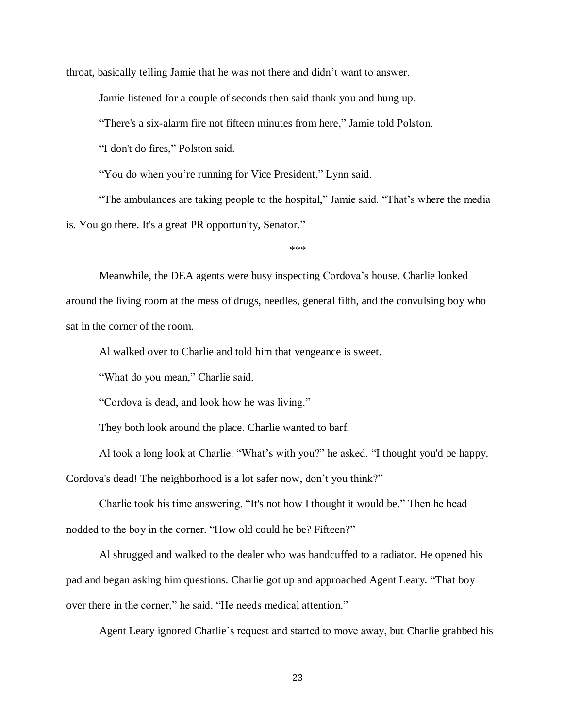throat, basically telling Jamie that he was not there and didn't want to answer.

Jamie listened for a couple of seconds then said thank you and hung up.

"There's a six-alarm fire not fifteen minutes from here," Jamie told Polston.

"I don't do fires," Polston said.

"You do when you're running for Vice President," Lynn said.

"The ambulances are taking people to the hospital," Jamie said. "That's where the media is. You go there. It's a great PR opportunity, Senator."

\*\*\*

Meanwhile, the DEA agents were busy inspecting Cordova's house. Charlie looked around the living room at the mess of drugs, needles, general filth, and the convulsing boy who sat in the corner of the room.

Al walked over to Charlie and told him that vengeance is sweet.

"What do you mean," Charlie said.

"Cordova is dead, and look how he was living."

They both look around the place. Charlie wanted to barf.

Al took a long look at Charlie. "What's with you?" he asked. "I thought you'd be happy.

Cordova's dead! The neighborhood is a lot safer now, don't you think?"

Charlie took his time answering. "It's not how I thought it would be." Then he head nodded to the boy in the corner. "How old could he be? Fifteen?"

Al shrugged and walked to the dealer who was handcuffed to a radiator. He opened his pad and began asking him questions. Charlie got up and approached Agent Leary. "That boy over there in the corner," he said. "He needs medical attention."

Agent Leary ignored Charlie's request and started to move away, but Charlie grabbed his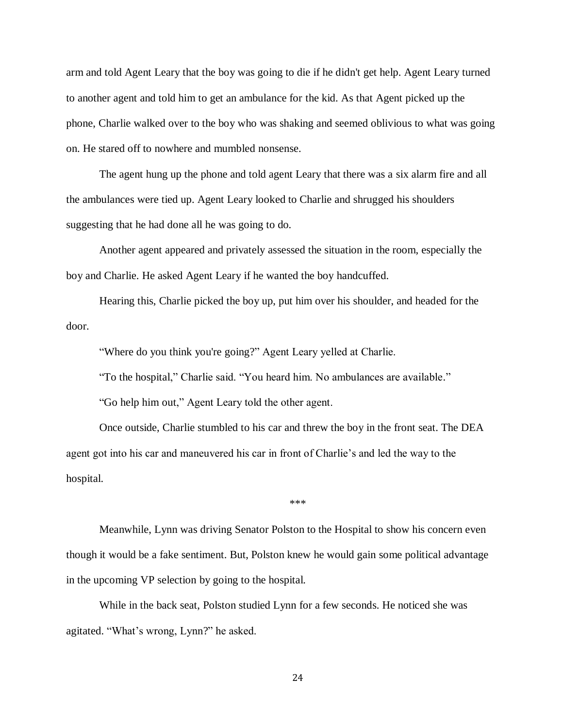arm and told Agent Leary that the boy was going to die if he didn't get help. Agent Leary turned to another agent and told him to get an ambulance for the kid. As that Agent picked up the phone, Charlie walked over to the boy who was shaking and seemed oblivious to what was going on. He stared off to nowhere and mumbled nonsense.

The agent hung up the phone and told agent Leary that there was a six alarm fire and all the ambulances were tied up. Agent Leary looked to Charlie and shrugged his shoulders suggesting that he had done all he was going to do.

Another agent appeared and privately assessed the situation in the room, especially the boy and Charlie. He asked Agent Leary if he wanted the boy handcuffed.

Hearing this, Charlie picked the boy up, put him over his shoulder, and headed for the door.

"Where do you think you're going?" Agent Leary yelled at Charlie.

"To the hospital," Charlie said. "You heard him. No ambulances are available."

"Go help him out," Agent Leary told the other agent.

Once outside, Charlie stumbled to his car and threw the boy in the front seat. The DEA agent got into his car and maneuvered his car in front of Charlie's and led the way to the hospital.

\*\*\*

Meanwhile, Lynn was driving Senator Polston to the Hospital to show his concern even though it would be a fake sentiment. But, Polston knew he would gain some political advantage in the upcoming VP selection by going to the hospital.

While in the back seat, Polston studied Lynn for a few seconds. He noticed she was agitated. "What's wrong, Lynn?" he asked.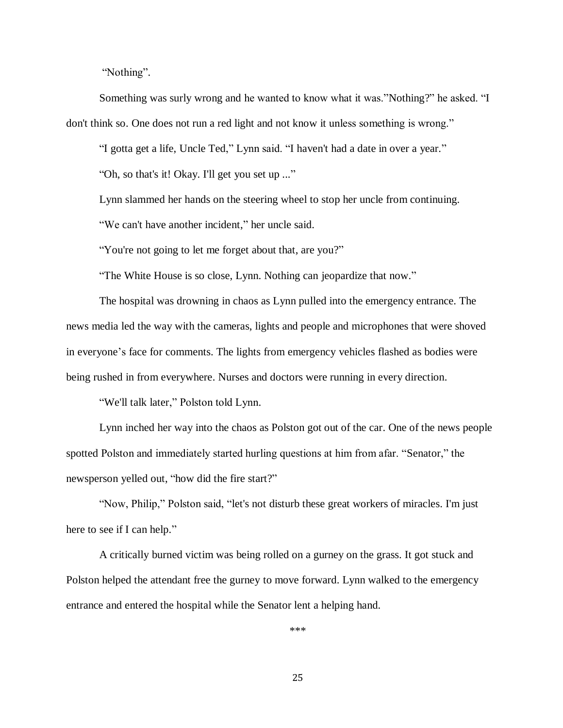"Nothing".

Something was surly wrong and he wanted to know what it was."Nothing?" he asked. "I don't think so. One does not run a red light and not know it unless something is wrong."

"I gotta get a life, Uncle Ted," Lynn said. "I haven't had a date in over a year."

"Oh, so that's it! Okay. I'll get you set up ..."

Lynn slammed her hands on the steering wheel to stop her uncle from continuing.

"We can't have another incident," her uncle said.

"You're not going to let me forget about that, are you?"

"The White House is so close, Lynn. Nothing can jeopardize that now."

The hospital was drowning in chaos as Lynn pulled into the emergency entrance. The news media led the way with the cameras, lights and people and microphones that were shoved in everyone's face for comments. The lights from emergency vehicles flashed as bodies were being rushed in from everywhere. Nurses and doctors were running in every direction.

"We'll talk later," Polston told Lynn.

Lynn inched her way into the chaos as Polston got out of the car. One of the news people spotted Polston and immediately started hurling questions at him from afar. "Senator," the newsperson yelled out, "how did the fire start?"

"Now, Philip," Polston said, "let's not disturb these great workers of miracles. I'm just here to see if I can help."

A critically burned victim was being rolled on a gurney on the grass. It got stuck and Polston helped the attendant free the gurney to move forward. Lynn walked to the emergency entrance and entered the hospital while the Senator lent a helping hand.

\*\*\*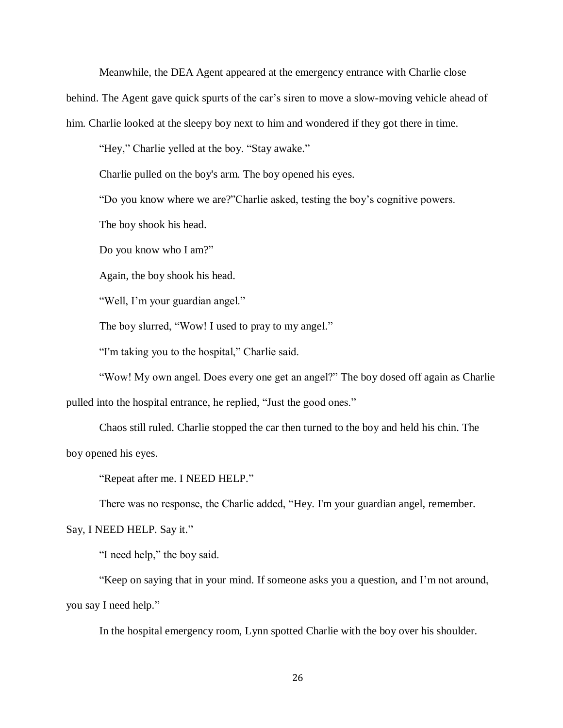Meanwhile, the DEA Agent appeared at the emergency entrance with Charlie close

behind. The Agent gave quick spurts of the car's siren to move a slow-moving vehicle ahead of

him. Charlie looked at the sleepy boy next to him and wondered if they got there in time.

"Hey," Charlie yelled at the boy. "Stay awake."

Charlie pulled on the boy's arm. The boy opened his eyes.

"Do you know where we are?"Charlie asked, testing the boy's cognitive powers.

The boy shook his head.

Do you know who I am?"

Again, the boy shook his head.

"Well, I'm your guardian angel."

The boy slurred, "Wow! I used to pray to my angel."

"I'm taking you to the hospital," Charlie said.

"Wow! My own angel. Does every one get an angel?" The boy dosed off again as Charlie pulled into the hospital entrance, he replied, "Just the good ones."

Chaos still ruled. Charlie stopped the car then turned to the boy and held his chin. The boy opened his eyes.

"Repeat after me. I NEED HELP."

There was no response, the Charlie added, "Hey. I'm your guardian angel, remember.

Say, I NEED HELP. Say it."

"I need help," the boy said.

"Keep on saying that in your mind. If someone asks you a question, and I'm not around, you say I need help."

In the hospital emergency room, Lynn spotted Charlie with the boy over his shoulder.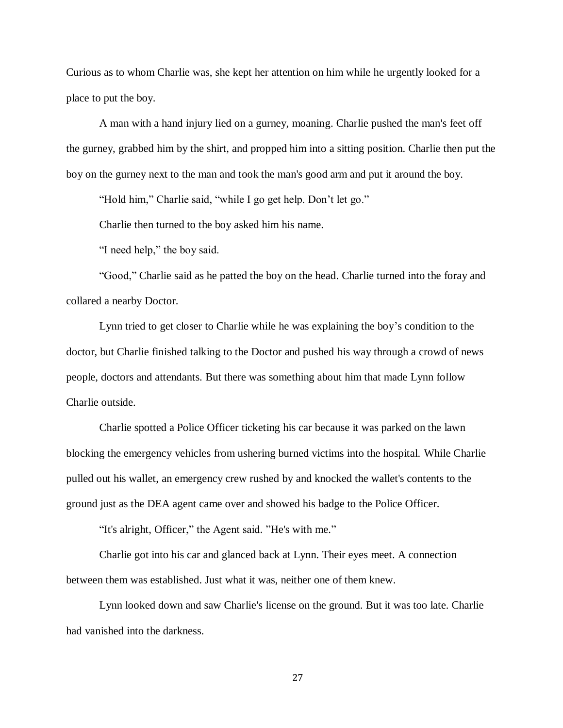Curious as to whom Charlie was, she kept her attention on him while he urgently looked for a place to put the boy.

A man with a hand injury lied on a gurney, moaning. Charlie pushed the man's feet off the gurney, grabbed him by the shirt, and propped him into a sitting position. Charlie then put the boy on the gurney next to the man and took the man's good arm and put it around the boy.

"Hold him," Charlie said, "while I go get help. Don't let go."

Charlie then turned to the boy asked him his name.

"I need help," the boy said.

"Good," Charlie said as he patted the boy on the head. Charlie turned into the foray and collared a nearby Doctor.

Lynn tried to get closer to Charlie while he was explaining the boy's condition to the doctor, but Charlie finished talking to the Doctor and pushed his way through a crowd of news people, doctors and attendants. But there was something about him that made Lynn follow Charlie outside.

Charlie spotted a Police Officer ticketing his car because it was parked on the lawn blocking the emergency vehicles from ushering burned victims into the hospital. While Charlie pulled out his wallet, an emergency crew rushed by and knocked the wallet's contents to the ground just as the DEA agent came over and showed his badge to the Police Officer.

"It's alright, Officer," the Agent said. "He's with me."

Charlie got into his car and glanced back at Lynn. Their eyes meet. A connection between them was established. Just what it was, neither one of them knew.

Lynn looked down and saw Charlie's license on the ground. But it was too late. Charlie had vanished into the darkness.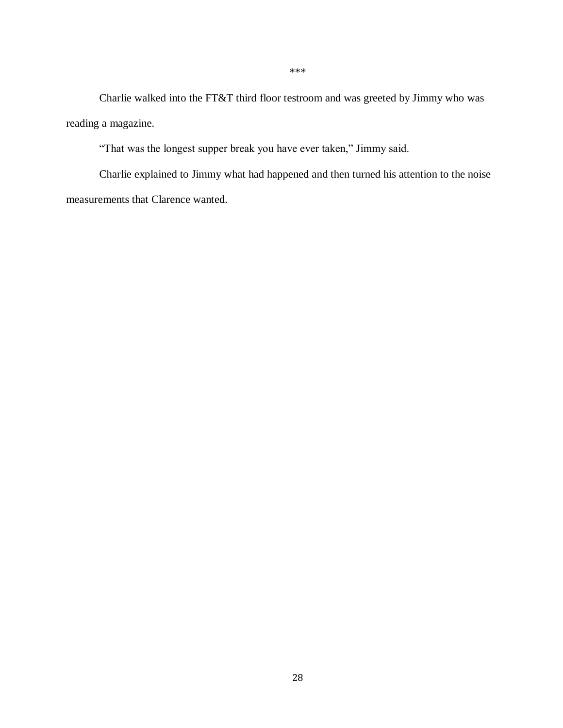Charlie walked into the FT&T third floor testroom and was greeted by Jimmy who was reading a magazine.

"That was the longest supper break you have ever taken," Jimmy said.

Charlie explained to Jimmy what had happened and then turned his attention to the noise measurements that Clarence wanted.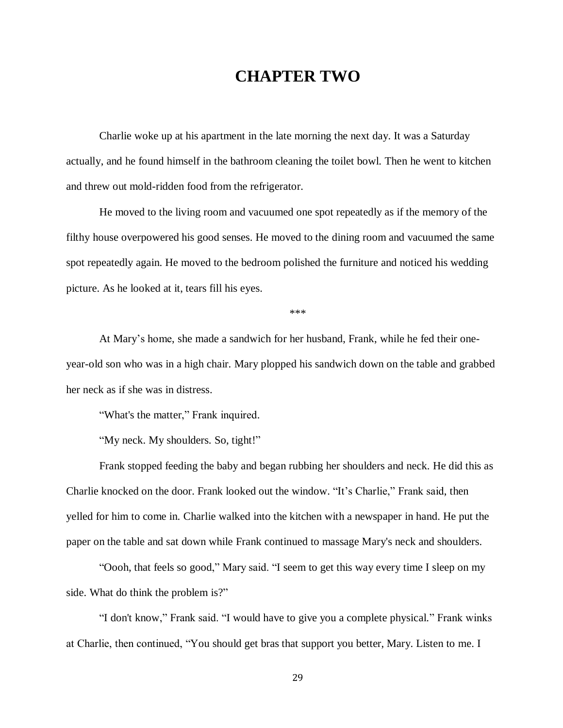## **CHAPTER TWO**

Charlie woke up at his apartment in the late morning the next day. It was a Saturday actually, and he found himself in the bathroom cleaning the toilet bowl. Then he went to kitchen and threw out mold-ridden food from the refrigerator.

He moved to the living room and vacuumed one spot repeatedly as if the memory of the filthy house overpowered his good senses. He moved to the dining room and vacuumed the same spot repeatedly again. He moved to the bedroom polished the furniture and noticed his wedding picture. As he looked at it, tears fill his eyes.

\*\*\*

At Mary's home, she made a sandwich for her husband, Frank, while he fed their oneyear-old son who was in a high chair. Mary plopped his sandwich down on the table and grabbed her neck as if she was in distress.

"What's the matter," Frank inquired.

"My neck. My shoulders. So, tight!"

Frank stopped feeding the baby and began rubbing her shoulders and neck. He did this as Charlie knocked on the door. Frank looked out the window. "It's Charlie," Frank said, then yelled for him to come in. Charlie walked into the kitchen with a newspaper in hand. He put the paper on the table and sat down while Frank continued to massage Mary's neck and shoulders.

"Oooh, that feels so good," Mary said. "I seem to get this way every time I sleep on my side. What do think the problem is?"

"I don't know," Frank said. "I would have to give you a complete physical." Frank winks at Charlie, then continued, "You should get bras that support you better, Mary. Listen to me. I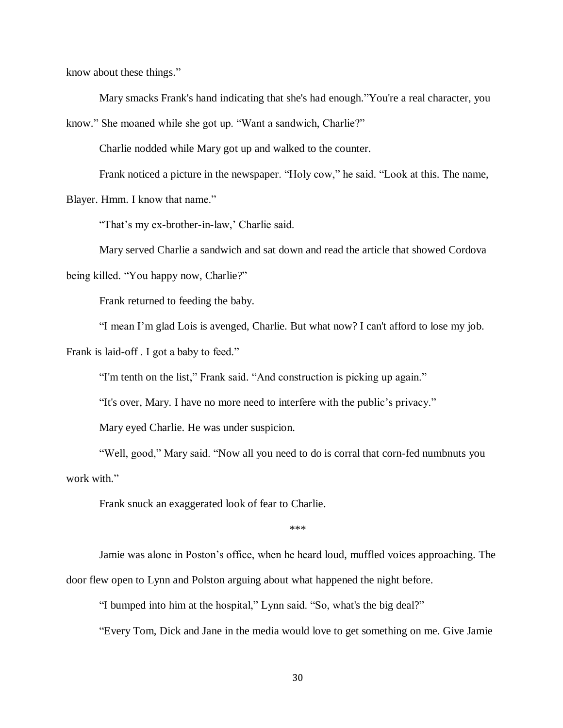know about these things."

Mary smacks Frank's hand indicating that she's had enough."You're a real character, you

know." She moaned while she got up. "Want a sandwich, Charlie?"

Charlie nodded while Mary got up and walked to the counter.

Frank noticed a picture in the newspaper. "Holy cow," he said. "Look at this. The name,

Blayer. Hmm. I know that name."

"That's my ex-brother-in-law,' Charlie said.

Mary served Charlie a sandwich and sat down and read the article that showed Cordova

being killed. "You happy now, Charlie?"

Frank returned to feeding the baby.

"I mean I'm glad Lois is avenged, Charlie. But what now? I can't afford to lose my job.

Frank is laid-off. I got a baby to feed."

"I'm tenth on the list," Frank said. "And construction is picking up again."

"It's over, Mary. I have no more need to interfere with the public's privacy."

Mary eyed Charlie. He was under suspicion.

"Well, good," Mary said. "Now all you need to do is corral that corn-fed numbnuts you work with."

Frank snuck an exaggerated look of fear to Charlie.

\*\*\*

Jamie was alone in Poston's office, when he heard loud, muffled voices approaching. The door flew open to Lynn and Polston arguing about what happened the night before.

"I bumped into him at the hospital," Lynn said. "So, what's the big deal?"

"Every Tom, Dick and Jane in the media would love to get something on me. Give Jamie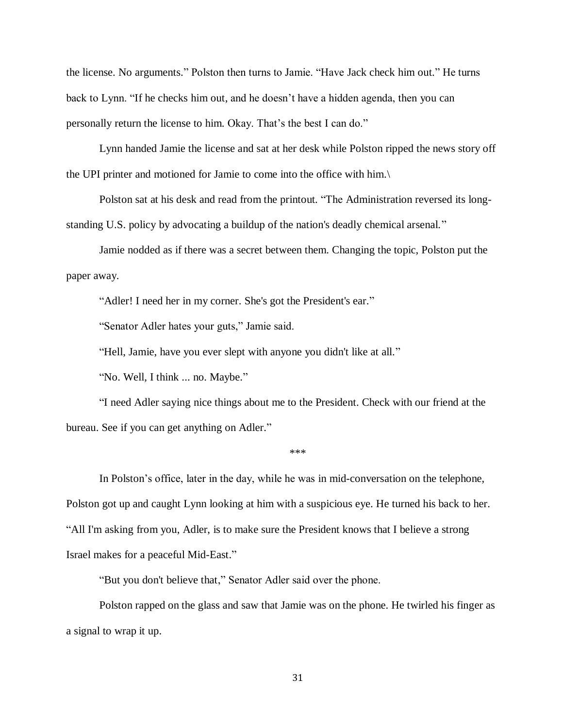the license. No arguments." Polston then turns to Jamie. "Have Jack check him out." He turns back to Lynn. "If he checks him out, and he doesn't have a hidden agenda, then you can personally return the license to him. Okay. That's the best I can do."

Lynn handed Jamie the license and sat at her desk while Polston ripped the news story off the UPI printer and motioned for Jamie to come into the office with him.\

Polston sat at his desk and read from the printout. "The Administration reversed its longstanding U.S. policy by advocating a buildup of the nation's deadly chemical arsenal."

Jamie nodded as if there was a secret between them. Changing the topic, Polston put the paper away.

"Adler! I need her in my corner. She's got the President's ear."

"Senator Adler hates your guts," Jamie said.

"Hell, Jamie, have you ever slept with anyone you didn't like at all."

"No. Well, I think ... no. Maybe."

"I need Adler saying nice things about me to the President. Check with our friend at the bureau. See if you can get anything on Adler."

\*\*\*

In Polston's office, later in the day, while he was in mid-conversation on the telephone, Polston got up and caught Lynn looking at him with a suspicious eye. He turned his back to her. "All I'm asking from you, Adler, is to make sure the President knows that I believe a strong Israel makes for a peaceful Mid-East."

"But you don't believe that," Senator Adler said over the phone.

Polston rapped on the glass and saw that Jamie was on the phone. He twirled his finger as a signal to wrap it up.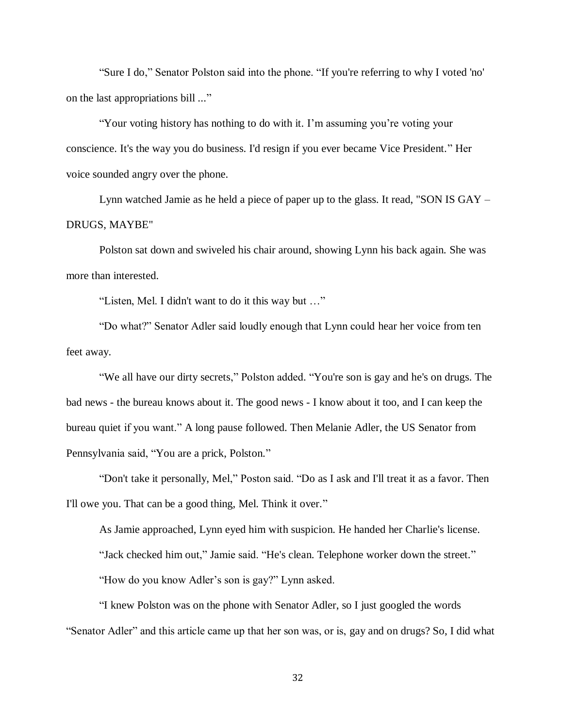"Sure I do," Senator Polston said into the phone. "If you're referring to why I voted 'no' on the last appropriations bill ..."

"Your voting history has nothing to do with it. I'm assuming you're voting your conscience. It's the way you do business. I'd resign if you ever became Vice President." Her voice sounded angry over the phone.

Lynn watched Jamie as he held a piece of paper up to the glass. It read, "SON IS GAY – DRUGS, MAYBE"

Polston sat down and swiveled his chair around, showing Lynn his back again. She was more than interested.

"Listen, Mel. I didn't want to do it this way but …"

"Do what?" Senator Adler said loudly enough that Lynn could hear her voice from ten feet away.

"We all have our dirty secrets," Polston added. "You're son is gay and he's on drugs. The bad news - the bureau knows about it. The good news - I know about it too, and I can keep the bureau quiet if you want." A long pause followed. Then Melanie Adler, the US Senator from Pennsylvania said, "You are a prick, Polston."

"Don't take it personally, Mel," Poston said. "Do as I ask and I'll treat it as a favor. Then I'll owe you. That can be a good thing, Mel. Think it over."

As Jamie approached, Lynn eyed him with suspicion. He handed her Charlie's license. "Jack checked him out," Jamie said. "He's clean. Telephone worker down the street." "How do you know Adler's son is gay?" Lynn asked.

"I knew Polston was on the phone with Senator Adler, so I just googled the words "Senator Adler" and this article came up that her son was, or is, gay and on drugs? So, I did what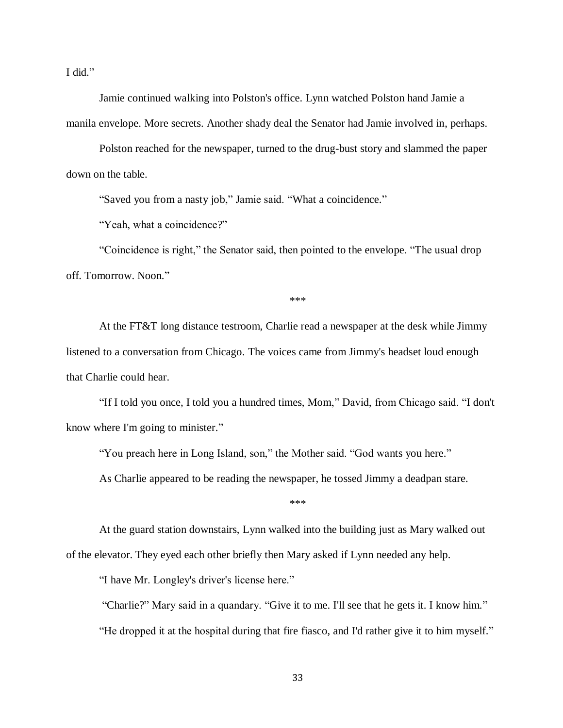I did."

Jamie continued walking into Polston's office. Lynn watched Polston hand Jamie a manila envelope. More secrets. Another shady deal the Senator had Jamie involved in, perhaps.

Polston reached for the newspaper, turned to the drug-bust story and slammed the paper down on the table.

"Saved you from a nasty job," Jamie said. "What a coincidence."

"Yeah, what a coincidence?"

"Coincidence is right," the Senator said, then pointed to the envelope. "The usual drop off. Tomorrow. Noon."

\*\*\*

At the FT&T long distance testroom, Charlie read a newspaper at the desk while Jimmy listened to a conversation from Chicago. The voices came from Jimmy's headset loud enough that Charlie could hear.

"If I told you once, I told you a hundred times, Mom," David, from Chicago said. "I don't know where I'm going to minister."

"You preach here in Long Island, son," the Mother said. "God wants you here."

As Charlie appeared to be reading the newspaper, he tossed Jimmy a deadpan stare.

\*\*\*

At the guard station downstairs, Lynn walked into the building just as Mary walked out of the elevator. They eyed each other briefly then Mary asked if Lynn needed any help.

"I have Mr. Longley's driver's license here."

"Charlie?" Mary said in a quandary. "Give it to me. I'll see that he gets it. I know him." "He dropped it at the hospital during that fire fiasco, and I'd rather give it to him myself."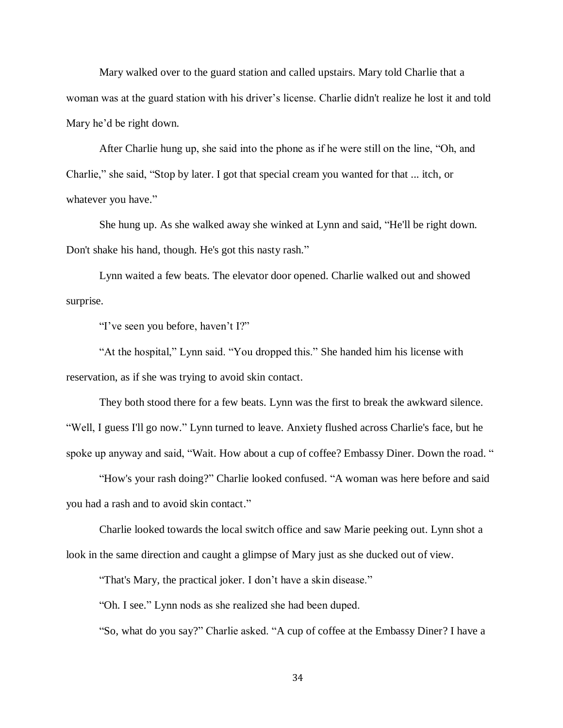Mary walked over to the guard station and called upstairs. Mary told Charlie that a woman was at the guard station with his driver's license. Charlie didn't realize he lost it and told Mary he'd be right down.

After Charlie hung up, she said into the phone as if he were still on the line, "Oh, and Charlie," she said, "Stop by later. I got that special cream you wanted for that ... itch, or whatever you have."

She hung up. As she walked away she winked at Lynn and said, "He'll be right down. Don't shake his hand, though. He's got this nasty rash."

Lynn waited a few beats. The elevator door opened. Charlie walked out and showed surprise.

"I've seen you before, haven't I?"

"At the hospital," Lynn said. "You dropped this." She handed him his license with reservation, as if she was trying to avoid skin contact.

They both stood there for a few beats. Lynn was the first to break the awkward silence. "Well, I guess I'll go now." Lynn turned to leave. Anxiety flushed across Charlie's face, but he spoke up anyway and said, "Wait. How about a cup of coffee? Embassy Diner. Down the road. "

"How's your rash doing?" Charlie looked confused. "A woman was here before and said you had a rash and to avoid skin contact."

Charlie looked towards the local switch office and saw Marie peeking out. Lynn shot a look in the same direction and caught a glimpse of Mary just as she ducked out of view.

"That's Mary, the practical joker. I don't have a skin disease."

"Oh. I see." Lynn nods as she realized she had been duped.

"So, what do you say?" Charlie asked. "A cup of coffee at the Embassy Diner? I have a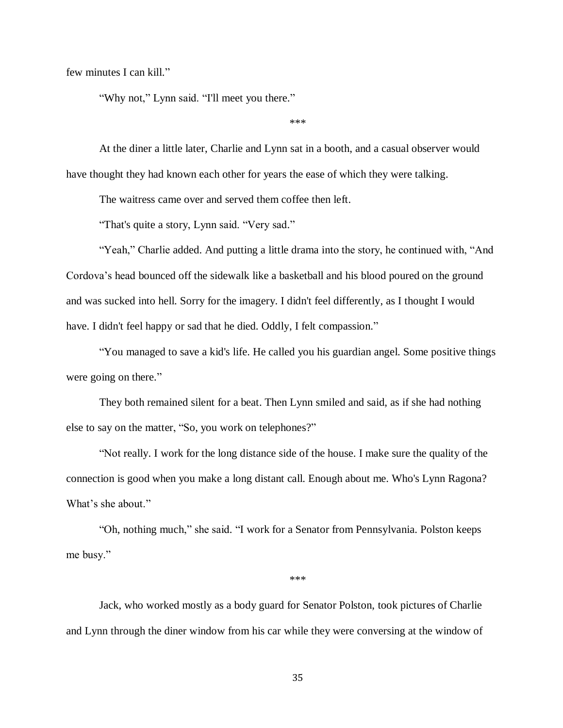few minutes I can kill."

"Why not," Lynn said. "I'll meet you there."

\*\*\*

At the diner a little later, Charlie and Lynn sat in a booth, and a casual observer would have thought they had known each other for years the ease of which they were talking.

The waitress came over and served them coffee then left.

"That's quite a story, Lynn said. "Very sad."

"Yeah," Charlie added. And putting a little drama into the story, he continued with, "And Cordova's head bounced off the sidewalk like a basketball and his blood poured on the ground and was sucked into hell. Sorry for the imagery. I didn't feel differently, as I thought I would have. I didn't feel happy or sad that he died. Oddly, I felt compassion."

"You managed to save a kid's life. He called you his guardian angel. Some positive things were going on there."

They both remained silent for a beat. Then Lynn smiled and said, as if she had nothing else to say on the matter, "So, you work on telephones?"

"Not really. I work for the long distance side of the house. I make sure the quality of the connection is good when you make a long distant call. Enough about me. Who's Lynn Ragona? What's she about."

"Oh, nothing much," she said. "I work for a Senator from Pennsylvania. Polston keeps me busy."

\*\*\*

Jack, who worked mostly as a body guard for Senator Polston, took pictures of Charlie and Lynn through the diner window from his car while they were conversing at the window of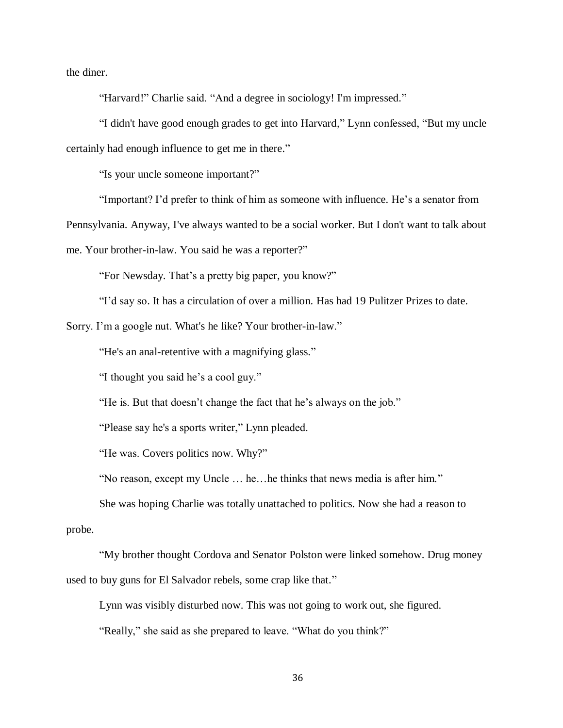the diner.

"Harvard!" Charlie said. "And a degree in sociology! I'm impressed."

"I didn't have good enough grades to get into Harvard," Lynn confessed, "But my uncle certainly had enough influence to get me in there."

"Is your uncle someone important?"

"Important? I'd prefer to think of him as someone with influence. He's a senator from

Pennsylvania. Anyway, I've always wanted to be a social worker. But I don't want to talk about

me. Your brother-in-law. You said he was a reporter?"

"For Newsday. That's a pretty big paper, you know?"

"I'd say so. It has a circulation of over a million. Has had 19 Pulitzer Prizes to date.

Sorry. I'm a google nut. What's he like? Your brother-in-law."

"He's an anal-retentive with a magnifying glass."

"I thought you said he's a cool guy."

"He is. But that doesn't change the fact that he's always on the job."

"Please say he's a sports writer," Lynn pleaded.

"He was. Covers politics now. Why?"

"No reason, except my Uncle … he…he thinks that news media is after him."

She was hoping Charlie was totally unattached to politics. Now she had a reason to probe.

"My brother thought Cordova and Senator Polston were linked somehow. Drug money used to buy guns for El Salvador rebels, some crap like that."

Lynn was visibly disturbed now. This was not going to work out, she figured.

"Really," she said as she prepared to leave. "What do you think?"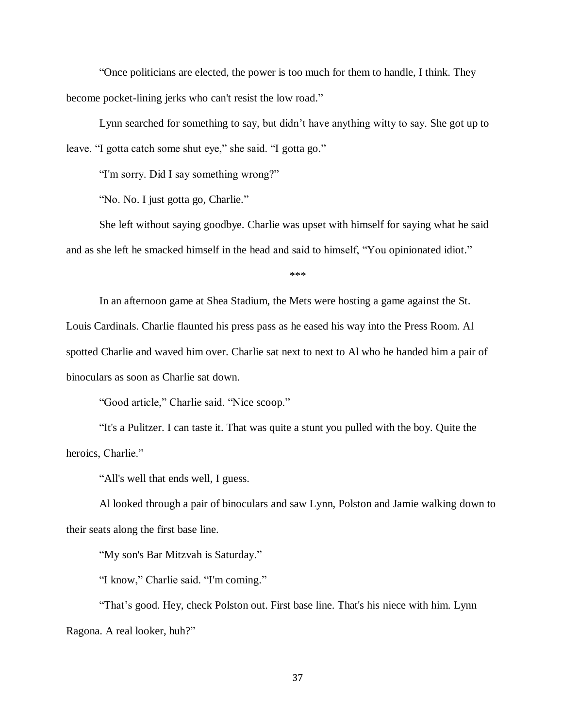"Once politicians are elected, the power is too much for them to handle, I think. They become pocket-lining jerks who can't resist the low road."

Lynn searched for something to say, but didn't have anything witty to say. She got up to leave. "I gotta catch some shut eye," she said. "I gotta go."

"I'm sorry. Did I say something wrong?"

"No. No. I just gotta go, Charlie."

She left without saying goodbye. Charlie was upset with himself for saying what he said and as she left he smacked himself in the head and said to himself, "You opinionated idiot."

\*\*\*

In an afternoon game at Shea Stadium, the Mets were hosting a game against the St. Louis Cardinals. Charlie flaunted his press pass as he eased his way into the Press Room. Al spotted Charlie and waved him over. Charlie sat next to next to Al who he handed him a pair of binoculars as soon as Charlie sat down.

"Good article," Charlie said. "Nice scoop."

"It's a Pulitzer. I can taste it. That was quite a stunt you pulled with the boy. Quite the heroics, Charlie."

"All's well that ends well, I guess.

Al looked through a pair of binoculars and saw Lynn, Polston and Jamie walking down to their seats along the first base line.

"My son's Bar Mitzvah is Saturday."

"I know," Charlie said. "I'm coming."

"That's good. Hey, check Polston out. First base line. That's his niece with him. Lynn Ragona. A real looker, huh?"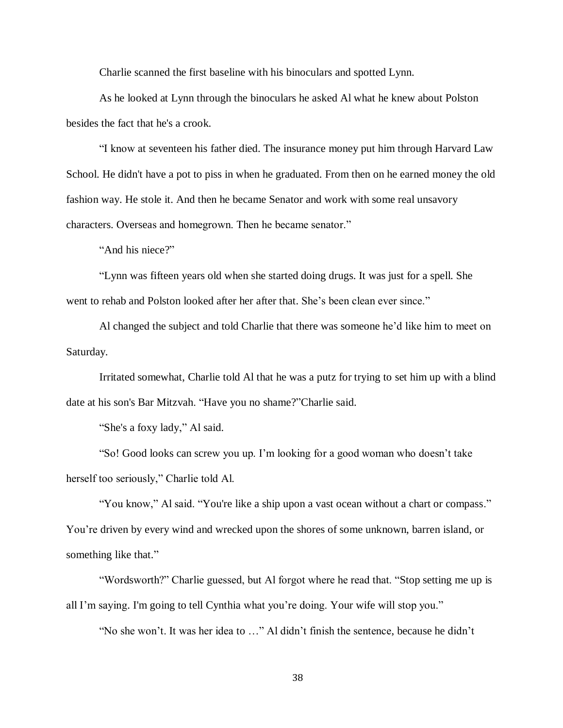Charlie scanned the first baseline with his binoculars and spotted Lynn.

As he looked at Lynn through the binoculars he asked Al what he knew about Polston besides the fact that he's a crook.

"I know at seventeen his father died. The insurance money put him through Harvard Law School. He didn't have a pot to piss in when he graduated. From then on he earned money the old fashion way. He stole it. And then he became Senator and work with some real unsavory characters. Overseas and homegrown. Then he became senator."

"And his niece?"

"Lynn was fifteen years old when she started doing drugs. It was just for a spell. She went to rehab and Polston looked after her after that. She's been clean ever since."

Al changed the subject and told Charlie that there was someone he'd like him to meet on Saturday.

Irritated somewhat, Charlie told Al that he was a putz for trying to set him up with a blind date at his son's Bar Mitzvah. "Have you no shame?"Charlie said.

"She's a foxy lady," Al said.

"So! Good looks can screw you up. I'm looking for a good woman who doesn't take herself too seriously," Charlie told Al.

"You know," Al said. "You're like a ship upon a vast ocean without a chart or compass." You're driven by every wind and wrecked upon the shores of some unknown, barren island, or something like that."

"Wordsworth?" Charlie guessed, but Al forgot where he read that. "Stop setting me up is all I'm saying. I'm going to tell Cynthia what you're doing. Your wife will stop you."

"No she won't. It was her idea to …" Al didn't finish the sentence, because he didn't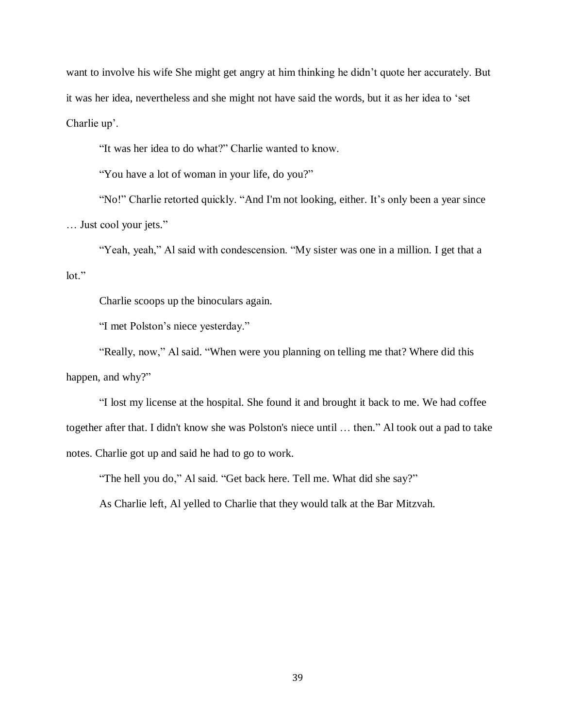want to involve his wife She might get angry at him thinking he didn't quote her accurately. But it was her idea, nevertheless and she might not have said the words, but it as her idea to 'set Charlie up'.

"It was her idea to do what?" Charlie wanted to know.

"You have a lot of woman in your life, do you?"

"No!" Charlie retorted quickly. "And I'm not looking, either. It's only been a year since … Just cool your jets."

"Yeah, yeah," Al said with condescension. "My sister was one in a million. I get that a lot."

Charlie scoops up the binoculars again.

"I met Polston's niece yesterday."

"Really, now," Al said. "When were you planning on telling me that? Where did this happen, and why?"

"I lost my license at the hospital. She found it and brought it back to me. We had coffee together after that. I didn't know she was Polston's niece until … then." Al took out a pad to take notes. Charlie got up and said he had to go to work.

"The hell you do," Al said. "Get back here. Tell me. What did she say?"

As Charlie left, Al yelled to Charlie that they would talk at the Bar Mitzvah.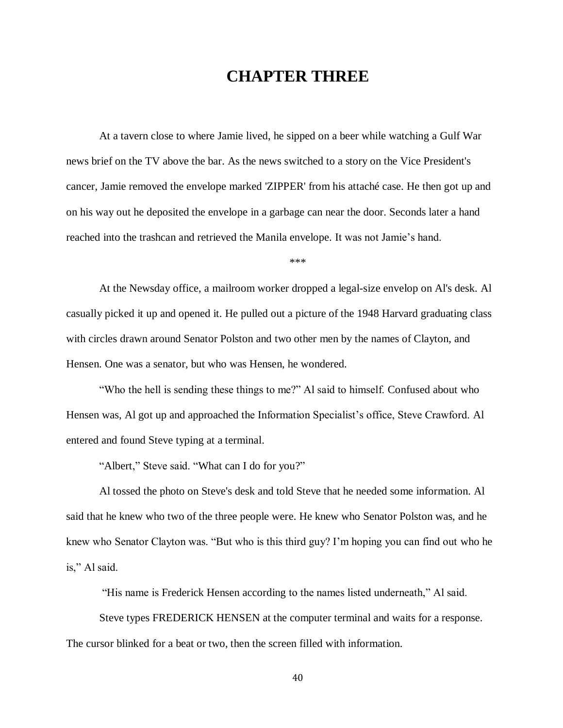## **CHAPTER THREE**

At a tavern close to where Jamie lived, he sipped on a beer while watching a Gulf War news brief on the TV above the bar. As the news switched to a story on the Vice President's cancer, Jamie removed the envelope marked 'ZIPPER' from his attaché case. He then got up and on his way out he deposited the envelope in a garbage can near the door. Seconds later a hand reached into the trashcan and retrieved the Manila envelope. It was not Jamie's hand.

\*\*\*

At the Newsday office, a mailroom worker dropped a legal-size envelop on Al's desk. Al casually picked it up and opened it. He pulled out a picture of the 1948 Harvard graduating class with circles drawn around Senator Polston and two other men by the names of Clayton, and Hensen. One was a senator, but who was Hensen, he wondered.

"Who the hell is sending these things to me?" Al said to himself. Confused about who Hensen was, Al got up and approached the Information Specialist's office, Steve Crawford. Al entered and found Steve typing at a terminal.

"Albert," Steve said. "What can I do for you?"

Al tossed the photo on Steve's desk and told Steve that he needed some information. Al said that he knew who two of the three people were. He knew who Senator Polston was, and he knew who Senator Clayton was. "But who is this third guy? I'm hoping you can find out who he is," Al said.

"His name is Frederick Hensen according to the names listed underneath," Al said.

Steve types FREDERICK HENSEN at the computer terminal and waits for a response. The cursor blinked for a beat or two, then the screen filled with information.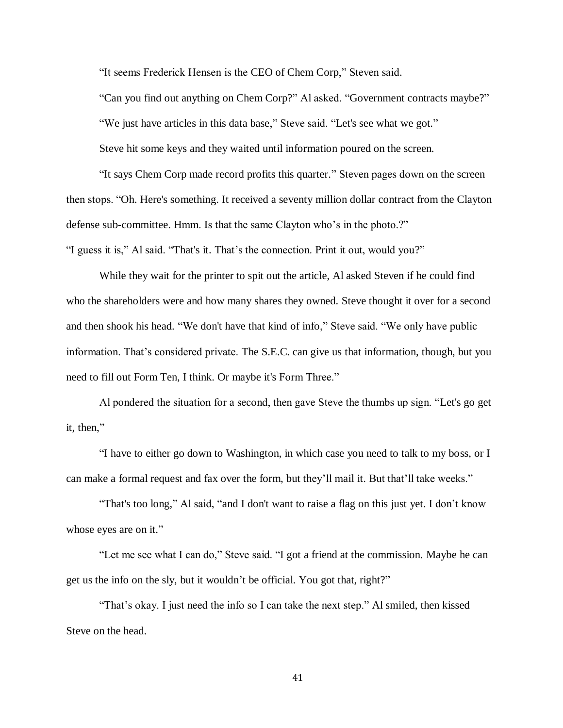"It seems Frederick Hensen is the CEO of Chem Corp," Steven said.

"Can you find out anything on Chem Corp?" Al asked. "Government contracts maybe?" "We just have articles in this data base," Steve said. "Let's see what we got." Steve hit some keys and they waited until information poured on the screen.

"It says Chem Corp made record profits this quarter." Steven pages down on the screen then stops. "Oh. Here's something. It received a seventy million dollar contract from the Clayton defense sub-committee. Hmm. Is that the same Clayton who's in the photo.?"

"I guess it is," Al said. "That's it. That's the connection. Print it out, would you?"

While they wait for the printer to spit out the article, Al asked Steven if he could find who the shareholders were and how many shares they owned. Steve thought it over for a second and then shook his head. "We don't have that kind of info," Steve said. "We only have public information. That's considered private. The S.E.C. can give us that information, though, but you need to fill out Form Ten, I think. Or maybe it's Form Three."

Al pondered the situation for a second, then gave Steve the thumbs up sign. "Let's go get it, then,"

"I have to either go down to Washington, in which case you need to talk to my boss, or I can make a formal request and fax over the form, but they'll mail it. But that'll take weeks."

"That's too long," Al said, "and I don't want to raise a flag on this just yet. I don't know whose eyes are on it."

"Let me see what I can do," Steve said. "I got a friend at the commission. Maybe he can get us the info on the sly, but it wouldn't be official. You got that, right?"

"That's okay. I just need the info so I can take the next step." Al smiled, then kissed Steve on the head.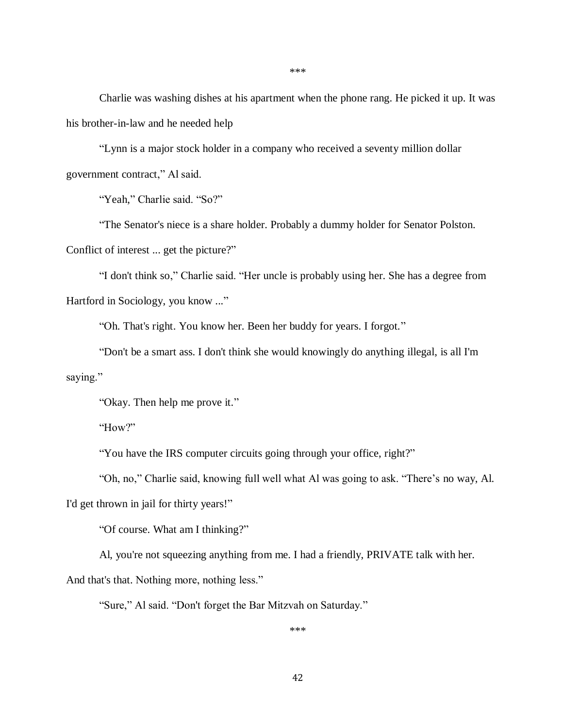Charlie was washing dishes at his apartment when the phone rang. He picked it up. It was his brother-in-law and he needed help

"Lynn is a major stock holder in a company who received a seventy million dollar government contract," Al said.

"Yeah," Charlie said. "So?"

"The Senator's niece is a share holder. Probably a dummy holder for Senator Polston. Conflict of interest ... get the picture?"

"I don't think so," Charlie said. "Her uncle is probably using her. She has a degree from Hartford in Sociology, you know ..."

"Oh. That's right. You know her. Been her buddy for years. I forgot."

"Don't be a smart ass. I don't think she would knowingly do anything illegal, is all I'm saying."

"Okay. Then help me prove it."

"How?"

"You have the IRS computer circuits going through your office, right?"

"Oh, no," Charlie said, knowing full well what Al was going to ask. "There's no way, Al.

I'd get thrown in jail for thirty years!"

"Of course. What am I thinking?"

Al, you're not squeezing anything from me. I had a friendly, PRIVATE talk with her.

And that's that. Nothing more, nothing less."

"Sure," Al said. "Don't forget the Bar Mitzvah on Saturday."

\*\*\*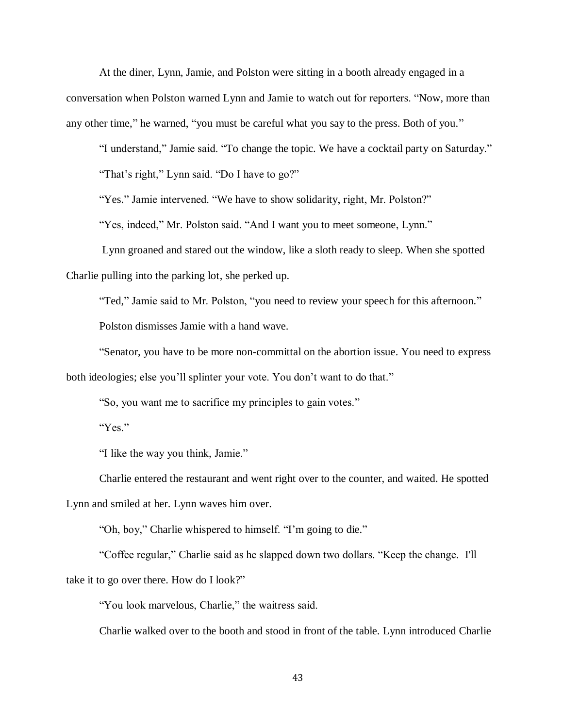At the diner, Lynn, Jamie, and Polston were sitting in a booth already engaged in a conversation when Polston warned Lynn and Jamie to watch out for reporters. "Now, more than any other time," he warned, "you must be careful what you say to the press. Both of you."

"I understand," Jamie said. "To change the topic. We have a cocktail party on Saturday."

"That's right," Lynn said. "Do I have to go?"

"Yes." Jamie intervened. "We have to show solidarity, right, Mr. Polston?"

"Yes, indeed," Mr. Polston said. "And I want you to meet someone, Lynn."

Lynn groaned and stared out the window, like a sloth ready to sleep. When she spotted Charlie pulling into the parking lot, she perked up.

"Ted," Jamie said to Mr. Polston, "you need to review your speech for this afternoon."

Polston dismisses Jamie with a hand wave.

"Senator, you have to be more non-committal on the abortion issue. You need to express both ideologies; else you'll splinter your vote. You don't want to do that."

"So, you want me to sacrifice my principles to gain votes."

"Yes."

"I like the way you think, Jamie."

Charlie entered the restaurant and went right over to the counter, and waited. He spotted Lynn and smiled at her. Lynn waves him over.

"Oh, boy," Charlie whispered to himself. "I'm going to die."

"Coffee regular," Charlie said as he slapped down two dollars. "Keep the change. I'll take it to go over there. How do I look?"

"You look marvelous, Charlie," the waitress said.

Charlie walked over to the booth and stood in front of the table. Lynn introduced Charlie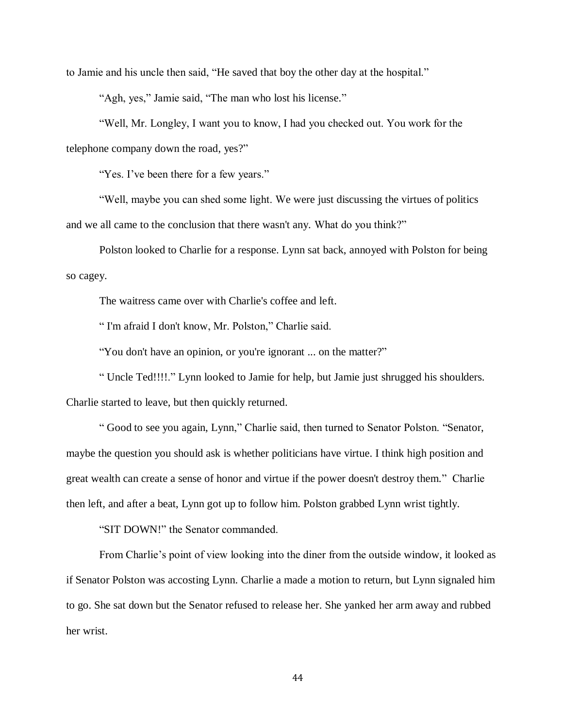to Jamie and his uncle then said, "He saved that boy the other day at the hospital."

"Agh, yes," Jamie said, "The man who lost his license."

"Well, Mr. Longley, I want you to know, I had you checked out. You work for the telephone company down the road, yes?"

"Yes. I've been there for a few years."

"Well, maybe you can shed some light. We were just discussing the virtues of politics and we all came to the conclusion that there wasn't any. What do you think?"

Polston looked to Charlie for a response. Lynn sat back, annoyed with Polston for being so cagey.

The waitress came over with Charlie's coffee and left.

" I'm afraid I don't know, Mr. Polston," Charlie said.

"You don't have an opinion, or you're ignorant ... on the matter?"

" Uncle Ted!!!!." Lynn looked to Jamie for help, but Jamie just shrugged his shoulders.

Charlie started to leave, but then quickly returned.

" Good to see you again, Lynn," Charlie said, then turned to Senator Polston. "Senator, maybe the question you should ask is whether politicians have virtue. I think high position and great wealth can create a sense of honor and virtue if the power doesn't destroy them." Charlie then left, and after a beat, Lynn got up to follow him. Polston grabbed Lynn wrist tightly.

"SIT DOWN!" the Senator commanded.

From Charlie's point of view looking into the diner from the outside window, it looked as if Senator Polston was accosting Lynn. Charlie a made a motion to return, but Lynn signaled him to go. She sat down but the Senator refused to release her. She yanked her arm away and rubbed her wrist.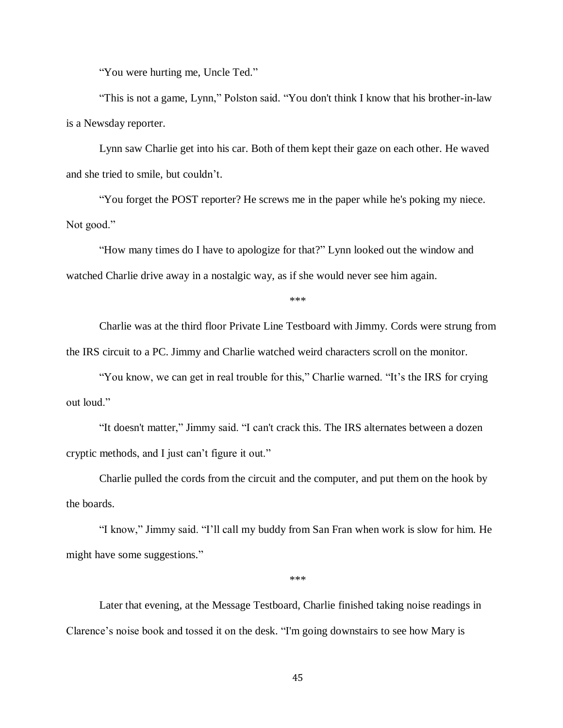"You were hurting me, Uncle Ted."

"This is not a game, Lynn," Polston said. "You don't think I know that his brother-in-law is a Newsday reporter.

Lynn saw Charlie get into his car. Both of them kept their gaze on each other. He waved and she tried to smile, but couldn't.

"You forget the POST reporter? He screws me in the paper while he's poking my niece. Not good."

"How many times do I have to apologize for that?" Lynn looked out the window and watched Charlie drive away in a nostalgic way, as if she would never see him again.

\*\*\*

Charlie was at the third floor Private Line Testboard with Jimmy. Cords were strung from the IRS circuit to a PC. Jimmy and Charlie watched weird characters scroll on the monitor.

"You know, we can get in real trouble for this," Charlie warned. "It's the IRS for crying out loud."

"It doesn't matter," Jimmy said. "I can't crack this. The IRS alternates between a dozen cryptic methods, and I just can't figure it out."

Charlie pulled the cords from the circuit and the computer, and put them on the hook by the boards.

"I know," Jimmy said. "I'll call my buddy from San Fran when work is slow for him. He might have some suggestions."

\*\*\*

Later that evening, at the Message Testboard, Charlie finished taking noise readings in Clarence's noise book and tossed it on the desk. "I'm going downstairs to see how Mary is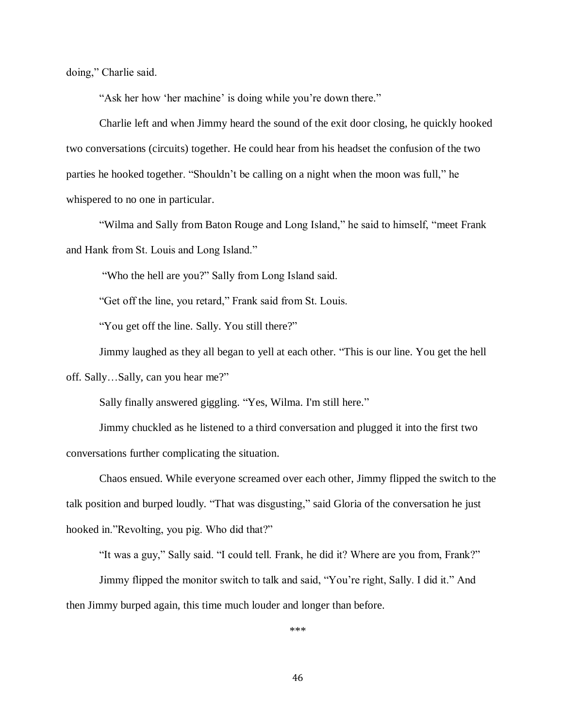doing," Charlie said.

"Ask her how 'her machine' is doing while you're down there."

Charlie left and when Jimmy heard the sound of the exit door closing, he quickly hooked two conversations (circuits) together. He could hear from his headset the confusion of the two parties he hooked together. "Shouldn't be calling on a night when the moon was full," he whispered to no one in particular.

"Wilma and Sally from Baton Rouge and Long Island," he said to himself, "meet Frank and Hank from St. Louis and Long Island."

"Who the hell are you?" Sally from Long Island said.

"Get off the line, you retard," Frank said from St. Louis.

"You get off the line. Sally. You still there?"

Jimmy laughed as they all began to yell at each other. "This is our line. You get the hell off. Sally…Sally, can you hear me?"

Sally finally answered giggling. "Yes, Wilma. I'm still here."

Jimmy chuckled as he listened to a third conversation and plugged it into the first two conversations further complicating the situation.

Chaos ensued. While everyone screamed over each other, Jimmy flipped the switch to the talk position and burped loudly. "That was disgusting," said Gloria of the conversation he just hooked in."Revolting, you pig. Who did that?"

"It was a guy," Sally said. "I could tell. Frank, he did it? Where are you from, Frank?"

Jimmy flipped the monitor switch to talk and said, "You're right, Sally. I did it." And then Jimmy burped again, this time much louder and longer than before.

\*\*\*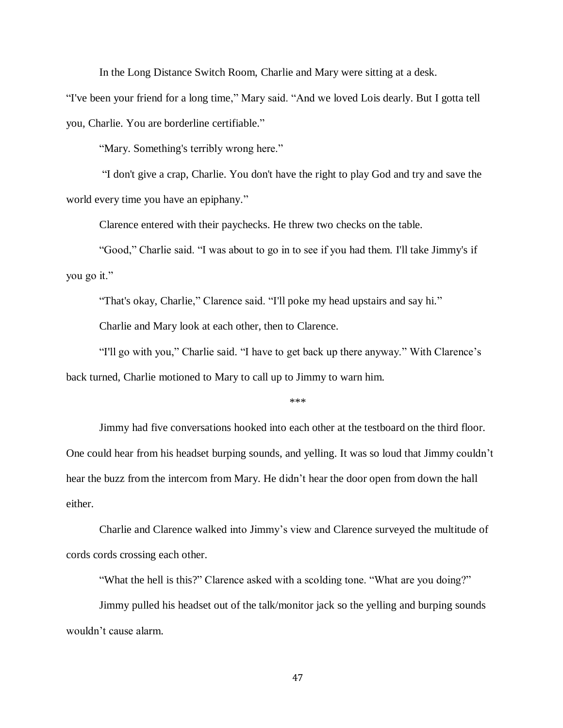In the Long Distance Switch Room, Charlie and Mary were sitting at a desk.

"I've been your friend for a long time," Mary said. "And we loved Lois dearly. But I gotta tell you, Charlie. You are borderline certifiable."

"Mary. Something's terribly wrong here."

"I don't give a crap, Charlie. You don't have the right to play God and try and save the world every time you have an epiphany."

Clarence entered with their paychecks. He threw two checks on the table.

"Good," Charlie said. "I was about to go in to see if you had them. I'll take Jimmy's if you go it."

"That's okay, Charlie," Clarence said. "I'll poke my head upstairs and say hi."

Charlie and Mary look at each other, then to Clarence.

"I'll go with you," Charlie said. "I have to get back up there anyway." With Clarence's back turned, Charlie motioned to Mary to call up to Jimmy to warn him.

\*\*\*

Jimmy had five conversations hooked into each other at the testboard on the third floor. One could hear from his headset burping sounds, and yelling. It was so loud that Jimmy couldn't hear the buzz from the intercom from Mary. He didn't hear the door open from down the hall either.

Charlie and Clarence walked into Jimmy's view and Clarence surveyed the multitude of cords cords crossing each other.

"What the hell is this?" Clarence asked with a scolding tone. "What are you doing?"

Jimmy pulled his headset out of the talk/monitor jack so the yelling and burping sounds wouldn't cause alarm.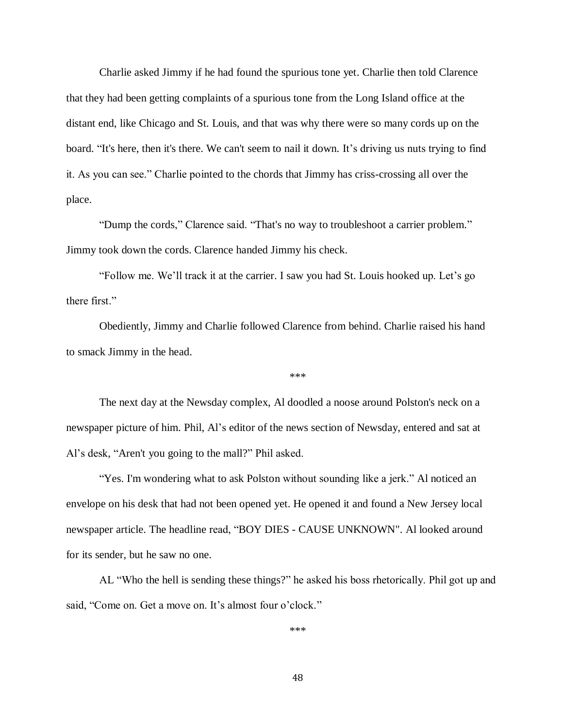Charlie asked Jimmy if he had found the spurious tone yet. Charlie then told Clarence that they had been getting complaints of a spurious tone from the Long Island office at the distant end, like Chicago and St. Louis, and that was why there were so many cords up on the board. "It's here, then it's there. We can't seem to nail it down. It's driving us nuts trying to find it. As you can see." Charlie pointed to the chords that Jimmy has criss-crossing all over the place.

"Dump the cords," Clarence said. "That's no way to troubleshoot a carrier problem." Jimmy took down the cords. Clarence handed Jimmy his check.

"Follow me. We'll track it at the carrier. I saw you had St. Louis hooked up. Let's go there first."

Obediently, Jimmy and Charlie followed Clarence from behind. Charlie raised his hand to smack Jimmy in the head.

\*\*\*

The next day at the Newsday complex, Al doodled a noose around Polston's neck on a newspaper picture of him. Phil, Al's editor of the news section of Newsday, entered and sat at Al's desk, "Aren't you going to the mall?" Phil asked.

"Yes. I'm wondering what to ask Polston without sounding like a jerk." Al noticed an envelope on his desk that had not been opened yet. He opened it and found a New Jersey local newspaper article. The headline read, "BOY DIES - CAUSE UNKNOWN". Al looked around for its sender, but he saw no one.

AL "Who the hell is sending these things?" he asked his boss rhetorically. Phil got up and said, "Come on. Get a move on. It's almost four o'clock."

\*\*\*

48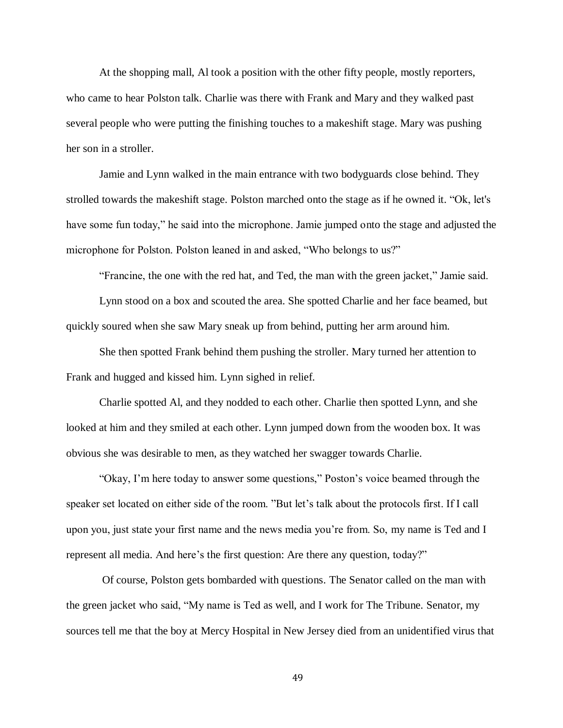At the shopping mall, Al took a position with the other fifty people, mostly reporters, who came to hear Polston talk. Charlie was there with Frank and Mary and they walked past several people who were putting the finishing touches to a makeshift stage. Mary was pushing her son in a stroller.

Jamie and Lynn walked in the main entrance with two bodyguards close behind. They strolled towards the makeshift stage. Polston marched onto the stage as if he owned it. "Ok, let's have some fun today," he said into the microphone. Jamie jumped onto the stage and adjusted the microphone for Polston. Polston leaned in and asked, "Who belongs to us?"

"Francine, the one with the red hat, and Ted, the man with the green jacket," Jamie said.

Lynn stood on a box and scouted the area. She spotted Charlie and her face beamed, but quickly soured when she saw Mary sneak up from behind, putting her arm around him.

She then spotted Frank behind them pushing the stroller. Mary turned her attention to Frank and hugged and kissed him. Lynn sighed in relief.

Charlie spotted Al, and they nodded to each other. Charlie then spotted Lynn, and she looked at him and they smiled at each other. Lynn jumped down from the wooden box. It was obvious she was desirable to men, as they watched her swagger towards Charlie.

"Okay, I'm here today to answer some questions," Poston's voice beamed through the speaker set located on either side of the room. "But let's talk about the protocols first. If I call upon you, just state your first name and the news media you're from. So, my name is Ted and I represent all media. And here's the first question: Are there any question, today?"

Of course, Polston gets bombarded with questions. The Senator called on the man with the green jacket who said, "My name is Ted as well, and I work for The Tribune. Senator, my sources tell me that the boy at Mercy Hospital in New Jersey died from an unidentified virus that

49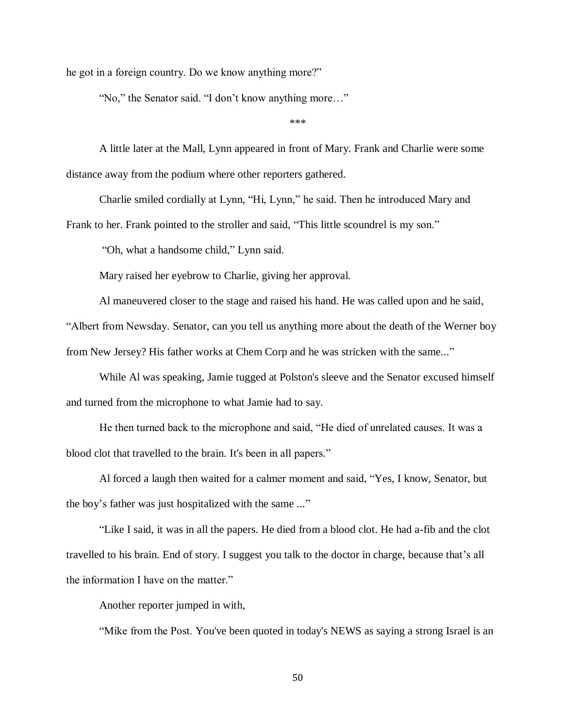he got in a foreign country. Do we know anything more?"

"No," the Senator said. "I don't know anything more…"

\*\*\*

A little later at the Mall, Lynn appeared in front of Mary. Frank and Charlie were some distance away from the podium where other reporters gathered.

Charlie smiled cordially at Lynn, "Hi, Lynn," he said. Then he introduced Mary and Frank to her. Frank pointed to the stroller and said, "This little scoundrel is my son."

"Oh, what a handsome child," Lynn said.

Mary raised her eyebrow to Charlie, giving her approval.

Al maneuvered closer to the stage and raised his hand. He was called upon and he said,

"Albert from Newsday. Senator, can you tell us anything more about the death of the Werner boy from New Jersey? His father works at Chem Corp and he was stricken with the same..."

While Al was speaking, Jamie tugged at Polston's sleeve and the Senator excused himself and turned from the microphone to what Jamie had to say.

He then turned back to the microphone and said, "He died of unrelated causes. It was a blood clot that travelled to the brain. It's been in all papers."

Al forced a laugh then waited for a calmer moment and said, "Yes, I know, Senator, but the boy's father was just hospitalized with the same ..."

"Like I said, it was in all the papers. He died from a blood clot. He had a-fib and the clot travelled to his brain. End of story. I suggest you talk to the doctor in charge, because that's all the information I have on the matter."

Another reporter jumped in with,

"Mike from the Post. You've been quoted in today's NEWS as saying a strong Israel is an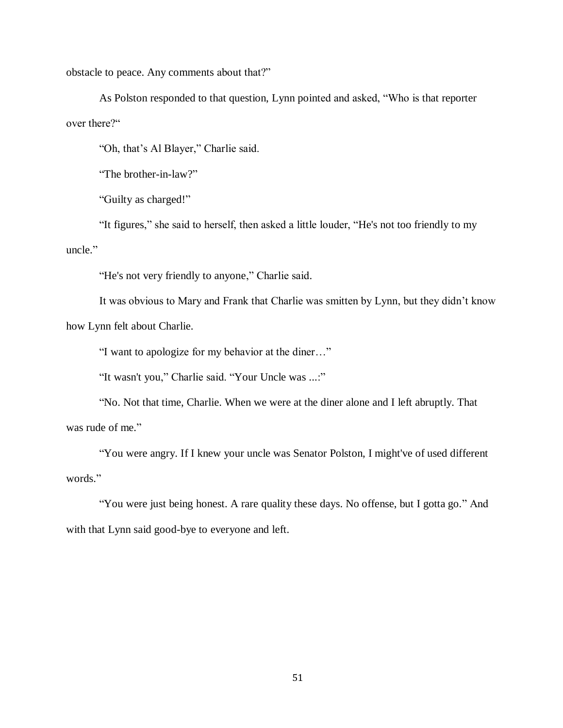obstacle to peace. Any comments about that?"

As Polston responded to that question, Lynn pointed and asked, "Who is that reporter over there?"

"Oh, that's Al Blayer," Charlie said.

"The brother-in-law?"

"Guilty as charged!"

"It figures," she said to herself, then asked a little louder, "He's not too friendly to my uncle."

"He's not very friendly to anyone," Charlie said.

It was obvious to Mary and Frank that Charlie was smitten by Lynn, but they didn't know how Lynn felt about Charlie.

"I want to apologize for my behavior at the diner…"

"It wasn't you," Charlie said. "Your Uncle was ...:"

"No. Not that time, Charlie. When we were at the diner alone and I left abruptly. That was rude of me."

"You were angry. If I knew your uncle was Senator Polston, I might've of used different words."

"You were just being honest. A rare quality these days. No offense, but I gotta go." And with that Lynn said good-bye to everyone and left.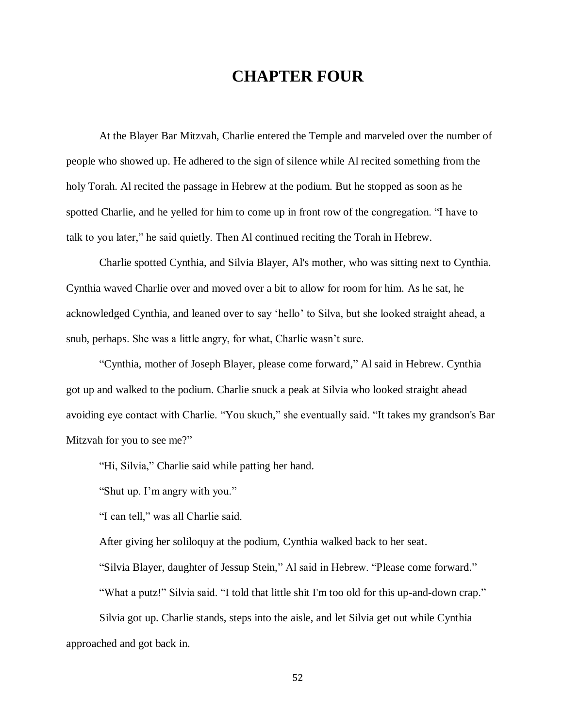## **CHAPTER FOUR**

At the Blayer Bar Mitzvah, Charlie entered the Temple and marveled over the number of people who showed up. He adhered to the sign of silence while Al recited something from the holy Torah. Al recited the passage in Hebrew at the podium. But he stopped as soon as he spotted Charlie, and he yelled for him to come up in front row of the congregation. "I have to talk to you later," he said quietly. Then Al continued reciting the Torah in Hebrew.

Charlie spotted Cynthia, and Silvia Blayer, Al's mother, who was sitting next to Cynthia. Cynthia waved Charlie over and moved over a bit to allow for room for him. As he sat, he acknowledged Cynthia, and leaned over to say 'hello' to Silva, but she looked straight ahead, a snub, perhaps. She was a little angry, for what, Charlie wasn't sure.

"Cynthia, mother of Joseph Blayer, please come forward," Al said in Hebrew. Cynthia got up and walked to the podium. Charlie snuck a peak at Silvia who looked straight ahead avoiding eye contact with Charlie. "You skuch," she eventually said. "It takes my grandson's Bar Mitzvah for you to see me?"

"Hi, Silvia," Charlie said while patting her hand.

"Shut up. I'm angry with you."

"I can tell," was all Charlie said.

After giving her soliloquy at the podium, Cynthia walked back to her seat.

"Silvia Blayer, daughter of Jessup Stein," Al said in Hebrew. "Please come forward."

"What a putz!" Silvia said. "I told that little shit I'm too old for this up-and-down crap."

Silvia got up. Charlie stands, steps into the aisle, and let Silvia get out while Cynthia approached and got back in.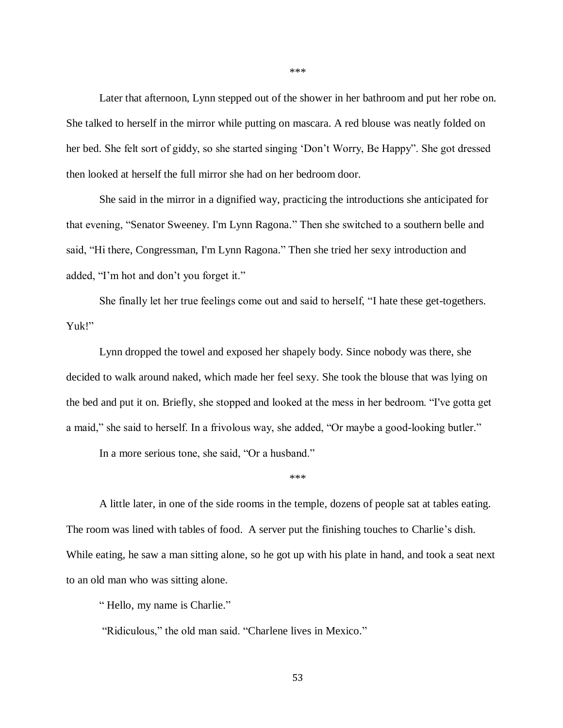Later that afternoon, Lynn stepped out of the shower in her bathroom and put her robe on. She talked to herself in the mirror while putting on mascara. A red blouse was neatly folded on her bed. She felt sort of giddy, so she started singing 'Don't Worry, Be Happy". She got dressed then looked at herself the full mirror she had on her bedroom door.

She said in the mirror in a dignified way, practicing the introductions she anticipated for that evening, "Senator Sweeney. I'm Lynn Ragona." Then she switched to a southern belle and said, "Hi there, Congressman, I'm Lynn Ragona." Then she tried her sexy introduction and added, "I'm hot and don't you forget it."

She finally let her true feelings come out and said to herself, "I hate these get-togethers. Yuk!"

Lynn dropped the towel and exposed her shapely body. Since nobody was there, she decided to walk around naked, which made her feel sexy. She took the blouse that was lying on the bed and put it on. Briefly, she stopped and looked at the mess in her bedroom. "I've gotta get a maid," she said to herself. In a frivolous way, she added, "Or maybe a good-looking butler."

In a more serious tone, she said, "Or a husband."

A little later, in one of the side rooms in the temple, dozens of people sat at tables eating. The room was lined with tables of food. A server put the finishing touches to Charlie's dish. While eating, he saw a man sitting alone, so he got up with his plate in hand, and took a seat next to an old man who was sitting alone.

\*\*\*

" Hello, my name is Charlie."

"Ridiculous," the old man said. "Charlene lives in Mexico."

\*\*\*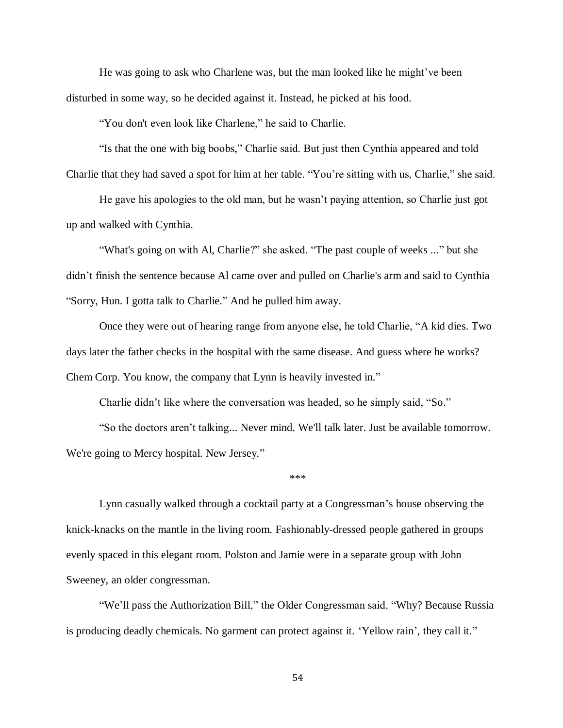He was going to ask who Charlene was, but the man looked like he might've been disturbed in some way, so he decided against it. Instead, he picked at his food.

"You don't even look like Charlene," he said to Charlie.

"Is that the one with big boobs," Charlie said. But just then Cynthia appeared and told Charlie that they had saved a spot for him at her table. "You're sitting with us, Charlie," she said.

He gave his apologies to the old man, but he wasn't paying attention, so Charlie just got up and walked with Cynthia.

"What's going on with Al, Charlie?" she asked. "The past couple of weeks ..." but she didn't finish the sentence because Al came over and pulled on Charlie's arm and said to Cynthia "Sorry, Hun. I gotta talk to Charlie." And he pulled him away.

Once they were out of hearing range from anyone else, he told Charlie, "A kid dies. Two days later the father checks in the hospital with the same disease. And guess where he works? Chem Corp. You know, the company that Lynn is heavily invested in."

Charlie didn't like where the conversation was headed, so he simply said, "So."

"So the doctors aren't talking... Never mind. We'll talk later. Just be available tomorrow. We're going to Mercy hospital. New Jersey."

\*\*\*

Lynn casually walked through a cocktail party at a Congressman's house observing the knick-knacks on the mantle in the living room. Fashionably-dressed people gathered in groups evenly spaced in this elegant room. Polston and Jamie were in a separate group with John Sweeney, an older congressman.

"We'll pass the Authorization Bill," the Older Congressman said. "Why? Because Russia is producing deadly chemicals. No garment can protect against it. 'Yellow rain', they call it."

54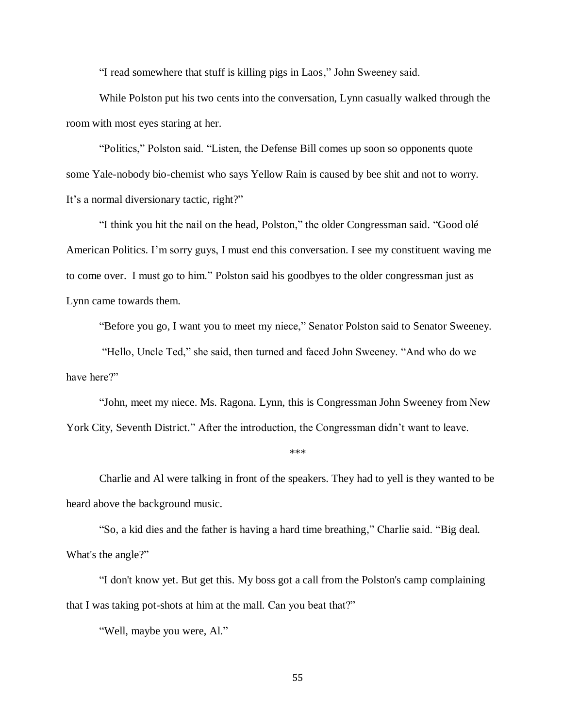"I read somewhere that stuff is killing pigs in Laos," John Sweeney said.

While Polston put his two cents into the conversation, Lynn casually walked through the room with most eyes staring at her.

"Politics," Polston said. "Listen, the Defense Bill comes up soon so opponents quote some Yale-nobody bio-chemist who says Yellow Rain is caused by bee shit and not to worry. It's a normal diversionary tactic, right?"

"I think you hit the nail on the head, Polston," the older Congressman said. "Good olé American Politics. I'm sorry guys, I must end this conversation. I see my constituent waving me to come over. I must go to him." Polston said his goodbyes to the older congressman just as Lynn came towards them.

"Before you go, I want you to meet my niece," Senator Polston said to Senator Sweeney.

"Hello, Uncle Ted," she said, then turned and faced John Sweeney. "And who do we have here?"

"John, meet my niece. Ms. Ragona. Lynn, this is Congressman John Sweeney from New York City, Seventh District." After the introduction, the Congressman didn't want to leave.

\*\*\*

Charlie and Al were talking in front of the speakers. They had to yell is they wanted to be heard above the background music.

"So, a kid dies and the father is having a hard time breathing," Charlie said. "Big deal. What's the angle?"

"I don't know yet. But get this. My boss got a call from the Polston's camp complaining that I was taking pot-shots at him at the mall. Can you beat that?"

"Well, maybe you were, Al."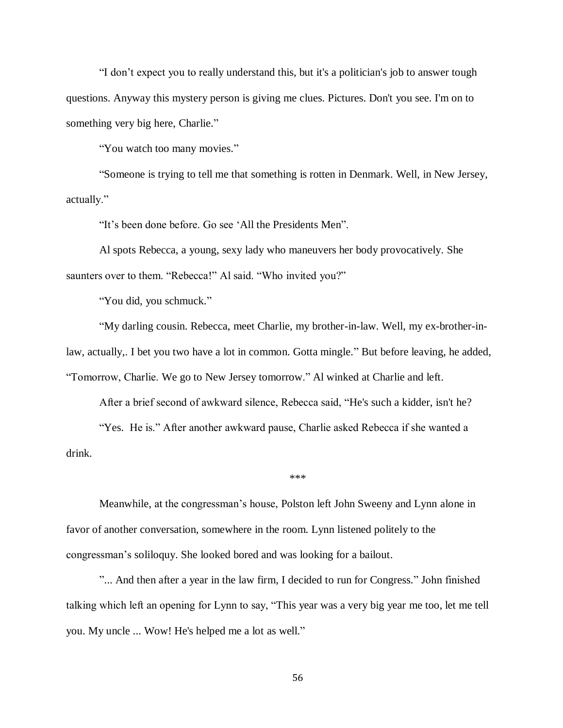"I don't expect you to really understand this, but it's a politician's job to answer tough questions. Anyway this mystery person is giving me clues. Pictures. Don't you see. I'm on to something very big here, Charlie."

"You watch too many movies."

"Someone is trying to tell me that something is rotten in Denmark. Well, in New Jersey, actually."

"It's been done before. Go see 'All the Presidents Men".

Al spots Rebecca, a young, sexy lady who maneuvers her body provocatively. She saunters over to them. "Rebecca!" Al said. "Who invited you?"

"You did, you schmuck."

"My darling cousin. Rebecca, meet Charlie, my brother-in-law. Well, my ex-brother-inlaw, actually,. I bet you two have a lot in common. Gotta mingle." But before leaving, he added, "Tomorrow, Charlie. We go to New Jersey tomorrow." Al winked at Charlie and left.

After a brief second of awkward silence, Rebecca said, "He's such a kidder, isn't he?

"Yes. He is." After another awkward pause, Charlie asked Rebecca if she wanted a drink.

\*\*\*

Meanwhile, at the congressman's house, Polston left John Sweeny and Lynn alone in favor of another conversation, somewhere in the room. Lynn listened politely to the congressman's soliloquy. She looked bored and was looking for a bailout.

"... And then after a year in the law firm, I decided to run for Congress." John finished talking which left an opening for Lynn to say, "This year was a very big year me too, let me tell you. My uncle ... Wow! He's helped me a lot as well."

56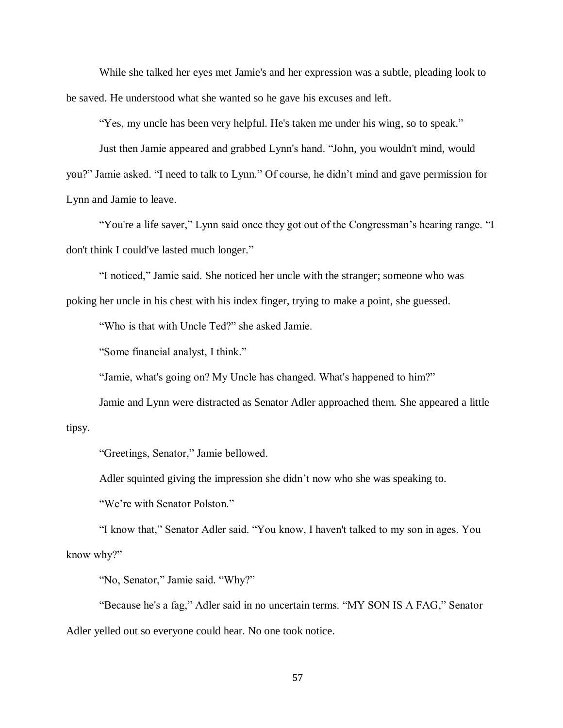While she talked her eyes met Jamie's and her expression was a subtle, pleading look to be saved. He understood what she wanted so he gave his excuses and left.

"Yes, my uncle has been very helpful. He's taken me under his wing, so to speak."

Just then Jamie appeared and grabbed Lynn's hand. "John, you wouldn't mind, would you?" Jamie asked. "I need to talk to Lynn." Of course, he didn't mind and gave permission for Lynn and Jamie to leave.

"You're a life saver," Lynn said once they got out of the Congressman's hearing range. "I don't think I could've lasted much longer."

"I noticed," Jamie said. She noticed her uncle with the stranger; someone who was poking her uncle in his chest with his index finger, trying to make a point, she guessed.

"Who is that with Uncle Ted?" she asked Jamie.

"Some financial analyst, I think."

"Jamie, what's going on? My Uncle has changed. What's happened to him?"

Jamie and Lynn were distracted as Senator Adler approached them. She appeared a little

## tipsy.

"Greetings, Senator," Jamie bellowed.

Adler squinted giving the impression she didn't now who she was speaking to.

"We're with Senator Polston."

"I know that," Senator Adler said. "You know, I haven't talked to my son in ages. You know why?"

"No, Senator," Jamie said. "Why?"

"Because he's a fag," Adler said in no uncertain terms. "MY SON IS A FAG," Senator Adler yelled out so everyone could hear. No one took notice.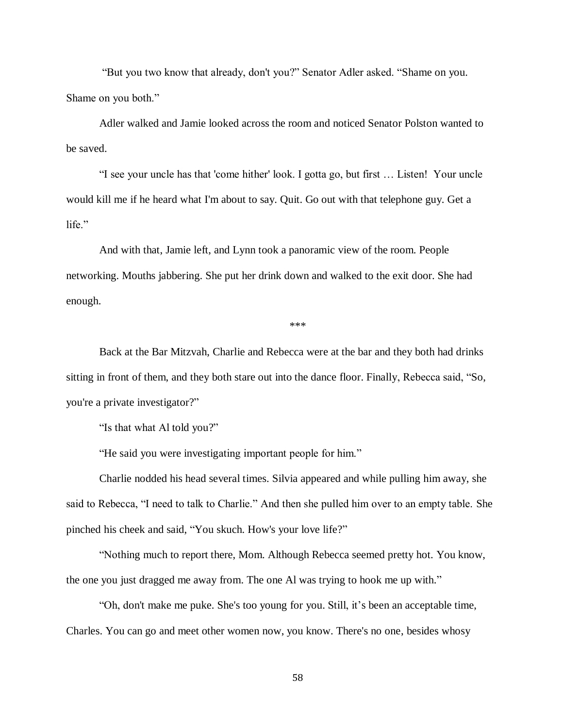"But you two know that already, don't you?" Senator Adler asked. "Shame on you. Shame on you both."

Adler walked and Jamie looked across the room and noticed Senator Polston wanted to be saved.

"I see your uncle has that 'come hither' look. I gotta go, but first … Listen! Your uncle would kill me if he heard what I'm about to say. Quit. Go out with that telephone guy. Get a life."

And with that, Jamie left, and Lynn took a panoramic view of the room. People networking. Mouths jabbering. She put her drink down and walked to the exit door. She had enough.

\*\*\*

Back at the Bar Mitzvah, Charlie and Rebecca were at the bar and they both had drinks sitting in front of them, and they both stare out into the dance floor. Finally, Rebecca said, "So, you're a private investigator?"

"Is that what Al told you?"

"He said you were investigating important people for him."

Charlie nodded his head several times. Silvia appeared and while pulling him away, she said to Rebecca, "I need to talk to Charlie." And then she pulled him over to an empty table. She pinched his cheek and said, "You skuch. How's your love life?"

"Nothing much to report there, Mom. Although Rebecca seemed pretty hot. You know, the one you just dragged me away from. The one Al was trying to hook me up with."

"Oh, don't make me puke. She's too young for you. Still, it's been an acceptable time, Charles. You can go and meet other women now, you know. There's no one, besides whosy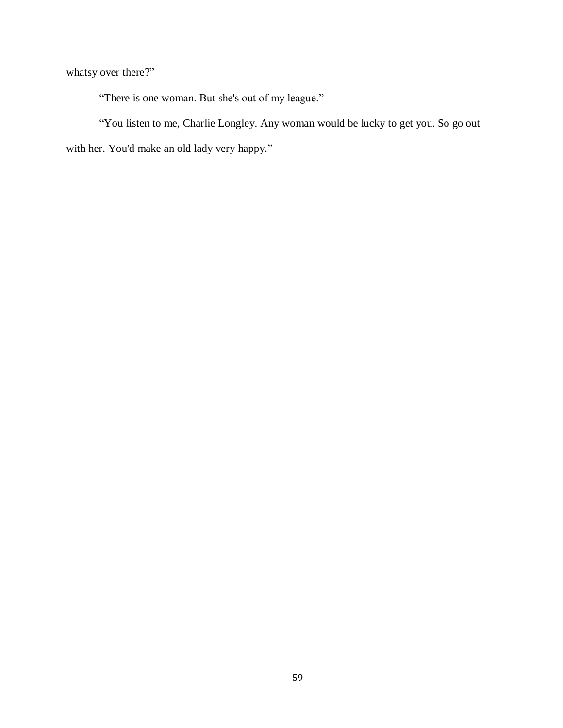whatsy over there?"

"There is one woman. But she's out of my league."

"You listen to me, Charlie Longley. Any woman would be lucky to get you. So go out with her. You'd make an old lady very happy."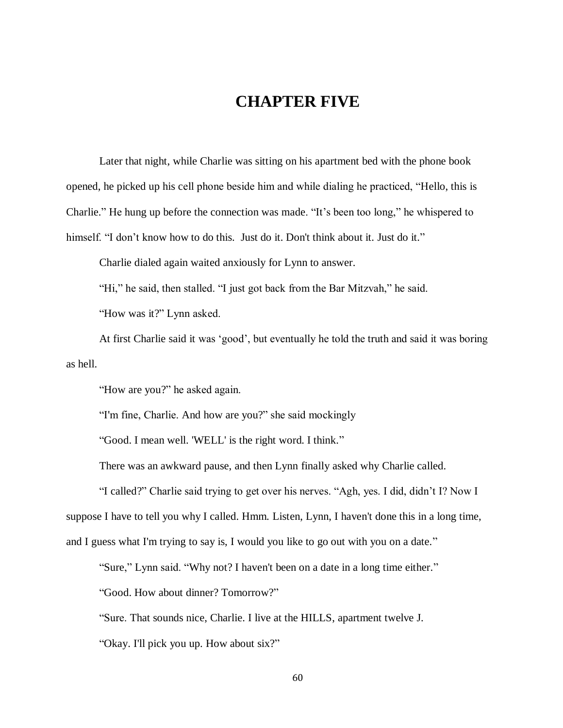## **CHAPTER FIVE**

Later that night, while Charlie was sitting on his apartment bed with the phone book opened, he picked up his cell phone beside him and while dialing he practiced, "Hello, this is Charlie." He hung up before the connection was made. "It's been too long," he whispered to himself. "I don't know how to do this. Just do it. Don't think about it. Just do it."

Charlie dialed again waited anxiously for Lynn to answer.

"Hi," he said, then stalled. "I just got back from the Bar Mitzvah," he said.

"How was it?" Lynn asked.

At first Charlie said it was 'good', but eventually he told the truth and said it was boring as hell.

"How are you?" he asked again.

"I'm fine, Charlie. And how are you?" she said mockingly

"Good. I mean well. 'WELL' is the right word. I think."

There was an awkward pause, and then Lynn finally asked why Charlie called.

"I called?" Charlie said trying to get over his nerves. "Agh, yes. I did, didn't I? Now I suppose I have to tell you why I called. Hmm. Listen, Lynn, I haven't done this in a long time, and I guess what I'm trying to say is, I would you like to go out with you on a date."

"Sure," Lynn said. "Why not? I haven't been on a date in a long time either."

"Good. How about dinner? Tomorrow?"

"Sure. That sounds nice, Charlie. I live at the HILLS, apartment twelve J.

"Okay. I'll pick you up. How about six?"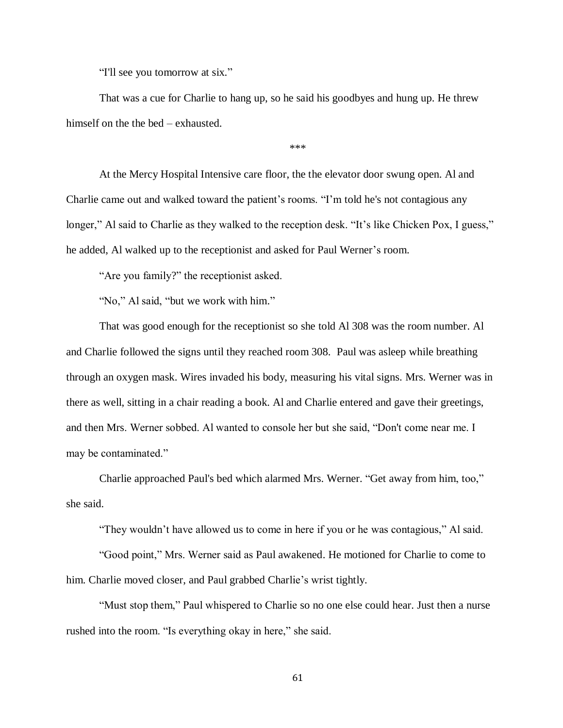"I'll see you tomorrow at six."

That was a cue for Charlie to hang up, so he said his goodbyes and hung up. He threw himself on the the bed – exhausted.

\*\*\*

At the Mercy Hospital Intensive care floor, the the elevator door swung open. Al and Charlie came out and walked toward the patient's rooms. "I'm told he's not contagious any longer," Al said to Charlie as they walked to the reception desk. "It's like Chicken Pox, I guess," he added, Al walked up to the receptionist and asked for Paul Werner's room.

"Are you family?" the receptionist asked.

"No," Al said, "but we work with him."

That was good enough for the receptionist so she told Al 308 was the room number. Al and Charlie followed the signs until they reached room 308. Paul was asleep while breathing through an oxygen mask. Wires invaded his body, measuring his vital signs. Mrs. Werner was in there as well, sitting in a chair reading a book. Al and Charlie entered and gave their greetings, and then Mrs. Werner sobbed. Al wanted to console her but she said, "Don't come near me. I may be contaminated."

Charlie approached Paul's bed which alarmed Mrs. Werner. "Get away from him, too," she said.

"They wouldn't have allowed us to come in here if you or he was contagious," Al said.

"Good point," Mrs. Werner said as Paul awakened. He motioned for Charlie to come to him. Charlie moved closer, and Paul grabbed Charlie's wrist tightly.

"Must stop them," Paul whispered to Charlie so no one else could hear. Just then a nurse rushed into the room. "Is everything okay in here," she said.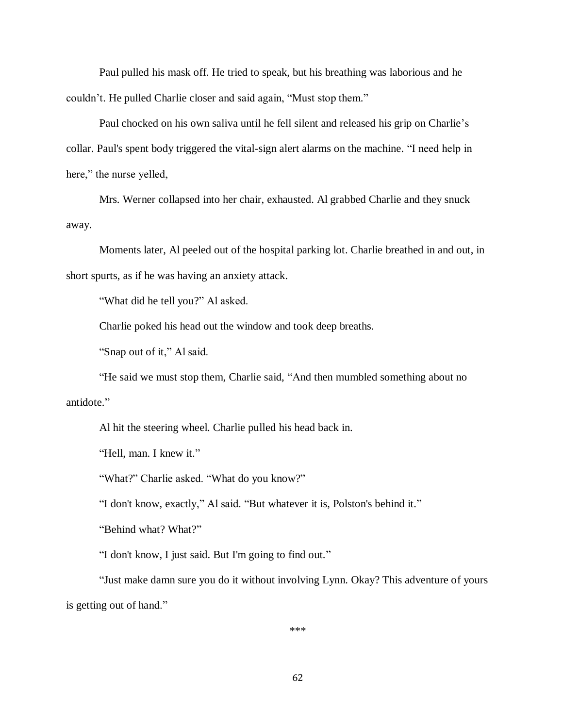Paul pulled his mask off. He tried to speak, but his breathing was laborious and he couldn't. He pulled Charlie closer and said again, "Must stop them."

Paul chocked on his own saliva until he fell silent and released his grip on Charlie's collar. Paul's spent body triggered the vital-sign alert alarms on the machine. "I need help in here," the nurse yelled,

Mrs. Werner collapsed into her chair, exhausted. Al grabbed Charlie and they snuck away.

Moments later, Al peeled out of the hospital parking lot. Charlie breathed in and out, in short spurts, as if he was having an anxiety attack.

"What did he tell you?" Al asked.

Charlie poked his head out the window and took deep breaths.

"Snap out of it," Al said.

"He said we must stop them, Charlie said, "And then mumbled something about no antidote."

Al hit the steering wheel. Charlie pulled his head back in.

"Hell, man. I knew it."

"What?" Charlie asked. "What do you know?"

"I don't know, exactly," Al said. "But whatever it is, Polston's behind it."

"Behind what? What?"

"I don't know, I just said. But I'm going to find out."

"Just make damn sure you do it without involving Lynn. Okay? This adventure of yours is getting out of hand."

\*\*\*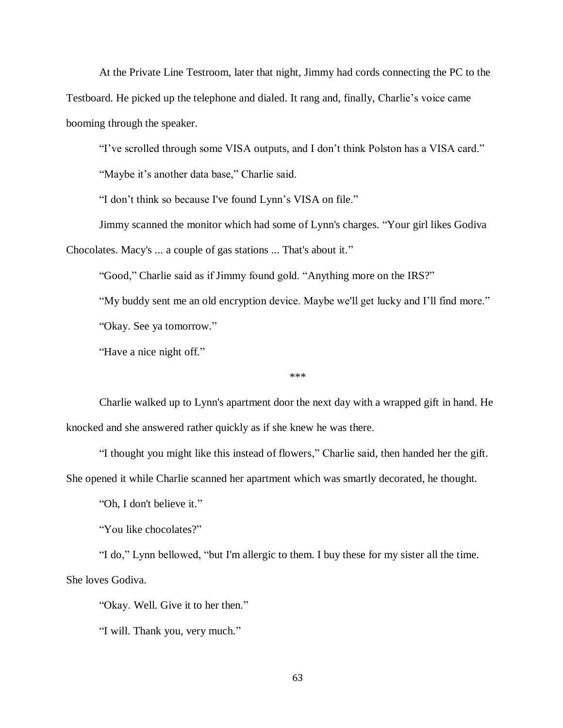At the Private Line Testroom, later that night, Jimmy had cords connecting the PC to the Testboard. He picked up the telephone and dialed. It rang and, finally, Charlie's voice came booming through the speaker.

"I've scrolled through some VISA outputs, and I don't think Polston has a VISA card."

"Maybe it's another data base," Charlie said.

"I don't think so because I've found Lynn's VISA on file."

Jimmy scanned the monitor which had some of Lynn's charges. "Your girl likes Godiva

Chocolates. Macy's ... a couple of gas stations ... That's about it."

"Good," Charlie said as if Jimmy found gold. "Anything more on the IRS?"

"My buddy sent me an old encryption device. Maybe we'll get lucky and I'll find more."

"Okay. See ya tomorrow."

"Have a nice night off."

\*\*\*

Charlie walked up to Lynn's apartment door the next day with a wrapped gift in hand. He knocked and she answered rather quickly as if she knew he was there.

"I thought you might like this instead of flowers," Charlie said, then handed her the gift.

She opened it while Charlie scanned her apartment which was smartly decorated, he thought.

"Oh, I don't believe it."

"You like chocolates?"

"I do," Lynn bellowed, "but I'm allergic to them. I buy these for my sister all the time. She loves Godiva.

"Okay. Well. Give it to her then."

"I will. Thank you, very much."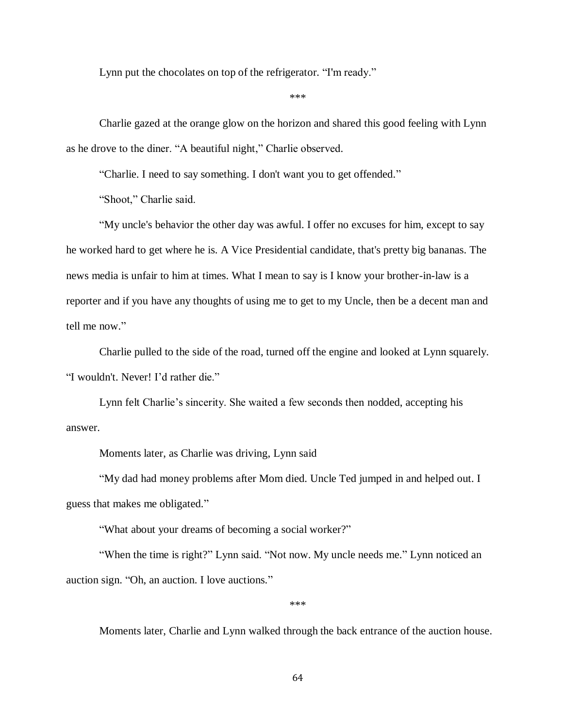Lynn put the chocolates on top of the refrigerator. "I'm ready."

\*\*\*

Charlie gazed at the orange glow on the horizon and shared this good feeling with Lynn as he drove to the diner. "A beautiful night," Charlie observed.

"Charlie. I need to say something. I don't want you to get offended."

"Shoot," Charlie said.

"My uncle's behavior the other day was awful. I offer no excuses for him, except to say he worked hard to get where he is. A Vice Presidential candidate, that's pretty big bananas. The news media is unfair to him at times. What I mean to say is I know your brother-in-law is a reporter and if you have any thoughts of using me to get to my Uncle, then be a decent man and tell me now."

Charlie pulled to the side of the road, turned off the engine and looked at Lynn squarely. "I wouldn't. Never! I'd rather die."

Lynn felt Charlie's sincerity. She waited a few seconds then nodded, accepting his answer.

Moments later, as Charlie was driving, Lynn said

"My dad had money problems after Mom died. Uncle Ted jumped in and helped out. I guess that makes me obligated."

"What about your dreams of becoming a social worker?"

"When the time is right?" Lynn said. "Not now. My uncle needs me." Lynn noticed an auction sign. "Oh, an auction. I love auctions."

\*\*\*

Moments later, Charlie and Lynn walked through the back entrance of the auction house.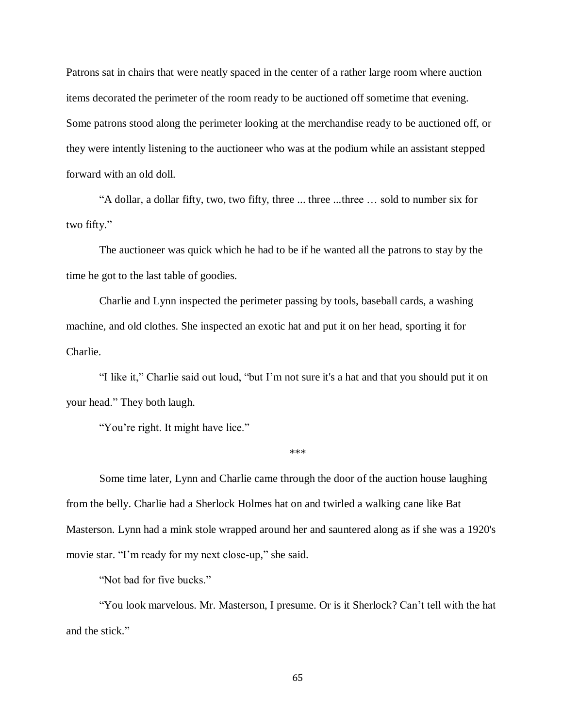Patrons sat in chairs that were neatly spaced in the center of a rather large room where auction items decorated the perimeter of the room ready to be auctioned off sometime that evening. Some patrons stood along the perimeter looking at the merchandise ready to be auctioned off, or they were intently listening to the auctioneer who was at the podium while an assistant stepped forward with an old doll.

"A dollar, a dollar fifty, two, two fifty, three ... three ...three … sold to number six for two fifty."

The auctioneer was quick which he had to be if he wanted all the patrons to stay by the time he got to the last table of goodies.

Charlie and Lynn inspected the perimeter passing by tools, baseball cards, a washing machine, and old clothes. She inspected an exotic hat and put it on her head, sporting it for Charlie.

"I like it," Charlie said out loud, "but I'm not sure it's a hat and that you should put it on your head." They both laugh.

"You're right. It might have lice."

\*\*\*

Some time later, Lynn and Charlie came through the door of the auction house laughing from the belly. Charlie had a Sherlock Holmes hat on and twirled a walking cane like Bat Masterson. Lynn had a mink stole wrapped around her and sauntered along as if she was a 1920's movie star. "I'm ready for my next close-up," she said.

"Not bad for five bucks."

"You look marvelous. Mr. Masterson, I presume. Or is it Sherlock? Can't tell with the hat and the stick."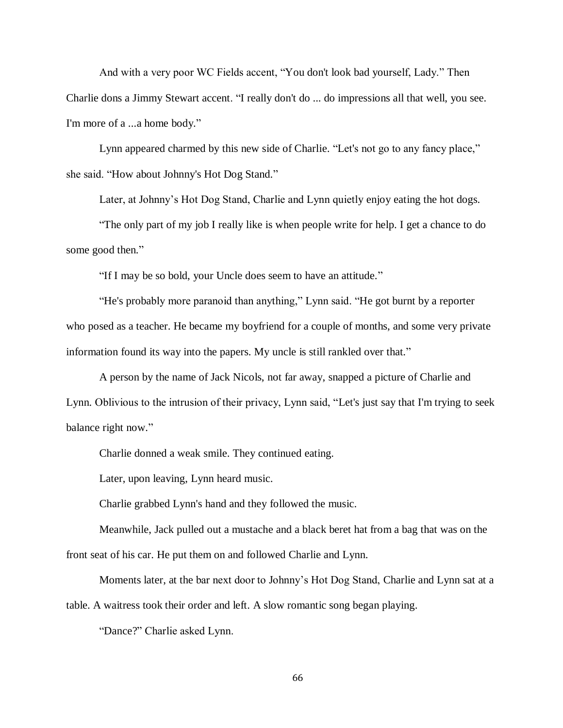And with a very poor WC Fields accent, "You don't look bad yourself, Lady." Then Charlie dons a Jimmy Stewart accent. "I really don't do ... do impressions all that well, you see. I'm more of a ...a home body."

Lynn appeared charmed by this new side of Charlie. "Let's not go to any fancy place," she said. "How about Johnny's Hot Dog Stand."

Later, at Johnny's Hot Dog Stand, Charlie and Lynn quietly enjoy eating the hot dogs.

"The only part of my job I really like is when people write for help. I get a chance to do some good then."

"If I may be so bold, your Uncle does seem to have an attitude."

"He's probably more paranoid than anything," Lynn said. "He got burnt by a reporter who posed as a teacher. He became my boyfriend for a couple of months, and some very private information found its way into the papers. My uncle is still rankled over that."

A person by the name of Jack Nicols, not far away, snapped a picture of Charlie and Lynn. Oblivious to the intrusion of their privacy, Lynn said, "Let's just say that I'm trying to seek balance right now."

Charlie donned a weak smile. They continued eating.

Later, upon leaving, Lynn heard music.

Charlie grabbed Lynn's hand and they followed the music.

Meanwhile, Jack pulled out a mustache and a black beret hat from a bag that was on the front seat of his car. He put them on and followed Charlie and Lynn.

Moments later, at the bar next door to Johnny's Hot Dog Stand, Charlie and Lynn sat at a table. A waitress took their order and left. A slow romantic song began playing.

"Dance?" Charlie asked Lynn.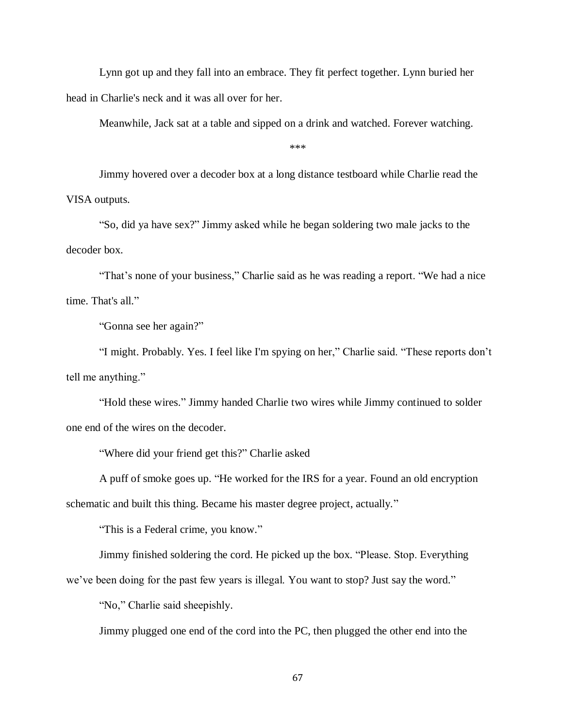Lynn got up and they fall into an embrace. They fit perfect together. Lynn buried her head in Charlie's neck and it was all over for her.

Meanwhile, Jack sat at a table and sipped on a drink and watched. Forever watching.

\*\*\*

Jimmy hovered over a decoder box at a long distance testboard while Charlie read the VISA outputs.

"So, did ya have sex?" Jimmy asked while he began soldering two male jacks to the decoder box.

"That's none of your business," Charlie said as he was reading a report. "We had a nice time. That's all."

"Gonna see her again?"

"I might. Probably. Yes. I feel like I'm spying on her," Charlie said. "These reports don't tell me anything."

"Hold these wires." Jimmy handed Charlie two wires while Jimmy continued to solder one end of the wires on the decoder.

"Where did your friend get this?" Charlie asked

A puff of smoke goes up. "He worked for the IRS for a year. Found an old encryption

schematic and built this thing. Became his master degree project, actually."

"This is a Federal crime, you know."

Jimmy finished soldering the cord. He picked up the box. "Please. Stop. Everything

we've been doing for the past few years is illegal. You want to stop? Just say the word."

"No," Charlie said sheepishly.

Jimmy plugged one end of the cord into the PC, then plugged the other end into the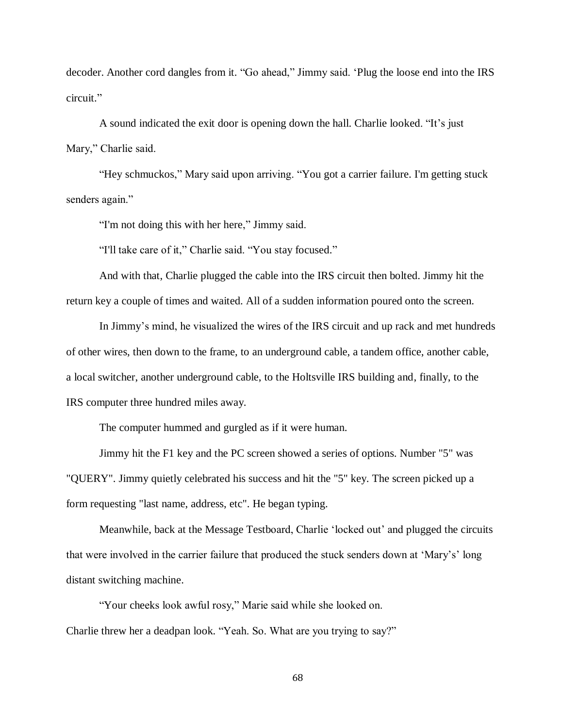decoder. Another cord dangles from it. "Go ahead," Jimmy said. 'Plug the loose end into the IRS circuit."

A sound indicated the exit door is opening down the hall. Charlie looked. "It's just Mary," Charlie said.

"Hey schmuckos," Mary said upon arriving. "You got a carrier failure. I'm getting stuck senders again."

"I'm not doing this with her here," Jimmy said.

"I'll take care of it," Charlie said. "You stay focused."

And with that, Charlie plugged the cable into the IRS circuit then bolted. Jimmy hit the return key a couple of times and waited. All of a sudden information poured onto the screen.

In Jimmy's mind, he visualized the wires of the IRS circuit and up rack and met hundreds of other wires, then down to the frame, to an underground cable, a tandem office, another cable, a local switcher, another underground cable, to the Holtsville IRS building and, finally, to the IRS computer three hundred miles away.

The computer hummed and gurgled as if it were human.

Jimmy hit the F1 key and the PC screen showed a series of options. Number "5" was "QUERY". Jimmy quietly celebrated his success and hit the "5" key. The screen picked up a form requesting "last name, address, etc". He began typing.

Meanwhile, back at the Message Testboard, Charlie 'locked out' and plugged the circuits that were involved in the carrier failure that produced the stuck senders down at 'Mary's' long distant switching machine.

"Your cheeks look awful rosy," Marie said while she looked on. Charlie threw her a deadpan look. "Yeah. So. What are you trying to say?"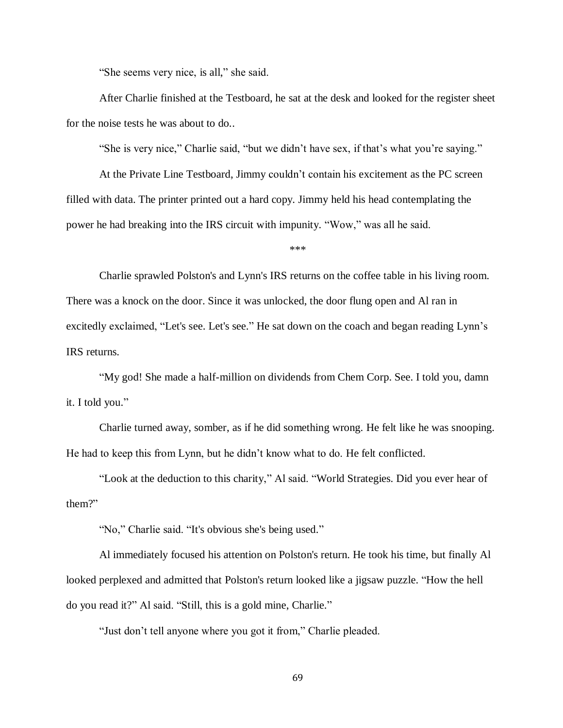"She seems very nice, is all," she said.

After Charlie finished at the Testboard, he sat at the desk and looked for the register sheet for the noise tests he was about to do..

"She is very nice," Charlie said, "but we didn't have sex, if that's what you're saying."

At the Private Line Testboard, Jimmy couldn't contain his excitement as the PC screen filled with data. The printer printed out a hard copy. Jimmy held his head contemplating the power he had breaking into the IRS circuit with impunity. "Wow," was all he said.

\*\*\*

Charlie sprawled Polston's and Lynn's IRS returns on the coffee table in his living room. There was a knock on the door. Since it was unlocked, the door flung open and Al ran in excitedly exclaimed, "Let's see. Let's see." He sat down on the coach and began reading Lynn's IRS returns.

"My god! She made a half-million on dividends from Chem Corp. See. I told you, damn it. I told you."

Charlie turned away, somber, as if he did something wrong. He felt like he was snooping. He had to keep this from Lynn, but he didn't know what to do. He felt conflicted.

"Look at the deduction to this charity," Al said. "World Strategies. Did you ever hear of them?"

"No," Charlie said. "It's obvious she's being used."

Al immediately focused his attention on Polston's return. He took his time, but finally Al looked perplexed and admitted that Polston's return looked like a jigsaw puzzle. "How the hell do you read it?" Al said. "Still, this is a gold mine, Charlie."

"Just don't tell anyone where you got it from," Charlie pleaded.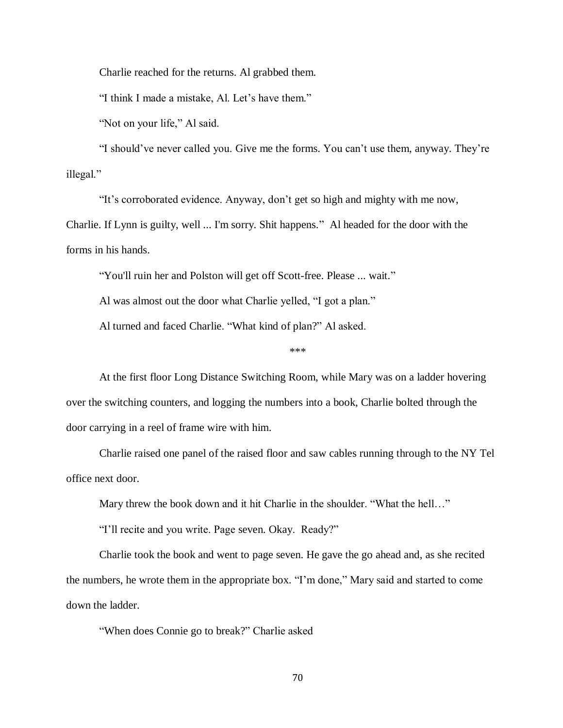Charlie reached for the returns. Al grabbed them.

"I think I made a mistake, Al. Let's have them."

"Not on your life," Al said.

"I should've never called you. Give me the forms. You can't use them, anyway. They're illegal."

"It's corroborated evidence. Anyway, don't get so high and mighty with me now,

Charlie. If Lynn is guilty, well ... I'm sorry. Shit happens." Al headed for the door with the forms in his hands.

"You'll ruin her and Polston will get off Scott-free. Please ... wait."

Al was almost out the door what Charlie yelled, "I got a plan."

Al turned and faced Charlie. "What kind of plan?" Al asked.

\*\*\*

At the first floor Long Distance Switching Room, while Mary was on a ladder hovering over the switching counters, and logging the numbers into a book, Charlie bolted through the door carrying in a reel of frame wire with him.

Charlie raised one panel of the raised floor and saw cables running through to the NY Tel office next door.

Mary threw the book down and it hit Charlie in the shoulder. "What the hell..."

"I'll recite and you write. Page seven. Okay. Ready?"

Charlie took the book and went to page seven. He gave the go ahead and, as she recited the numbers, he wrote them in the appropriate box. "I'm done," Mary said and started to come down the ladder.

"When does Connie go to break?" Charlie asked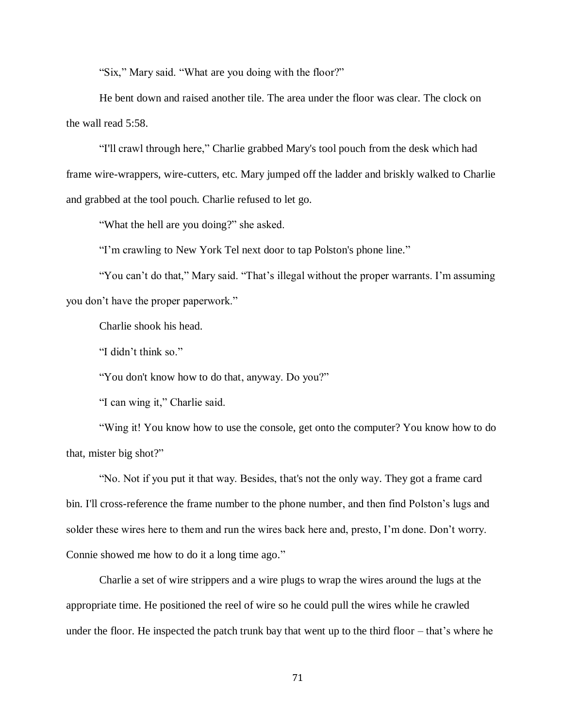"Six," Mary said. "What are you doing with the floor?"

He bent down and raised another tile. The area under the floor was clear. The clock on the wall read 5:58.

"I'll crawl through here," Charlie grabbed Mary's tool pouch from the desk which had frame wire-wrappers, wire-cutters, etc. Mary jumped off the ladder and briskly walked to Charlie and grabbed at the tool pouch. Charlie refused to let go.

"What the hell are you doing?" she asked.

"I'm crawling to New York Tel next door to tap Polston's phone line."

"You can't do that," Mary said. "That's illegal without the proper warrants. I'm assuming you don't have the proper paperwork."

Charlie shook his head.

"I didn't think so."

"You don't know how to do that, anyway. Do you?"

"I can wing it," Charlie said.

"Wing it! You know how to use the console, get onto the computer? You know how to do that, mister big shot?"

"No. Not if you put it that way. Besides, that's not the only way. They got a frame card bin. I'll cross-reference the frame number to the phone number, and then find Polston's lugs and solder these wires here to them and run the wires back here and, presto, I'm done. Don't worry. Connie showed me how to do it a long time ago."

Charlie a set of wire strippers and a wire plugs to wrap the wires around the lugs at the appropriate time. He positioned the reel of wire so he could pull the wires while he crawled under the floor. He inspected the patch trunk bay that went up to the third floor – that's where he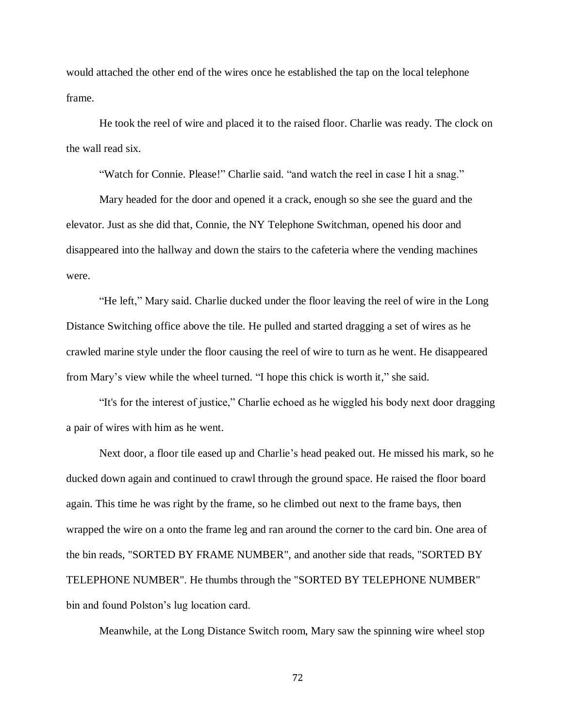would attached the other end of the wires once he established the tap on the local telephone frame.

He took the reel of wire and placed it to the raised floor. Charlie was ready. The clock on the wall read six.

"Watch for Connie. Please!" Charlie said. "and watch the reel in case I hit a snag."

Mary headed for the door and opened it a crack, enough so she see the guard and the elevator. Just as she did that, Connie, the NY Telephone Switchman, opened his door and disappeared into the hallway and down the stairs to the cafeteria where the vending machines were.

"He left," Mary said. Charlie ducked under the floor leaving the reel of wire in the Long Distance Switching office above the tile. He pulled and started dragging a set of wires as he crawled marine style under the floor causing the reel of wire to turn as he went. He disappeared from Mary's view while the wheel turned. "I hope this chick is worth it," she said.

"It's for the interest of justice," Charlie echoed as he wiggled his body next door dragging a pair of wires with him as he went.

Next door, a floor tile eased up and Charlie's head peaked out. He missed his mark, so he ducked down again and continued to crawl through the ground space. He raised the floor board again. This time he was right by the frame, so he climbed out next to the frame bays, then wrapped the wire on a onto the frame leg and ran around the corner to the card bin. One area of the bin reads, "SORTED BY FRAME NUMBER", and another side that reads, "SORTED BY TELEPHONE NUMBER". He thumbs through the "SORTED BY TELEPHONE NUMBER" bin and found Polston's lug location card.

Meanwhile, at the Long Distance Switch room, Mary saw the spinning wire wheel stop

72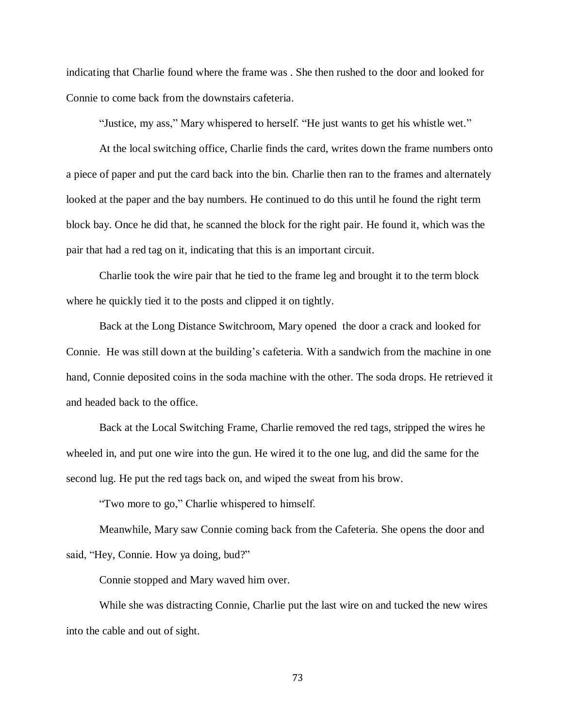indicating that Charlie found where the frame was . She then rushed to the door and looked for Connie to come back from the downstairs cafeteria.

"Justice, my ass," Mary whispered to herself. "He just wants to get his whistle wet."

At the local switching office, Charlie finds the card, writes down the frame numbers onto a piece of paper and put the card back into the bin. Charlie then ran to the frames and alternately looked at the paper and the bay numbers. He continued to do this until he found the right term block bay. Once he did that, he scanned the block for the right pair. He found it, which was the pair that had a red tag on it, indicating that this is an important circuit.

Charlie took the wire pair that he tied to the frame leg and brought it to the term block where he quickly tied it to the posts and clipped it on tightly.

Back at the Long Distance Switchroom, Mary opened the door a crack and looked for Connie. He was still down at the building's cafeteria. With a sandwich from the machine in one hand, Connie deposited coins in the soda machine with the other. The soda drops. He retrieved it and headed back to the office.

Back at the Local Switching Frame, Charlie removed the red tags, stripped the wires he wheeled in, and put one wire into the gun. He wired it to the one lug, and did the same for the second lug. He put the red tags back on, and wiped the sweat from his brow.

"Two more to go," Charlie whispered to himself.

Meanwhile, Mary saw Connie coming back from the Cafeteria. She opens the door and said, "Hey, Connie. How ya doing, bud?"

Connie stopped and Mary waved him over.

While she was distracting Connie, Charlie put the last wire on and tucked the new wires into the cable and out of sight.

73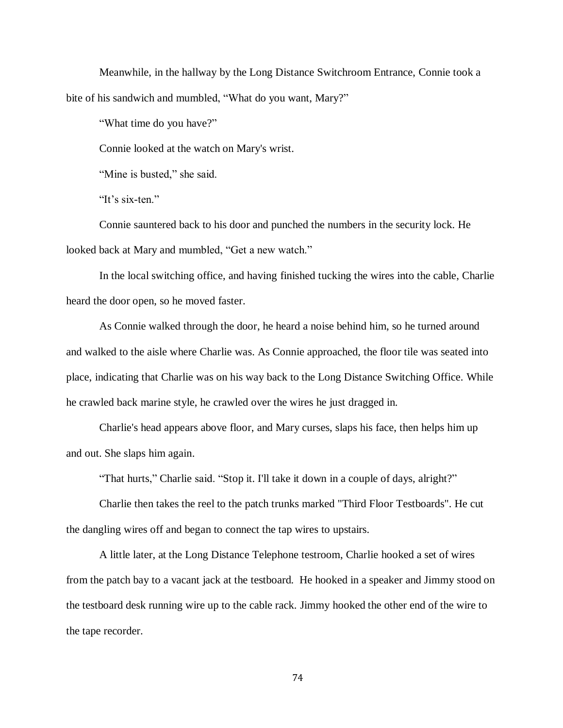Meanwhile, in the hallway by the Long Distance Switchroom Entrance, Connie took a bite of his sandwich and mumbled, "What do you want, Mary?"

"What time do you have?"

Connie looked at the watch on Mary's wrist.

"Mine is busted," she said.

"It's six-ten."

Connie sauntered back to his door and punched the numbers in the security lock. He looked back at Mary and mumbled, "Get a new watch."

In the local switching office, and having finished tucking the wires into the cable, Charlie heard the door open, so he moved faster.

As Connie walked through the door, he heard a noise behind him, so he turned around and walked to the aisle where Charlie was. As Connie approached, the floor tile was seated into place, indicating that Charlie was on his way back to the Long Distance Switching Office. While he crawled back marine style, he crawled over the wires he just dragged in.

Charlie's head appears above floor, and Mary curses, slaps his face, then helps him up and out. She slaps him again.

"That hurts," Charlie said. "Stop it. I'll take it down in a couple of days, alright?"

Charlie then takes the reel to the patch trunks marked "Third Floor Testboards". He cut the dangling wires off and began to connect the tap wires to upstairs.

A little later, at the Long Distance Telephone testroom, Charlie hooked a set of wires from the patch bay to a vacant jack at the testboard. He hooked in a speaker and Jimmy stood on the testboard desk running wire up to the cable rack. Jimmy hooked the other end of the wire to the tape recorder.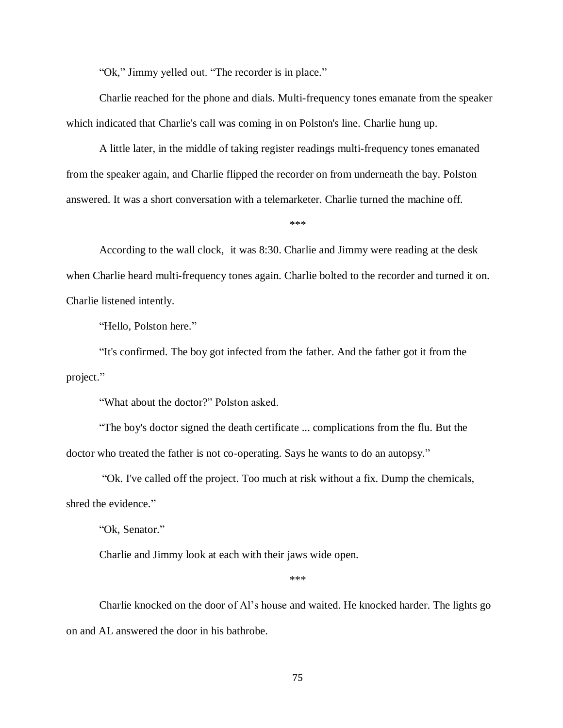"Ok," Jimmy yelled out. "The recorder is in place."

Charlie reached for the phone and dials. Multi-frequency tones emanate from the speaker which indicated that Charlie's call was coming in on Polston's line. Charlie hung up.

A little later, in the middle of taking register readings multi-frequency tones emanated from the speaker again, and Charlie flipped the recorder on from underneath the bay. Polston answered. It was a short conversation with a telemarketer. Charlie turned the machine off.

\*\*\*

According to the wall clock, it was 8:30. Charlie and Jimmy were reading at the desk when Charlie heard multi-frequency tones again. Charlie bolted to the recorder and turned it on. Charlie listened intently.

"Hello, Polston here."

"It's confirmed. The boy got infected from the father. And the father got it from the project."

"What about the doctor?" Polston asked.

"The boy's doctor signed the death certificate ... complications from the flu. But the doctor who treated the father is not co-operating. Says he wants to do an autopsy."

"Ok. I've called off the project. Too much at risk without a fix. Dump the chemicals, shred the evidence."

"Ok, Senator."

Charlie and Jimmy look at each with their jaws wide open.

\*\*\*

Charlie knocked on the door of Al's house and waited. He knocked harder. The lights go on and AL answered the door in his bathrobe.

75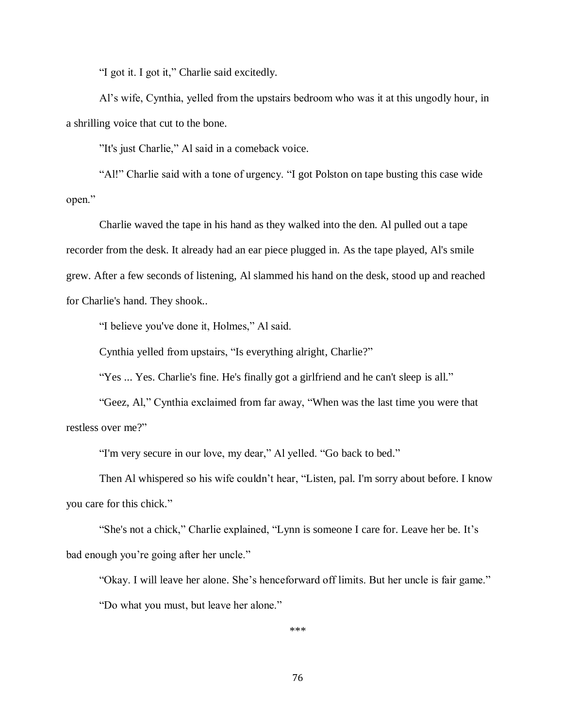"I got it. I got it," Charlie said excitedly.

Al's wife, Cynthia, yelled from the upstairs bedroom who was it at this ungodly hour, in a shrilling voice that cut to the bone.

"It's just Charlie," Al said in a comeback voice.

"Al!" Charlie said with a tone of urgency. "I got Polston on tape busting this case wide open."

Charlie waved the tape in his hand as they walked into the den. Al pulled out a tape recorder from the desk. It already had an ear piece plugged in. As the tape played, Al's smile grew. After a few seconds of listening, Al slammed his hand on the desk, stood up and reached for Charlie's hand. They shook..

"I believe you've done it, Holmes," Al said.

Cynthia yelled from upstairs, "Is everything alright, Charlie?"

"Yes ... Yes. Charlie's fine. He's finally got a girlfriend and he can't sleep is all."

"Geez, Al," Cynthia exclaimed from far away, "When was the last time you were that restless over me?"

"I'm very secure in our love, my dear," Al yelled. "Go back to bed."

Then Al whispered so his wife couldn't hear, "Listen, pal. I'm sorry about before. I know you care for this chick."

"She's not a chick," Charlie explained, "Lynn is someone I care for. Leave her be. It's bad enough you're going after her uncle."

"Okay. I will leave her alone. She's henceforward off limits. But her uncle is fair game." "Do what you must, but leave her alone."

\*\*\*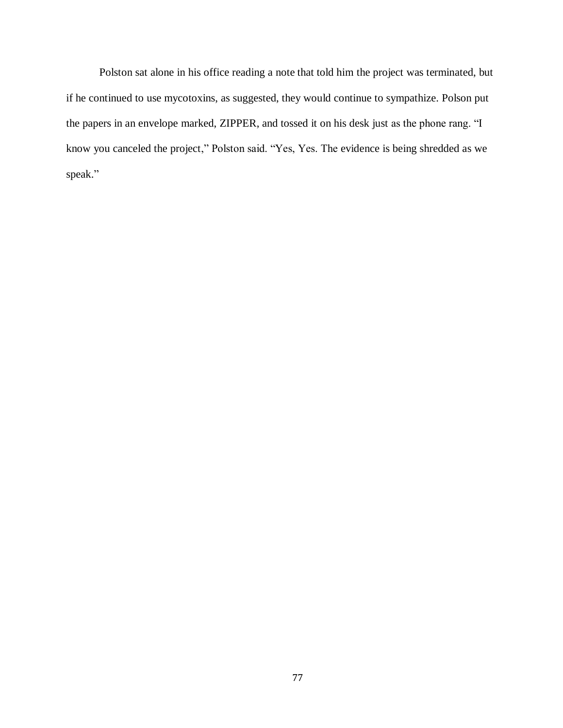Polston sat alone in his office reading a note that told him the project was terminated, but if he continued to use mycotoxins, as suggested, they would continue to sympathize. Polson put the papers in an envelope marked, ZIPPER, and tossed it on his desk just as the phone rang. "I know you canceled the project," Polston said. "Yes, Yes. The evidence is being shredded as we speak."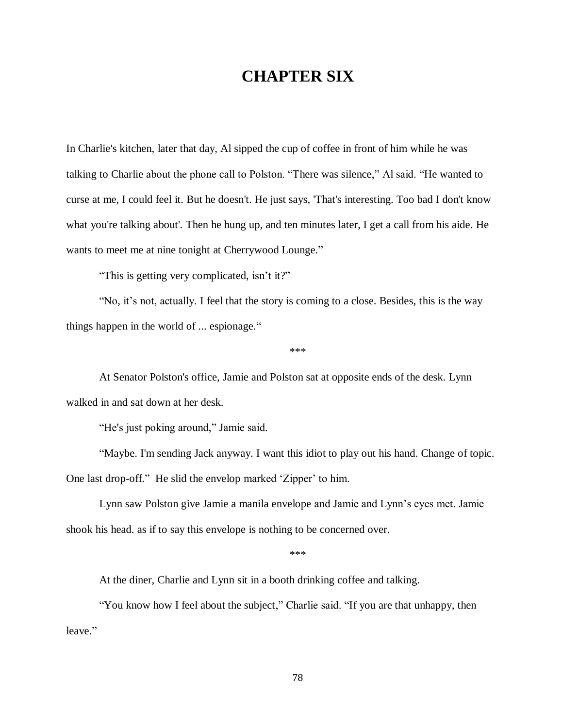## **CHAPTER SIX**

In Charlie's kitchen, later that day, Al sipped the cup of coffee in front of him while he was talking to Charlie about the phone call to Polston. "There was silence," Al said. "He wanted to curse at me, I could feel it. But he doesn't. He just says, 'That's interesting. Too bad I don't know what you're talking about'. Then he hung up, and ten minutes later, I get a call from his aide. He wants to meet me at nine tonight at Cherrywood Lounge."

"This is getting very complicated, isn't it?"

"No, it's not, actually. I feel that the story is coming to a close. Besides, this is the way things happen in the world of ... espionage."

\*\*\*

At Senator Polston's office, Jamie and Polston sat at opposite ends of the desk. Lynn walked in and sat down at her desk.

"He's just poking around," Jamie said.

"Maybe. I'm sending Jack anyway. I want this idiot to play out his hand. Change of topic. One last drop-off." He slid the envelop marked 'Zipper' to him.

Lynn saw Polston give Jamie a manila envelope and Jamie and Lynn's eyes met. Jamie shook his head. as if to say this envelope is nothing to be concerned over.

\*\*\*

At the diner, Charlie and Lynn sit in a booth drinking coffee and talking.

"You know how I feel about the subject," Charlie said. "If you are that unhappy, then leave."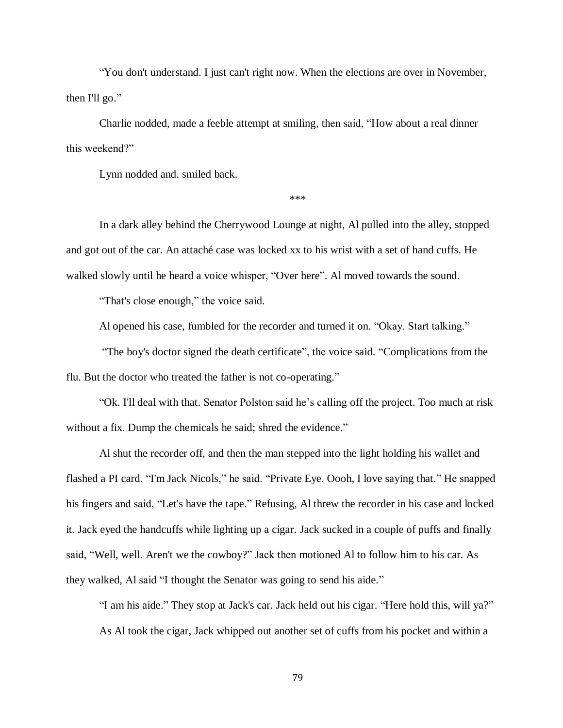"You don't understand. I just can't right now. When the elections are over in November, then I'll go."

Charlie nodded, made a feeble attempt at smiling, then said, "How about a real dinner this weekend?"

Lynn nodded and. smiled back.

\*\*\*

In a dark alley behind the Cherrywood Lounge at night, Al pulled into the alley, stopped and got out of the car. An attaché case was locked xx to his wrist with a set of hand cuffs. He walked slowly until he heard a voice whisper, "Over here". Al moved towards the sound.

"That's close enough," the voice said.

Al opened his case, fumbled for the recorder and turned it on. "Okay. Start talking."

"The boy's doctor signed the death certificate", the voice said. "Complications from the flu. But the doctor who treated the father is not co-operating."

"Ok. I'll deal with that. Senator Polston said he's calling off the project. Too much at risk without a fix. Dump the chemicals he said; shred the evidence."

Al shut the recorder off, and then the man stepped into the light holding his wallet and flashed a PI card. "I'm Jack Nicols," he said. "Private Eye. Oooh, I love saying that." He snapped his fingers and said, "Let's have the tape." Refusing, Al threw the recorder in his case and locked it. Jack eyed the handcuffs while lighting up a cigar. Jack sucked in a couple of puffs and finally said, "Well, well. Aren't we the cowboy?" Jack then motioned Al to follow him to his car. As they walked, Al said "I thought the Senator was going to send his aide."

"I am his aide." They stop at Jack's car. Jack held out his cigar. "Here hold this, will ya?" As Al took the cigar, Jack whipped out another set of cuffs from his pocket and within a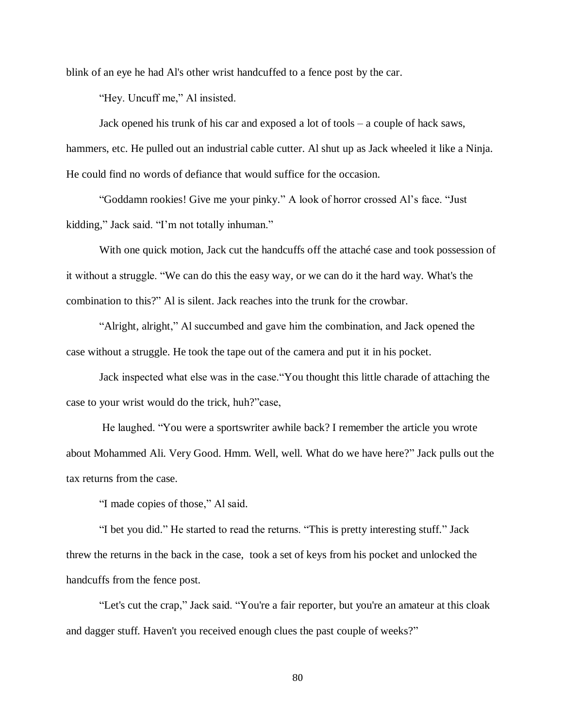blink of an eye he had Al's other wrist handcuffed to a fence post by the car.

"Hey. Uncuff me," Al insisted.

Jack opened his trunk of his car and exposed a lot of tools – a couple of hack saws, hammers, etc. He pulled out an industrial cable cutter. Al shut up as Jack wheeled it like a Ninja. He could find no words of defiance that would suffice for the occasion.

"Goddamn rookies! Give me your pinky." A look of horror crossed Al's face. "Just kidding," Jack said. "I'm not totally inhuman."

With one quick motion, Jack cut the handcuffs off the attaché case and took possession of it without a struggle. "We can do this the easy way, or we can do it the hard way. What's the combination to this?" Al is silent. Jack reaches into the trunk for the crowbar.

"Alright, alright," Al succumbed and gave him the combination, and Jack opened the case without a struggle. He took the tape out of the camera and put it in his pocket.

Jack inspected what else was in the case."You thought this little charade of attaching the case to your wrist would do the trick, huh?"case,

He laughed. "You were a sportswriter awhile back? I remember the article you wrote about Mohammed Ali. Very Good. Hmm. Well, well. What do we have here?" Jack pulls out the tax returns from the case.

"I made copies of those," Al said.

"I bet you did." He started to read the returns. "This is pretty interesting stuff." Jack threw the returns in the back in the case, took a set of keys from his pocket and unlocked the handcuffs from the fence post.

"Let's cut the crap," Jack said. "You're a fair reporter, but you're an amateur at this cloak and dagger stuff. Haven't you received enough clues the past couple of weeks?"

80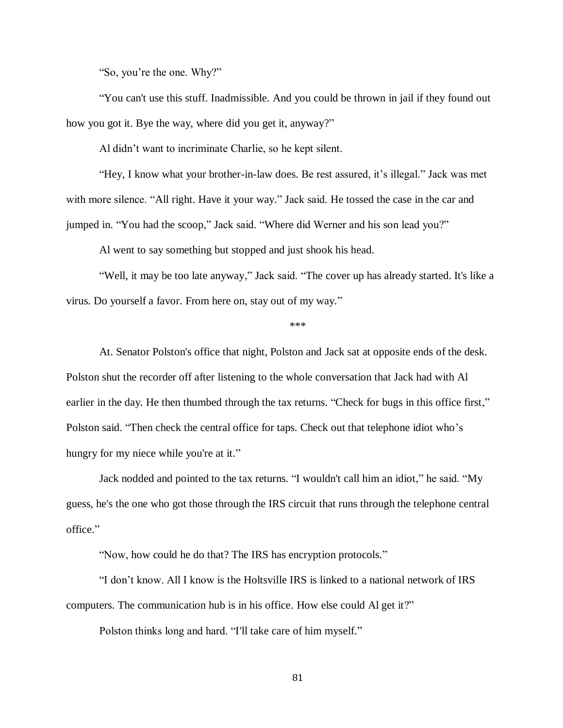"So, you're the one. Why?"

"You can't use this stuff. Inadmissible. And you could be thrown in jail if they found out how you got it. Bye the way, where did you get it, anyway?"

Al didn't want to incriminate Charlie, so he kept silent.

"Hey, I know what your brother-in-law does. Be rest assured, it's illegal." Jack was met with more silence. "All right. Have it your way." Jack said. He tossed the case in the car and jumped in. "You had the scoop," Jack said. "Where did Werner and his son lead you?"

Al went to say something but stopped and just shook his head.

"Well, it may be too late anyway," Jack said. "The cover up has already started. It's like a virus. Do yourself a favor. From here on, stay out of my way."

## \*\*\*

At. Senator Polston's office that night, Polston and Jack sat at opposite ends of the desk. Polston shut the recorder off after listening to the whole conversation that Jack had with Al earlier in the day. He then thumbed through the tax returns. "Check for bugs in this office first," Polston said. "Then check the central office for taps. Check out that telephone idiot who's hungry for my niece while you're at it."

Jack nodded and pointed to the tax returns. "I wouldn't call him an idiot," he said. "My guess, he's the one who got those through the IRS circuit that runs through the telephone central office."

"Now, how could he do that? The IRS has encryption protocols."

"I don't know. All I know is the Holtsville IRS is linked to a national network of IRS computers. The communication hub is in his office. How else could Al get it?"

Polston thinks long and hard. "I'll take care of him myself."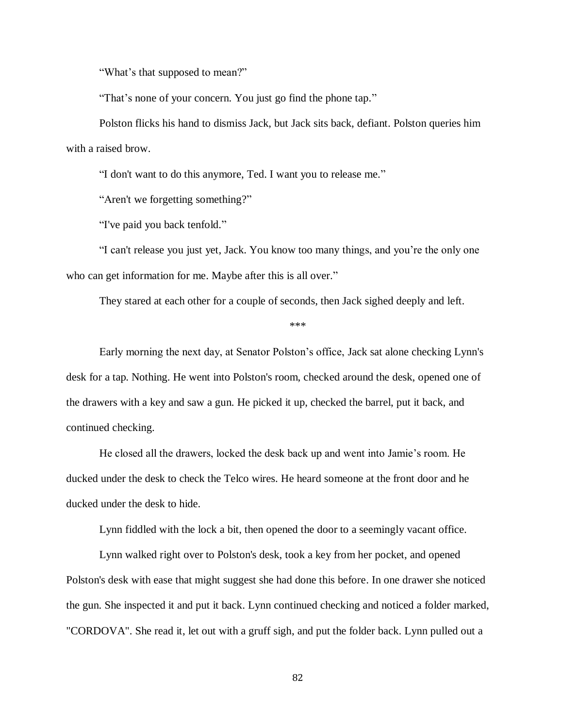"What's that supposed to mean?"

"That's none of your concern. You just go find the phone tap."

Polston flicks his hand to dismiss Jack, but Jack sits back, defiant. Polston queries him with a raised brow.

"I don't want to do this anymore, Ted. I want you to release me."

"Aren't we forgetting something?"

"I've paid you back tenfold."

"I can't release you just yet, Jack. You know too many things, and you're the only one who can get information for me. Maybe after this is all over."

They stared at each other for a couple of seconds, then Jack sighed deeply and left.

\*\*\*

Early morning the next day, at Senator Polston's office, Jack sat alone checking Lynn's desk for a tap. Nothing. He went into Polston's room, checked around the desk, opened one of the drawers with a key and saw a gun. He picked it up, checked the barrel, put it back, and continued checking.

He closed all the drawers, locked the desk back up and went into Jamie's room. He ducked under the desk to check the Telco wires. He heard someone at the front door and he ducked under the desk to hide.

Lynn fiddled with the lock a bit, then opened the door to a seemingly vacant office.

Lynn walked right over to Polston's desk, took a key from her pocket, and opened Polston's desk with ease that might suggest she had done this before. In one drawer she noticed the gun. She inspected it and put it back. Lynn continued checking and noticed a folder marked, "CORDOVA". She read it, let out with a gruff sigh, and put the folder back. Lynn pulled out a

82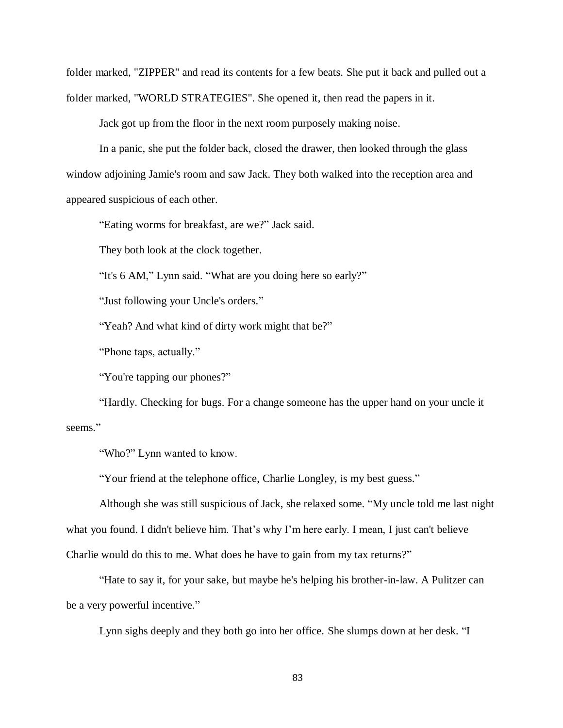folder marked, "ZIPPER" and read its contents for a few beats. She put it back and pulled out a folder marked, "WORLD STRATEGIES". She opened it, then read the papers in it.

Jack got up from the floor in the next room purposely making noise.

In a panic, she put the folder back, closed the drawer, then looked through the glass window adjoining Jamie's room and saw Jack. They both walked into the reception area and appeared suspicious of each other.

"Eating worms for breakfast, are we?" Jack said.

They both look at the clock together.

"It's 6 AM," Lynn said. "What are you doing here so early?"

"Just following your Uncle's orders."

"Yeah? And what kind of dirty work might that be?"

"Phone taps, actually."

"You're tapping our phones?"

"Hardly. Checking for bugs. For a change someone has the upper hand on your uncle it seems."

"Who?" Lynn wanted to know.

"Your friend at the telephone office, Charlie Longley, is my best guess."

Although she was still suspicious of Jack, she relaxed some. "My uncle told me last night what you found. I didn't believe him. That's why I'm here early. I mean, I just can't believe Charlie would do this to me. What does he have to gain from my tax returns?"

"Hate to say it, for your sake, but maybe he's helping his brother-in-law. A Pulitzer can be a very powerful incentive."

Lynn sighs deeply and they both go into her office. She slumps down at her desk. "I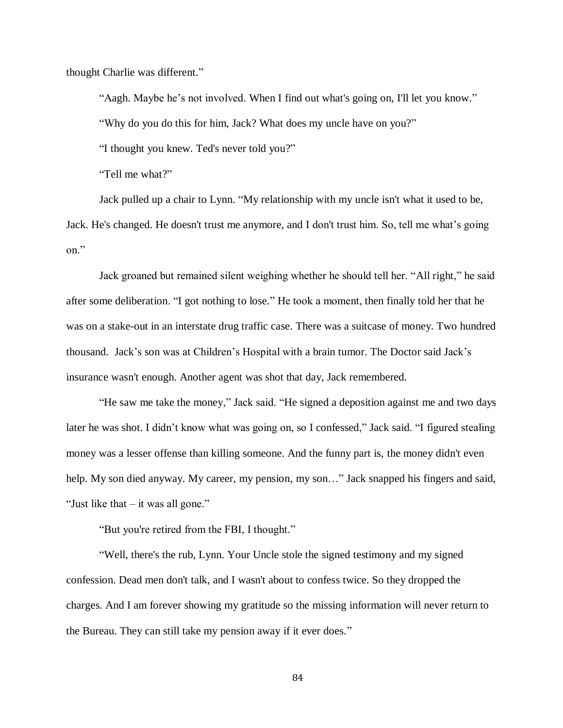thought Charlie was different."

"Aagh. Maybe he's not involved. When I find out what's going on, I'll let you know." "Why do you do this for him, Jack? What does my uncle have on you?"

"I thought you knew. Ted's never told you?"

"Tell me what?"

Jack pulled up a chair to Lynn. "My relationship with my uncle isn't what it used to be, Jack. He's changed. He doesn't trust me anymore, and I don't trust him. So, tell me what's going on."

Jack groaned but remained silent weighing whether he should tell her. "All right," he said after some deliberation. "I got nothing to lose." He took a moment, then finally told her that he was on a stake-out in an interstate drug traffic case. There was a suitcase of money. Two hundred thousand. Jack's son was at Children's Hospital with a brain tumor. The Doctor said Jack's insurance wasn't enough. Another agent was shot that day, Jack remembered.

"He saw me take the money," Jack said. "He signed a deposition against me and two days later he was shot. I didn't know what was going on, so I confessed," Jack said. "I figured stealing money was a lesser offense than killing someone. And the funny part is, the money didn't even help. My son died anyway. My career, my pension, my son..." Jack snapped his fingers and said, "Just like that – it was all gone."

"But you're retired from the FBI, I thought."

"Well, there's the rub, Lynn. Your Uncle stole the signed testimony and my signed confession. Dead men don't talk, and I wasn't about to confess twice. So they dropped the charges. And I am forever showing my gratitude so the missing information will never return to the Bureau. They can still take my pension away if it ever does."

84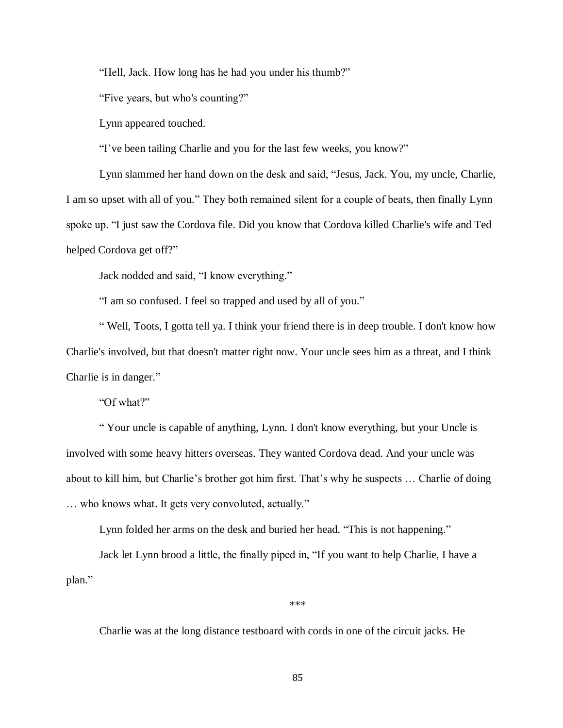"Hell, Jack. How long has he had you under his thumb?"

"Five years, but who's counting?"

Lynn appeared touched.

"I've been tailing Charlie and you for the last few weeks, you know?"

Lynn slammed her hand down on the desk and said, "Jesus, Jack. You, my uncle, Charlie, I am so upset with all of you." They both remained silent for a couple of beats, then finally Lynn spoke up. "I just saw the Cordova file. Did you know that Cordova killed Charlie's wife and Ted helped Cordova get off?"

Jack nodded and said, "I know everything."

"I am so confused. I feel so trapped and used by all of you."

" Well, Toots, I gotta tell ya. I think your friend there is in deep trouble. I don't know how Charlie's involved, but that doesn't matter right now. Your uncle sees him as a threat, and I think Charlie is in danger."

"Of what?"

" Your uncle is capable of anything, Lynn. I don't know everything, but your Uncle is involved with some heavy hitters overseas. They wanted Cordova dead. And your uncle was about to kill him, but Charlie's brother got him first. That's why he suspects … Charlie of doing … who knows what. It gets very convoluted, actually."

Lynn folded her arms on the desk and buried her head. "This is not happening."

Jack let Lynn brood a little, the finally piped in, "If you want to help Charlie, I have a plan."

\*\*\*

Charlie was at the long distance testboard with cords in one of the circuit jacks. He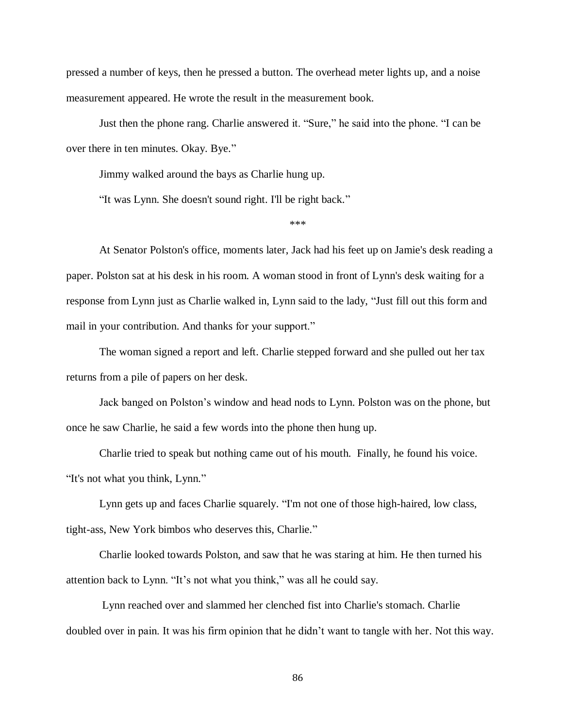pressed a number of keys, then he pressed a button. The overhead meter lights up, and a noise measurement appeared. He wrote the result in the measurement book.

Just then the phone rang. Charlie answered it. "Sure," he said into the phone. "I can be over there in ten minutes. Okay. Bye."

Jimmy walked around the bays as Charlie hung up.

"It was Lynn. She doesn't sound right. I'll be right back."

\*\*\*

At Senator Polston's office, moments later, Jack had his feet up on Jamie's desk reading a paper. Polston sat at his desk in his room. A woman stood in front of Lynn's desk waiting for a response from Lynn just as Charlie walked in, Lynn said to the lady, "Just fill out this form and mail in your contribution. And thanks for your support."

The woman signed a report and left. Charlie stepped forward and she pulled out her tax returns from a pile of papers on her desk.

Jack banged on Polston's window and head nods to Lynn. Polston was on the phone, but once he saw Charlie, he said a few words into the phone then hung up.

Charlie tried to speak but nothing came out of his mouth. Finally, he found his voice. "It's not what you think, Lynn."

Lynn gets up and faces Charlie squarely. "I'm not one of those high-haired, low class, tight-ass, New York bimbos who deserves this, Charlie."

Charlie looked towards Polston, and saw that he was staring at him. He then turned his attention back to Lynn. "It's not what you think," was all he could say.

Lynn reached over and slammed her clenched fist into Charlie's stomach. Charlie doubled over in pain. It was his firm opinion that he didn't want to tangle with her. Not this way.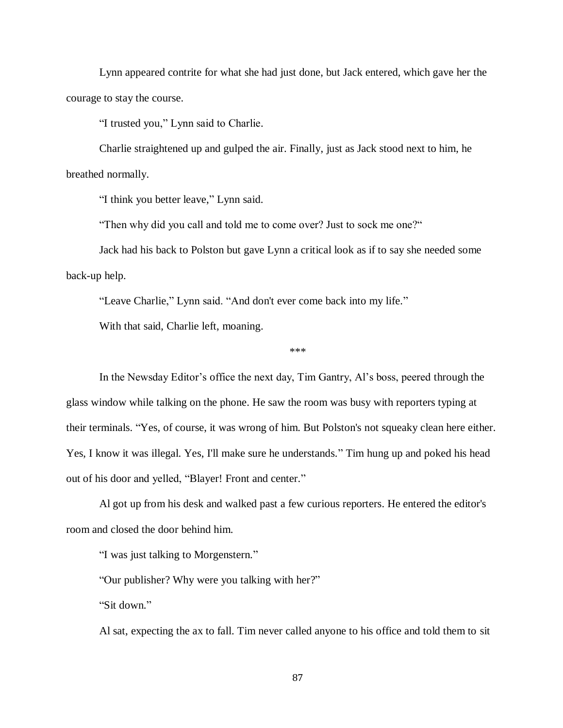Lynn appeared contrite for what she had just done, but Jack entered, which gave her the courage to stay the course.

"I trusted you," Lynn said to Charlie.

Charlie straightened up and gulped the air. Finally, just as Jack stood next to him, he breathed normally.

"I think you better leave," Lynn said.

"Then why did you call and told me to come over? Just to sock me one?"

Jack had his back to Polston but gave Lynn a critical look as if to say she needed some back-up help.

"Leave Charlie," Lynn said. "And don't ever come back into my life."

With that said, Charlie left, moaning.

\*\*\*

In the Newsday Editor's office the next day, Tim Gantry, Al's boss, peered through the glass window while talking on the phone. He saw the room was busy with reporters typing at their terminals. "Yes, of course, it was wrong of him. But Polston's not squeaky clean here either. Yes, I know it was illegal. Yes, I'll make sure he understands." Tim hung up and poked his head out of his door and yelled, "Blayer! Front and center."

Al got up from his desk and walked past a few curious reporters. He entered the editor's room and closed the door behind him.

"I was just talking to Morgenstern."

"Our publisher? Why were you talking with her?"

"Sit down."

Al sat, expecting the ax to fall. Tim never called anyone to his office and told them to sit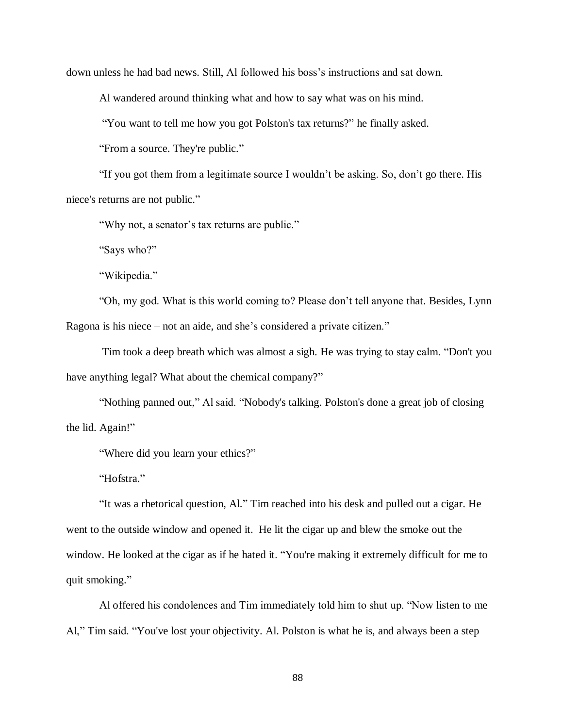down unless he had bad news. Still, Al followed his boss's instructions and sat down.

Al wandered around thinking what and how to say what was on his mind.

"You want to tell me how you got Polston's tax returns?" he finally asked.

"From a source. They're public."

"If you got them from a legitimate source I wouldn't be asking. So, don't go there. His niece's returns are not public."

"Why not, a senator's tax returns are public."

"Says who?"

"Wikipedia."

"Oh, my god. What is this world coming to? Please don't tell anyone that. Besides, Lynn Ragona is his niece – not an aide, and she's considered a private citizen."

Tim took a deep breath which was almost a sigh. He was trying to stay calm. "Don't you have anything legal? What about the chemical company?"

"Nothing panned out," Al said. "Nobody's talking. Polston's done a great job of closing the lid. Again!"

"Where did you learn your ethics?"

"Hofstra."

"It was a rhetorical question, Al." Tim reached into his desk and pulled out a cigar. He went to the outside window and opened it. He lit the cigar up and blew the smoke out the window. He looked at the cigar as if he hated it. "You're making it extremely difficult for me to quit smoking."

Al offered his condolences and Tim immediately told him to shut up. "Now listen to me Al," Tim said. "You've lost your objectivity. Al. Polston is what he is, and always been a step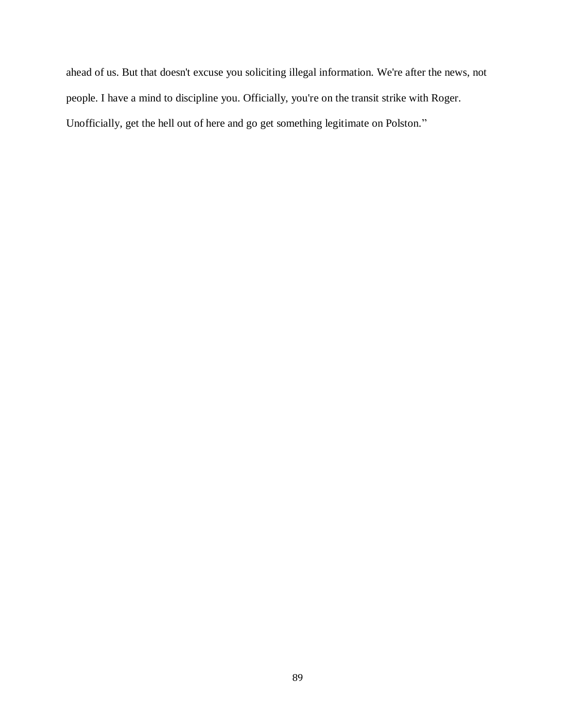ahead of us. But that doesn't excuse you soliciting illegal information. We're after the news, not people. I have a mind to discipline you. Officially, you're on the transit strike with Roger. Unofficially, get the hell out of here and go get something legitimate on Polston."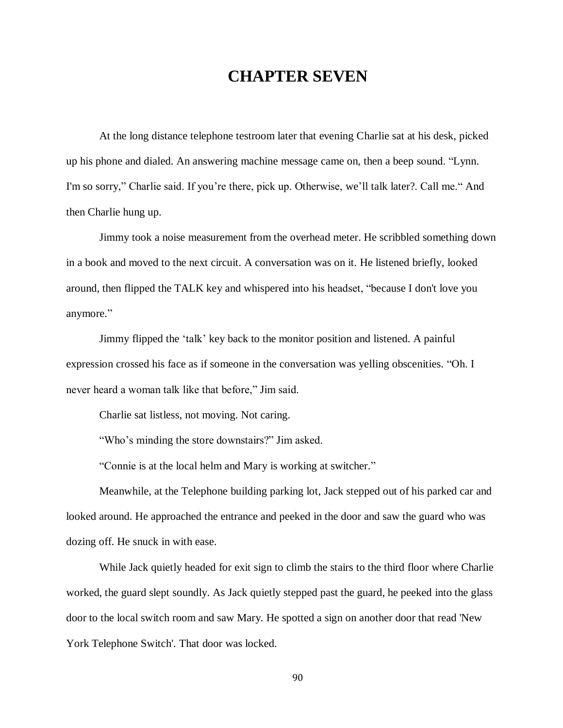## **CHAPTER SEVEN**

At the long distance telephone testroom later that evening Charlie sat at his desk, picked up his phone and dialed. An answering machine message came on, then a beep sound. "Lynn. I'm so sorry," Charlie said. If you're there, pick up. Otherwise, we'll talk later?. Call me." And then Charlie hung up.

Jimmy took a noise measurement from the overhead meter. He scribbled something down in a book and moved to the next circuit. A conversation was on it. He listened briefly, looked around, then flipped the TALK key and whispered into his headset, "because I don't love you anymore."

Jimmy flipped the 'talk' key back to the monitor position and listened. A painful expression crossed his face as if someone in the conversation was yelling obscenities. "Oh. I never heard a woman talk like that before," Jim said.

Charlie sat listless, not moving. Not caring.

"Who's minding the store downstairs?" Jim asked.

"Connie is at the local helm and Mary is working at switcher."

Meanwhile, at the Telephone building parking lot, Jack stepped out of his parked car and looked around. He approached the entrance and peeked in the door and saw the guard who was dozing off. He snuck in with ease.

While Jack quietly headed for exit sign to climb the stairs to the third floor where Charlie worked, the guard slept soundly. As Jack quietly stepped past the guard, he peeked into the glass door to the local switch room and saw Mary. He spotted a sign on another door that read 'New York Telephone Switch'. That door was locked.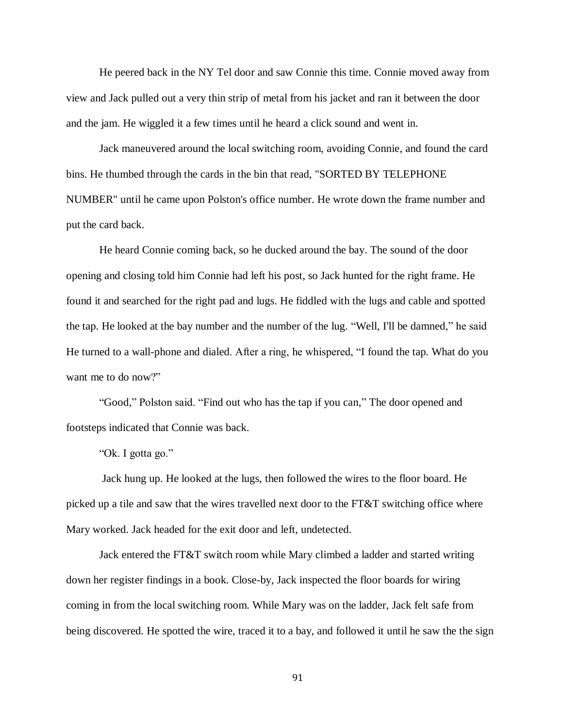He peered back in the NY Tel door and saw Connie this time. Connie moved away from view and Jack pulled out a very thin strip of metal from his jacket and ran it between the door and the jam. He wiggled it a few times until he heard a click sound and went in.

Jack maneuvered around the local switching room, avoiding Connie, and found the card bins. He thumbed through the cards in the bin that read, "SORTED BY TELEPHONE NUMBER" until he came upon Polston's office number. He wrote down the frame number and put the card back.

He heard Connie coming back, so he ducked around the bay. The sound of the door opening and closing told him Connie had left his post, so Jack hunted for the right frame. He found it and searched for the right pad and lugs. He fiddled with the lugs and cable and spotted the tap. He looked at the bay number and the number of the lug. "Well, I'll be damned," he said He turned to a wall-phone and dialed. After a ring, he whispered, "I found the tap. What do you want me to do now?"

"Good," Polston said. "Find out who has the tap if you can," The door opened and footsteps indicated that Connie was back.

"Ok. I gotta go."

Jack hung up. He looked at the lugs, then followed the wires to the floor board. He picked up a tile and saw that the wires travelled next door to the FT&T switching office where Mary worked. Jack headed for the exit door and left, undetected.

Jack entered the FT&T switch room while Mary climbed a ladder and started writing down her register findings in a book. Close-by, Jack inspected the floor boards for wiring coming in from the local switching room. While Mary was on the ladder, Jack felt safe from being discovered. He spotted the wire, traced it to a bay, and followed it until he saw the the sign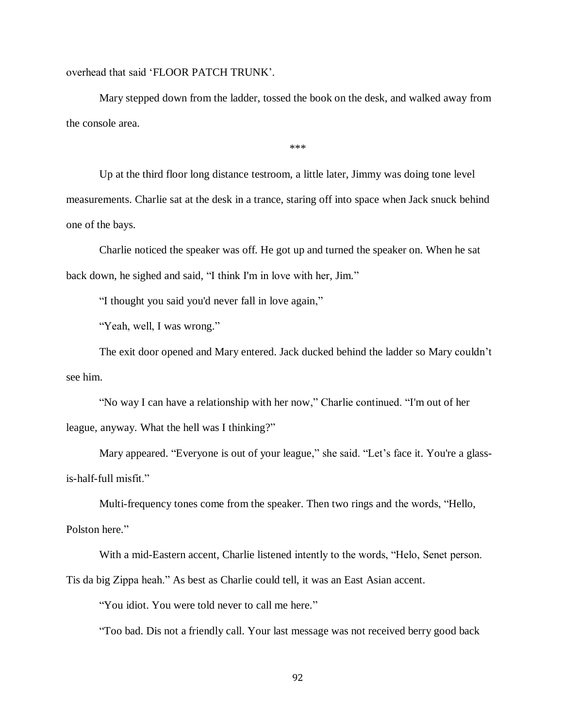overhead that said 'FLOOR PATCH TRUNK'.

Mary stepped down from the ladder, tossed the book on the desk, and walked away from the console area.

\*\*\*

Up at the third floor long distance testroom, a little later, Jimmy was doing tone level measurements. Charlie sat at the desk in a trance, staring off into space when Jack snuck behind one of the bays.

Charlie noticed the speaker was off. He got up and turned the speaker on. When he sat back down, he sighed and said, "I think I'm in love with her, Jim."

"I thought you said you'd never fall in love again,"

"Yeah, well, I was wrong."

The exit door opened and Mary entered. Jack ducked behind the ladder so Mary couldn't see him.

"No way I can have a relationship with her now," Charlie continued. "I'm out of her league, anyway. What the hell was I thinking?"

Mary appeared. "Everyone is out of your league," she said. "Let's face it. You're a glassis-half-full misfit."

Multi-frequency tones come from the speaker. Then two rings and the words, "Hello,

Polston here."

With a mid-Eastern accent, Charlie listened intently to the words, "Helo, Senet person.

Tis da big Zippa heah." As best as Charlie could tell, it was an East Asian accent.

"You idiot. You were told never to call me here."

"Too bad. Dis not a friendly call. Your last message was not received berry good back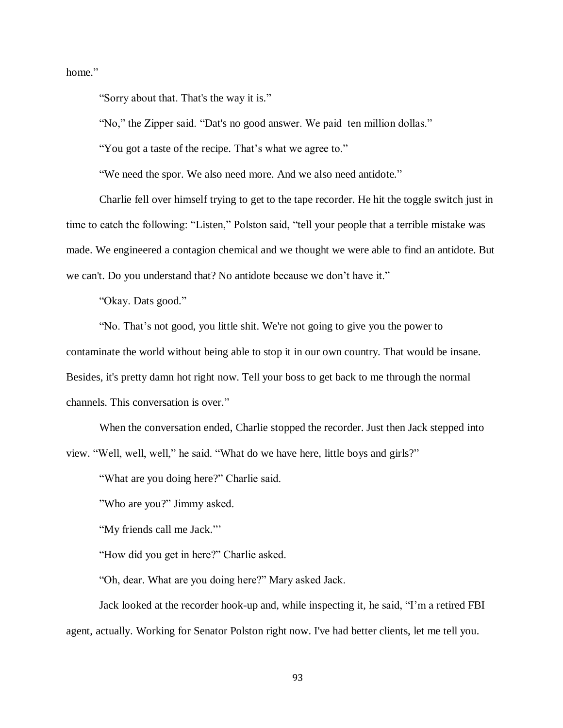home."

"Sorry about that. That's the way it is."

"No," the Zipper said. "Dat's no good answer. We paid ten million dollas."

"You got a taste of the recipe. That's what we agree to."

"We need the spor. We also need more. And we also need antidote."

Charlie fell over himself trying to get to the tape recorder. He hit the toggle switch just in time to catch the following: "Listen," Polston said, "tell your people that a terrible mistake was made. We engineered a contagion chemical and we thought we were able to find an antidote. But we can't. Do you understand that? No antidote because we don't have it."

"Okay. Dats good."

"No. That's not good, you little shit. We're not going to give you the power to contaminate the world without being able to stop it in our own country. That would be insane. Besides, it's pretty damn hot right now. Tell your boss to get back to me through the normal channels. This conversation is over."

When the conversation ended, Charlie stopped the recorder. Just then Jack stepped into view. "Well, well, well," he said. "What do we have here, little boys and girls?"

"What are you doing here?" Charlie said.

"Who are you?" Jimmy asked.

"My friends call me Jack."

"How did you get in here?" Charlie asked.

"Oh, dear. What are you doing here?" Mary asked Jack.

Jack looked at the recorder hook-up and, while inspecting it, he said, "I'm a retired FBI agent, actually. Working for Senator Polston right now. I've had better clients, let me tell you.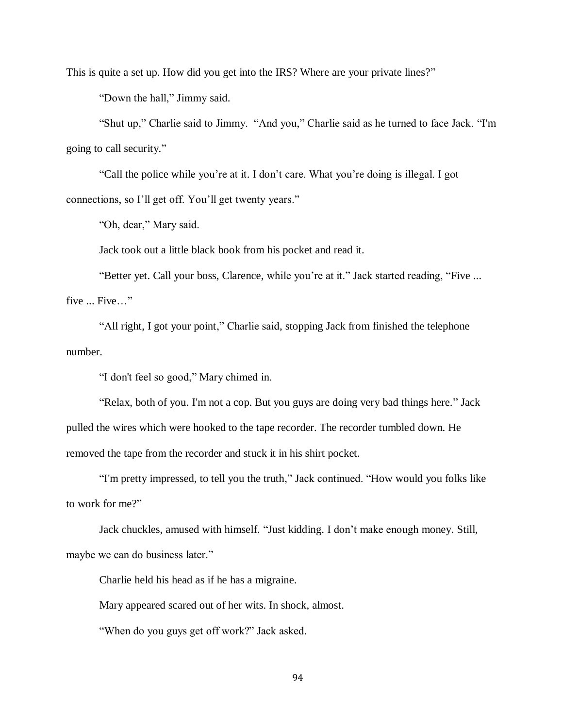This is quite a set up. How did you get into the IRS? Where are your private lines?"

"Down the hall," Jimmy said.

"Shut up," Charlie said to Jimmy. "And you," Charlie said as he turned to face Jack. "I'm going to call security."

"Call the police while you're at it. I don't care. What you're doing is illegal. I got connections, so I'll get off. You'll get twenty years."

"Oh, dear," Mary said.

Jack took out a little black book from his pocket and read it.

"Better yet. Call your boss, Clarence, while you're at it." Jack started reading, "Five ... five ... Five…"

"All right, I got your point," Charlie said, stopping Jack from finished the telephone number.

"I don't feel so good," Mary chimed in.

"Relax, both of you. I'm not a cop. But you guys are doing very bad things here." Jack pulled the wires which were hooked to the tape recorder. The recorder tumbled down. He removed the tape from the recorder and stuck it in his shirt pocket.

"I'm pretty impressed, to tell you the truth," Jack continued. "How would you folks like to work for me?"

Jack chuckles, amused with himself. "Just kidding. I don't make enough money. Still, maybe we can do business later."

Charlie held his head as if he has a migraine.

Mary appeared scared out of her wits. In shock, almost.

"When do you guys get off work?" Jack asked.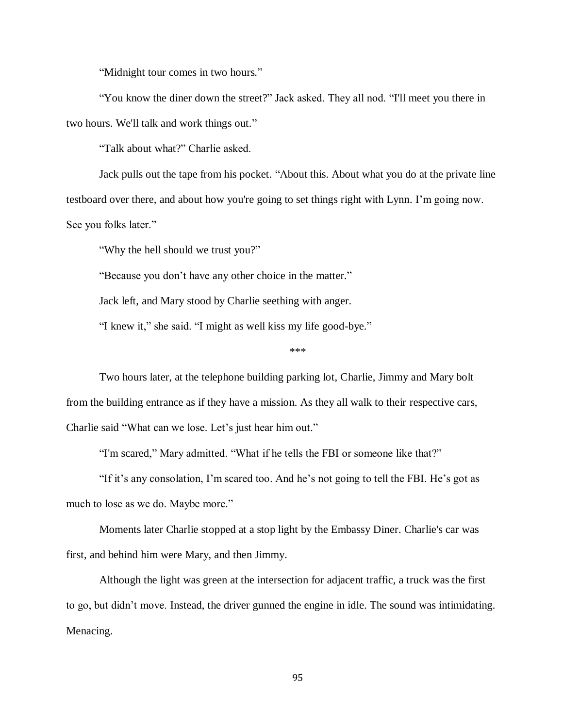"Midnight tour comes in two hours."

"You know the diner down the street?" Jack asked. They all nod. "I'll meet you there in two hours. We'll talk and work things out."

"Talk about what?" Charlie asked.

Jack pulls out the tape from his pocket. "About this. About what you do at the private line testboard over there, and about how you're going to set things right with Lynn. I'm going now.

See you folks later."

"Why the hell should we trust you?"

"Because you don't have any other choice in the matter."

Jack left, and Mary stood by Charlie seething with anger.

"I knew it," she said. "I might as well kiss my life good-bye."

\*\*\*

Two hours later, at the telephone building parking lot, Charlie, Jimmy and Mary bolt from the building entrance as if they have a mission. As they all walk to their respective cars, Charlie said "What can we lose. Let's just hear him out."

"I'm scared," Mary admitted. "What if he tells the FBI or someone like that?"

"If it's any consolation, I'm scared too. And he's not going to tell the FBI. He's got as much to lose as we do. Maybe more."

Moments later Charlie stopped at a stop light by the Embassy Diner. Charlie's car was first, and behind him were Mary, and then Jimmy.

Although the light was green at the intersection for adjacent traffic, a truck was the first to go, but didn't move. Instead, the driver gunned the engine in idle. The sound was intimidating. Menacing.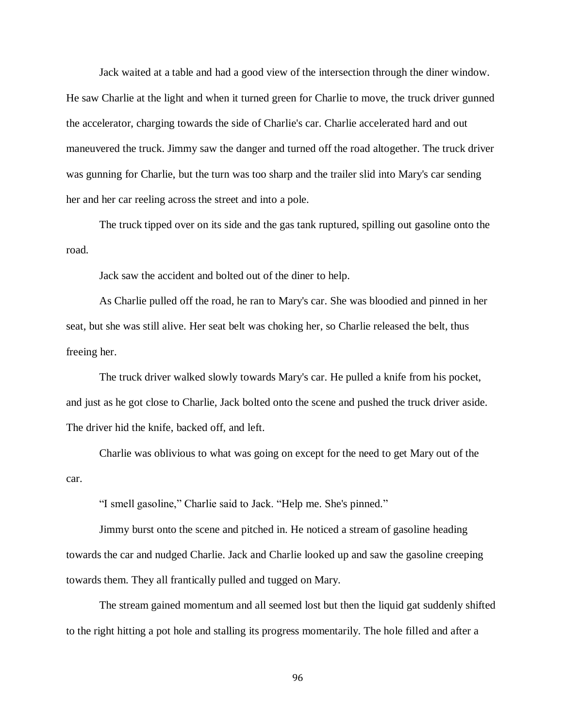Jack waited at a table and had a good view of the intersection through the diner window. He saw Charlie at the light and when it turned green for Charlie to move, the truck driver gunned the accelerator, charging towards the side of Charlie's car. Charlie accelerated hard and out maneuvered the truck. Jimmy saw the danger and turned off the road altogether. The truck driver was gunning for Charlie, but the turn was too sharp and the trailer slid into Mary's car sending her and her car reeling across the street and into a pole.

The truck tipped over on its side and the gas tank ruptured, spilling out gasoline onto the road.

Jack saw the accident and bolted out of the diner to help.

As Charlie pulled off the road, he ran to Mary's car. She was bloodied and pinned in her seat, but she was still alive. Her seat belt was choking her, so Charlie released the belt, thus freeing her.

The truck driver walked slowly towards Mary's car. He pulled a knife from his pocket, and just as he got close to Charlie, Jack bolted onto the scene and pushed the truck driver aside. The driver hid the knife, backed off, and left.

Charlie was oblivious to what was going on except for the need to get Mary out of the car.

"I smell gasoline," Charlie said to Jack. "Help me. She's pinned."

Jimmy burst onto the scene and pitched in. He noticed a stream of gasoline heading towards the car and nudged Charlie. Jack and Charlie looked up and saw the gasoline creeping towards them. They all frantically pulled and tugged on Mary.

The stream gained momentum and all seemed lost but then the liquid gat suddenly shifted to the right hitting a pot hole and stalling its progress momentarily. The hole filled and after a

96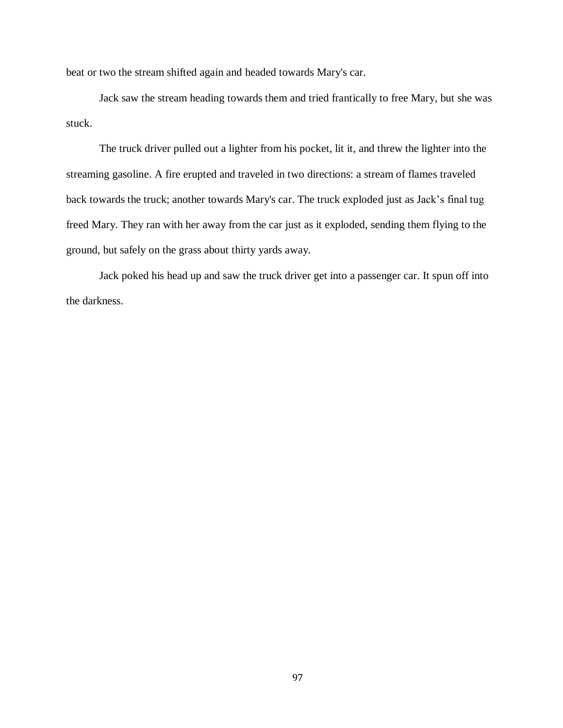beat or two the stream shifted again and headed towards Mary's car.

Jack saw the stream heading towards them and tried frantically to free Mary, but she was stuck.

The truck driver pulled out a lighter from his pocket, lit it, and threw the lighter into the streaming gasoline. A fire erupted and traveled in two directions: a stream of flames traveled back towards the truck; another towards Mary's car. The truck exploded just as Jack's final tug freed Mary. They ran with her away from the car just as it exploded, sending them flying to the ground, but safely on the grass about thirty yards away.

Jack poked his head up and saw the truck driver get into a passenger car. It spun off into the darkness.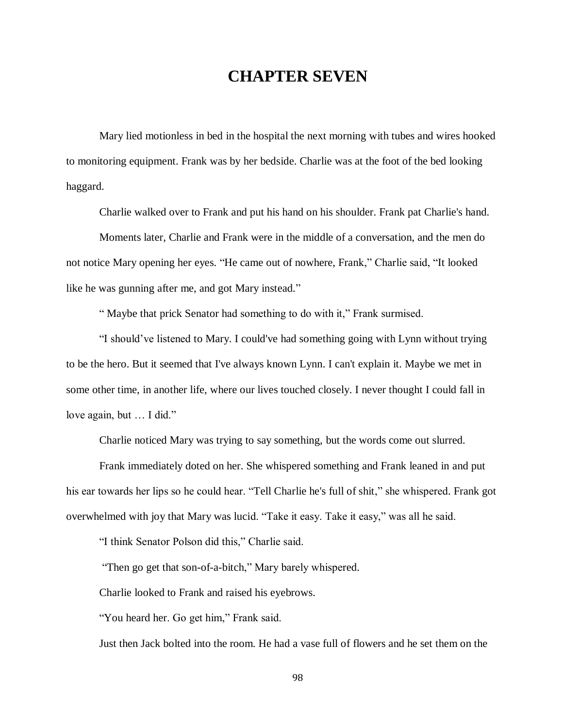## **CHAPTER SEVEN**

Mary lied motionless in bed in the hospital the next morning with tubes and wires hooked to monitoring equipment. Frank was by her bedside. Charlie was at the foot of the bed looking haggard.

Charlie walked over to Frank and put his hand on his shoulder. Frank pat Charlie's hand.

Moments later, Charlie and Frank were in the middle of a conversation, and the men do not notice Mary opening her eyes. "He came out of nowhere, Frank," Charlie said, "It looked like he was gunning after me, and got Mary instead."

" Maybe that prick Senator had something to do with it," Frank surmised.

"I should've listened to Mary. I could've had something going with Lynn without trying to be the hero. But it seemed that I've always known Lynn. I can't explain it. Maybe we met in some other time, in another life, where our lives touched closely. I never thought I could fall in love again, but … I did."

Charlie noticed Mary was trying to say something, but the words come out slurred.

Frank immediately doted on her. She whispered something and Frank leaned in and put his ear towards her lips so he could hear. "Tell Charlie he's full of shit," she whispered. Frank got overwhelmed with joy that Mary was lucid. "Take it easy. Take it easy," was all he said.

"I think Senator Polson did this," Charlie said.

"Then go get that son-of-a-bitch," Mary barely whispered.

Charlie looked to Frank and raised his eyebrows.

"You heard her. Go get him," Frank said.

Just then Jack bolted into the room. He had a vase full of flowers and he set them on the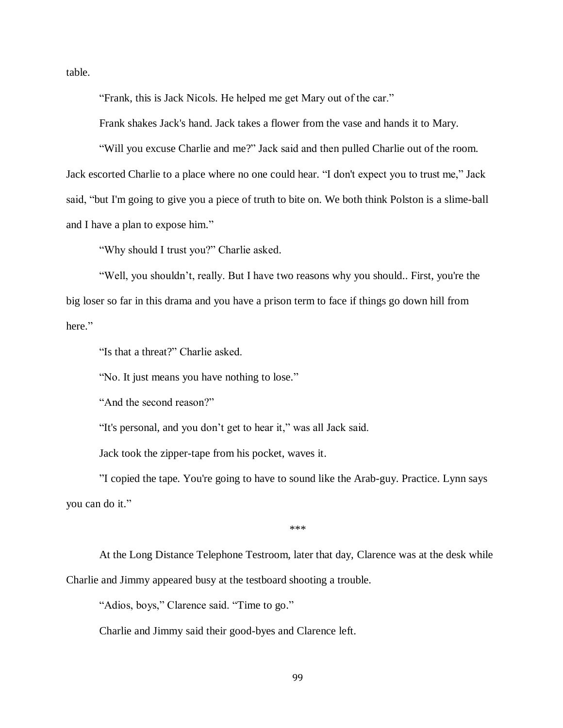table.

"Frank, this is Jack Nicols. He helped me get Mary out of the car."

Frank shakes Jack's hand. Jack takes a flower from the vase and hands it to Mary.

"Will you excuse Charlie and me?" Jack said and then pulled Charlie out of the room. Jack escorted Charlie to a place where no one could hear. "I don't expect you to trust me," Jack said, "but I'm going to give you a piece of truth to bite on. We both think Polston is a slime-ball and I have a plan to expose him."

"Why should I trust you?" Charlie asked.

"Well, you shouldn't, really. But I have two reasons why you should.. First, you're the big loser so far in this drama and you have a prison term to face if things go down hill from here."

"Is that a threat?" Charlie asked.

"No. It just means you have nothing to lose."

"And the second reason?"

"It's personal, and you don't get to hear it," was all Jack said.

Jack took the zipper-tape from his pocket, waves it.

"I copied the tape. You're going to have to sound like the Arab-guy. Practice. Lynn says you can do it."

\*\*\*

At the Long Distance Telephone Testroom, later that day, Clarence was at the desk while Charlie and Jimmy appeared busy at the testboard shooting a trouble.

"Adios, boys," Clarence said. "Time to go."

Charlie and Jimmy said their good-byes and Clarence left.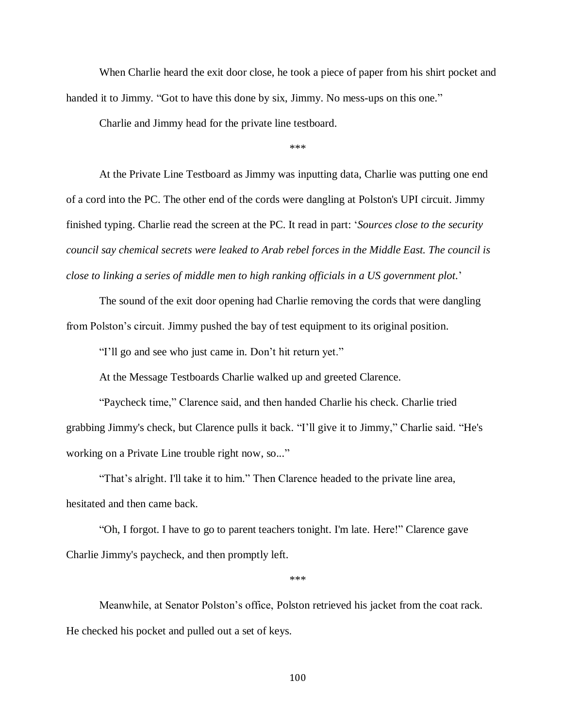When Charlie heard the exit door close, he took a piece of paper from his shirt pocket and handed it to Jimmy. "Got to have this done by six, Jimmy. No mess-ups on this one."

Charlie and Jimmy head for the private line testboard.

\*\*\*

At the Private Line Testboard as Jimmy was inputting data, Charlie was putting one end of a cord into the PC. The other end of the cords were dangling at Polston's UPI circuit. Jimmy finished typing. Charlie read the screen at the PC. It read in part: '*Sources close to the security council say chemical secrets were leaked to Arab rebel forces in the Middle East. The council is close to linking a series of middle men to high ranking officials in a US government plot.*'

The sound of the exit door opening had Charlie removing the cords that were dangling from Polston's circuit. Jimmy pushed the bay of test equipment to its original position.

"I'll go and see who just came in. Don't hit return yet."

At the Message Testboards Charlie walked up and greeted Clarence.

"Paycheck time," Clarence said, and then handed Charlie his check. Charlie tried grabbing Jimmy's check, but Clarence pulls it back. "I'll give it to Jimmy," Charlie said. "He's working on a Private Line trouble right now, so..."

"That's alright. I'll take it to him." Then Clarence headed to the private line area, hesitated and then came back.

"Oh, I forgot. I have to go to parent teachers tonight. I'm late. Here!" Clarence gave Charlie Jimmy's paycheck, and then promptly left.

\*\*\*

Meanwhile, at Senator Polston's office, Polston retrieved his jacket from the coat rack. He checked his pocket and pulled out a set of keys.

100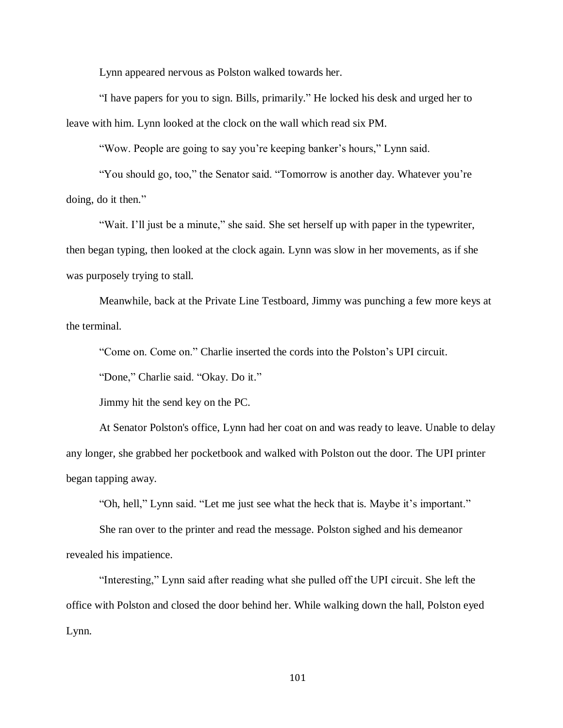Lynn appeared nervous as Polston walked towards her.

"I have papers for you to sign. Bills, primarily." He locked his desk and urged her to leave with him. Lynn looked at the clock on the wall which read six PM.

"Wow. People are going to say you're keeping banker's hours," Lynn said.

"You should go, too," the Senator said. "Tomorrow is another day. Whatever you're doing, do it then."

"Wait. I'll just be a minute," she said. She set herself up with paper in the typewriter, then began typing, then looked at the clock again. Lynn was slow in her movements, as if she was purposely trying to stall.

Meanwhile, back at the Private Line Testboard, Jimmy was punching a few more keys at the terminal.

"Come on. Come on." Charlie inserted the cords into the Polston's UPI circuit.

"Done," Charlie said. "Okay. Do it."

Jimmy hit the send key on the PC.

At Senator Polston's office, Lynn had her coat on and was ready to leave. Unable to delay any longer, she grabbed her pocketbook and walked with Polston out the door. The UPI printer began tapping away.

"Oh, hell," Lynn said. "Let me just see what the heck that is. Maybe it's important."

She ran over to the printer and read the message. Polston sighed and his demeanor revealed his impatience.

"Interesting," Lynn said after reading what she pulled off the UPI circuit. She left the office with Polston and closed the door behind her. While walking down the hall, Polston eyed Lynn.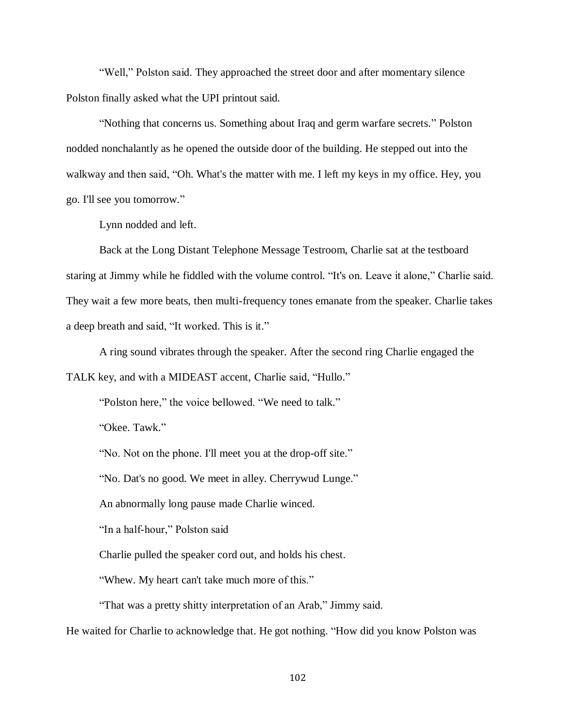"Well," Polston said. They approached the street door and after momentary silence Polston finally asked what the UPI printout said.

"Nothing that concerns us. Something about Iraq and germ warfare secrets." Polston nodded nonchalantly as he opened the outside door of the building. He stepped out into the walkway and then said, "Oh. What's the matter with me. I left my keys in my office. Hey, you go. I'll see you tomorrow."

Lynn nodded and left.

Back at the Long Distant Telephone Message Testroom, Charlie sat at the testboard staring at Jimmy while he fiddled with the volume control. "It's on. Leave it alone," Charlie said. They wait a few more beats, then multi-frequency tones emanate from the speaker. Charlie takes a deep breath and said, "It worked. This is it."

A ring sound vibrates through the speaker. After the second ring Charlie engaged the

TALK key, and with a MIDEAST accent, Charlie said, "Hullo."

"Polston here," the voice bellowed. "We need to talk."

"Okee. Tawk."

"No. Not on the phone. I'll meet you at the drop-off site."

"No. Dat's no good. We meet in alley. Cherrywud Lunge."

An abnormally long pause made Charlie winced.

"In a half-hour," Polston said

Charlie pulled the speaker cord out, and holds his chest.

"Whew. My heart can't take much more of this."

"That was a pretty shitty interpretation of an Arab," Jimmy said.

He waited for Charlie to acknowledge that. He got nothing. "How did you know Polston was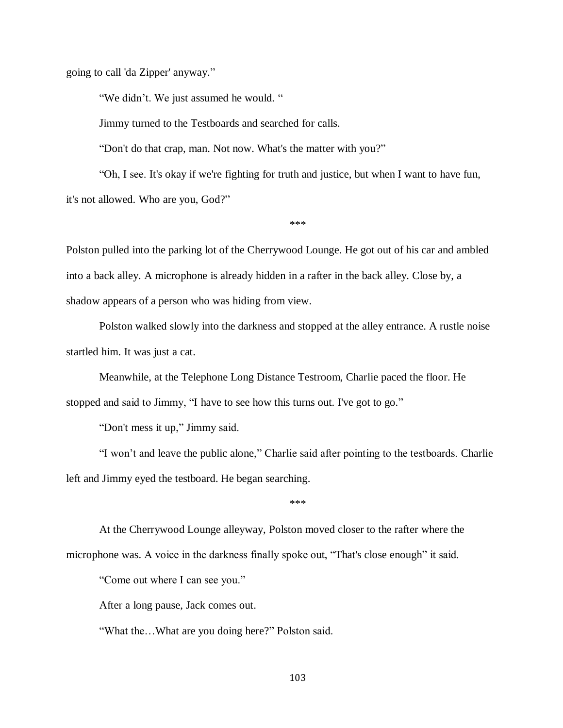going to call 'da Zipper' anyway."

"We didn't. We just assumed he would. "

Jimmy turned to the Testboards and searched for calls.

"Don't do that crap, man. Not now. What's the matter with you?"

"Oh, I see. It's okay if we're fighting for truth and justice, but when I want to have fun, it's not allowed. Who are you, God?"

\*\*\*

Polston pulled into the parking lot of the Cherrywood Lounge. He got out of his car and ambled into a back alley. A microphone is already hidden in a rafter in the back alley. Close by, a shadow appears of a person who was hiding from view.

Polston walked slowly into the darkness and stopped at the alley entrance. A rustle noise startled him. It was just a cat.

Meanwhile, at the Telephone Long Distance Testroom, Charlie paced the floor. He stopped and said to Jimmy, "I have to see how this turns out. I've got to go."

"Don't mess it up," Jimmy said.

"I won't and leave the public alone," Charlie said after pointing to the testboards. Charlie left and Jimmy eyed the testboard. He began searching.

\*\*\*

At the Cherrywood Lounge alleyway, Polston moved closer to the rafter where the microphone was. A voice in the darkness finally spoke out, "That's close enough" it said.

"Come out where I can see you."

After a long pause, Jack comes out.

"What the…What are you doing here?" Polston said.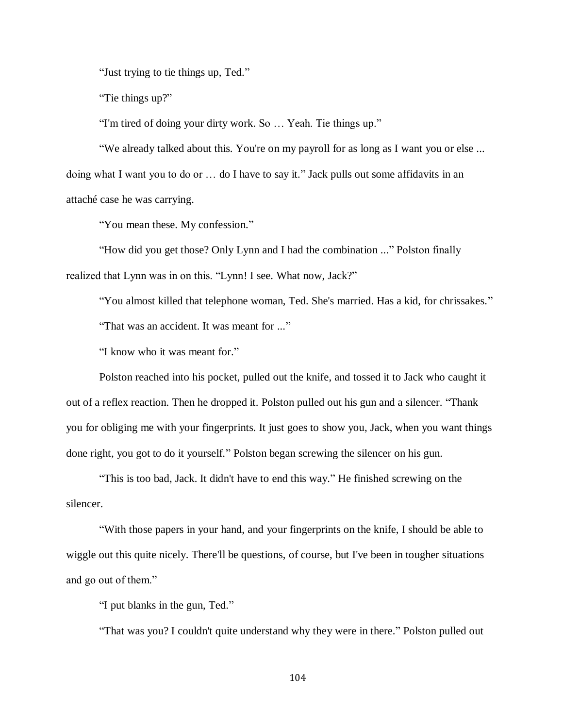"Just trying to tie things up, Ted."

"Tie things up?"

"I'm tired of doing your dirty work. So … Yeah. Tie things up."

"We already talked about this. You're on my payroll for as long as I want you or else ... doing what I want you to do or … do I have to say it." Jack pulls out some affidavits in an attaché case he was carrying.

"You mean these. My confession."

"How did you get those? Only Lynn and I had the combination ..." Polston finally realized that Lynn was in on this. "Lynn! I see. What now, Jack?"

"You almost killed that telephone woman, Ted. She's married. Has a kid, for chrissakes."

"That was an accident. It was meant for ..."

"I know who it was meant for."

Polston reached into his pocket, pulled out the knife, and tossed it to Jack who caught it out of a reflex reaction. Then he dropped it. Polston pulled out his gun and a silencer. "Thank you for obliging me with your fingerprints. It just goes to show you, Jack, when you want things done right, you got to do it yourself." Polston began screwing the silencer on his gun.

"This is too bad, Jack. It didn't have to end this way." He finished screwing on the silencer.

"With those papers in your hand, and your fingerprints on the knife, I should be able to wiggle out this quite nicely. There'll be questions, of course, but I've been in tougher situations and go out of them."

"I put blanks in the gun, Ted."

"That was you? I couldn't quite understand why they were in there." Polston pulled out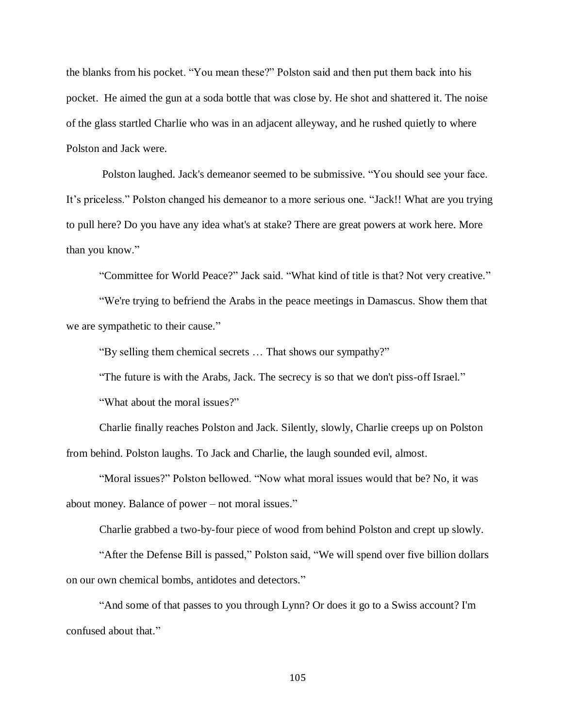the blanks from his pocket. "You mean these?" Polston said and then put them back into his pocket. He aimed the gun at a soda bottle that was close by. He shot and shattered it. The noise of the glass startled Charlie who was in an adjacent alleyway, and he rushed quietly to where Polston and Jack were.

Polston laughed. Jack's demeanor seemed to be submissive. "You should see your face. It's priceless." Polston changed his demeanor to a more serious one. "Jack!! What are you trying to pull here? Do you have any idea what's at stake? There are great powers at work here. More than you know."

"Committee for World Peace?" Jack said. "What kind of title is that? Not very creative."

"We're trying to befriend the Arabs in the peace meetings in Damascus. Show them that we are sympathetic to their cause."

"By selling them chemical secrets … That shows our sympathy?"

"The future is with the Arabs, Jack. The secrecy is so that we don't piss-off Israel."

"What about the moral issues?"

Charlie finally reaches Polston and Jack. Silently, slowly, Charlie creeps up on Polston from behind. Polston laughs. To Jack and Charlie, the laugh sounded evil, almost.

"Moral issues?" Polston bellowed. "Now what moral issues would that be? No, it was about money. Balance of power – not moral issues."

Charlie grabbed a two-by-four piece of wood from behind Polston and crept up slowly.

"After the Defense Bill is passed," Polston said, "We will spend over five billion dollars on our own chemical bombs, antidotes and detectors."

"And some of that passes to you through Lynn? Or does it go to a Swiss account? I'm confused about that."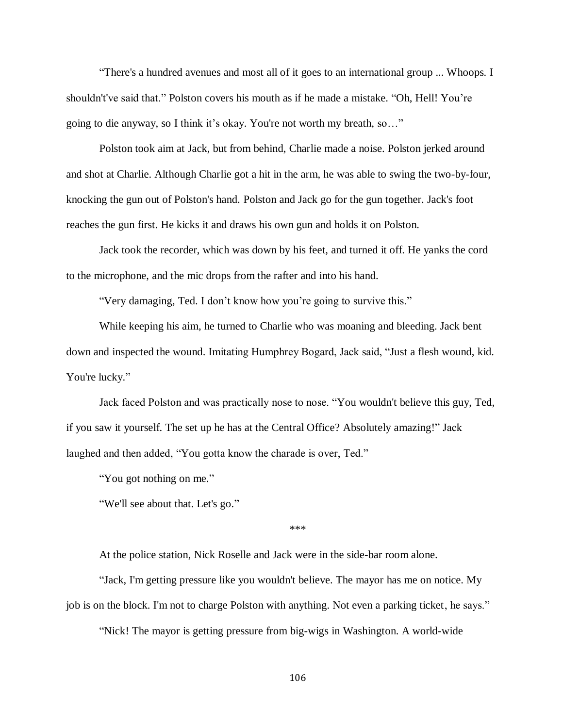"There's a hundred avenues and most all of it goes to an international group ... Whoops. I shouldn't've said that." Polston covers his mouth as if he made a mistake. "Oh, Hell! You're going to die anyway, so I think it's okay. You're not worth my breath, so…"

Polston took aim at Jack, but from behind, Charlie made a noise. Polston jerked around and shot at Charlie. Although Charlie got a hit in the arm, he was able to swing the two-by-four, knocking the gun out of Polston's hand. Polston and Jack go for the gun together. Jack's foot reaches the gun first. He kicks it and draws his own gun and holds it on Polston.

Jack took the recorder, which was down by his feet, and turned it off. He yanks the cord to the microphone, and the mic drops from the rafter and into his hand.

"Very damaging, Ted. I don't know how you're going to survive this."

While keeping his aim, he turned to Charlie who was moaning and bleeding. Jack bent down and inspected the wound. Imitating Humphrey Bogard, Jack said, "Just a flesh wound, kid. You're lucky."

Jack faced Polston and was practically nose to nose. "You wouldn't believe this guy, Ted, if you saw it yourself. The set up he has at the Central Office? Absolutely amazing!" Jack laughed and then added, "You gotta know the charade is over, Ted."

"You got nothing on me."

"We'll see about that. Let's go."

\*\*\*

At the police station, Nick Roselle and Jack were in the side-bar room alone.

"Jack, I'm getting pressure like you wouldn't believe. The mayor has me on notice. My job is on the block. I'm not to charge Polston with anything. Not even a parking ticket, he says."

"Nick! The mayor is getting pressure from big-wigs in Washington. A world-wide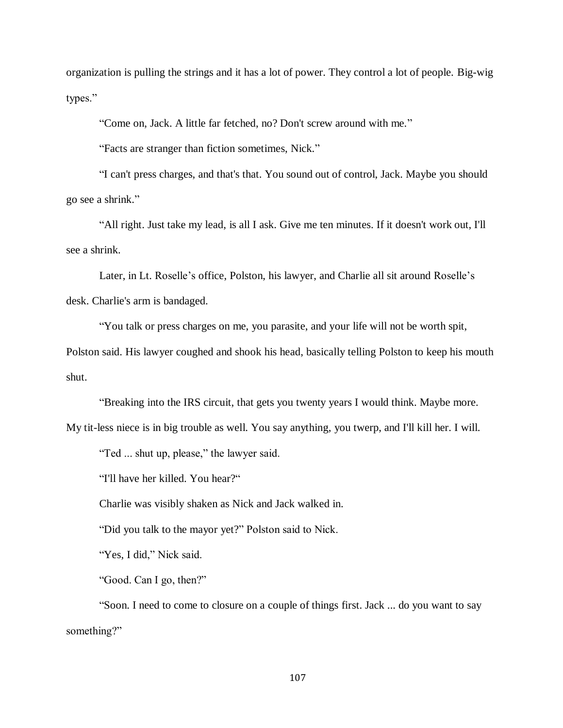organization is pulling the strings and it has a lot of power. They control a lot of people. Big-wig types."

"Come on, Jack. A little far fetched, no? Don't screw around with me."

"Facts are stranger than fiction sometimes, Nick."

"I can't press charges, and that's that. You sound out of control, Jack. Maybe you should go see a shrink."

"All right. Just take my lead, is all I ask. Give me ten minutes. If it doesn't work out, I'll see a shrink.

Later, in Lt. Roselle's office, Polston, his lawyer, and Charlie all sit around Roselle's desk. Charlie's arm is bandaged.

"You talk or press charges on me, you parasite, and your life will not be worth spit,

Polston said. His lawyer coughed and shook his head, basically telling Polston to keep his mouth shut.

"Breaking into the IRS circuit, that gets you twenty years I would think. Maybe more.

My tit-less niece is in big trouble as well. You say anything, you twerp, and I'll kill her. I will.

"Ted ... shut up, please," the lawyer said.

"I'll have her killed. You hear?"

Charlie was visibly shaken as Nick and Jack walked in.

"Did you talk to the mayor yet?" Polston said to Nick.

"Yes, I did," Nick said.

"Good. Can I go, then?"

"Soon. I need to come to closure on a couple of things first. Jack ... do you want to say something?"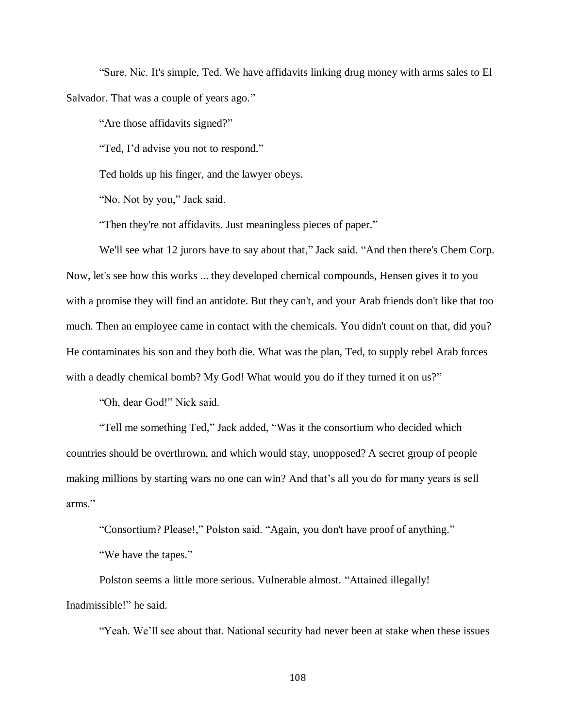"Sure, Nic. It's simple, Ted. We have affidavits linking drug money with arms sales to El Salvador. That was a couple of years ago."

"Are those affidavits signed?"

"Ted, I'd advise you not to respond."

Ted holds up his finger, and the lawyer obeys.

"No. Not by you," Jack said.

"Then they're not affidavits. Just meaningless pieces of paper."

We'll see what 12 jurors have to say about that," Jack said. "And then there's Chem Corp. Now, let's see how this works ... they developed chemical compounds, Hensen gives it to you with a promise they will find an antidote. But they can't, and your Arab friends don't like that too much. Then an employee came in contact with the chemicals. You didn't count on that, did you? He contaminates his son and they both die. What was the plan, Ted, to supply rebel Arab forces with a deadly chemical bomb? My God! What would you do if they turned it on us?"

"Oh, dear God!" Nick said.

"Tell me something Ted," Jack added, "Was it the consortium who decided which countries should be overthrown, and which would stay, unopposed? A secret group of people making millions by starting wars no one can win? And that's all you do for many years is sell arms."

"Consortium? Please!," Polston said. "Again, you don't have proof of anything."

"We have the tapes."

Polston seems a little more serious. Vulnerable almost. "Attained illegally! Inadmissible!" he said.

"Yeah. We'll see about that. National security had never been at stake when these issues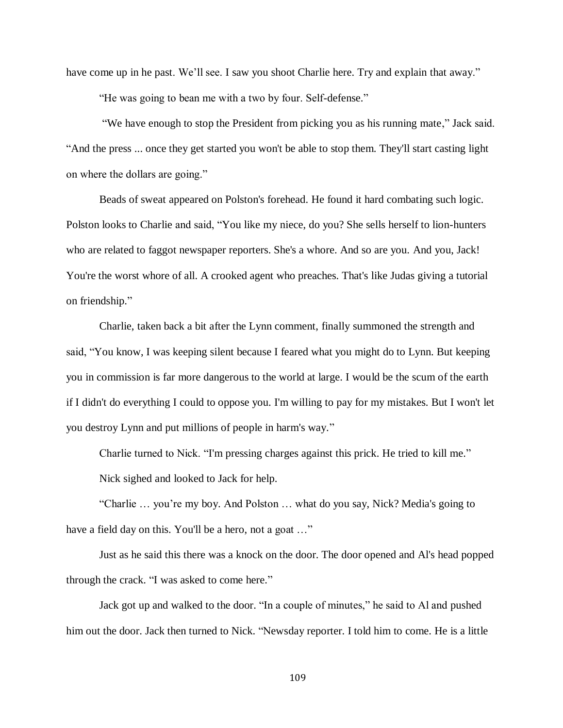have come up in he past. We'll see. I saw you shoot Charlie here. Try and explain that away."

"He was going to bean me with a two by four. Self-defense."

"We have enough to stop the President from picking you as his running mate," Jack said. "And the press ... once they get started you won't be able to stop them. They'll start casting light on where the dollars are going."

Beads of sweat appeared on Polston's forehead. He found it hard combating such logic. Polston looks to Charlie and said, "You like my niece, do you? She sells herself to lion-hunters who are related to faggot newspaper reporters. She's a whore. And so are you. And you, Jack! You're the worst whore of all. A crooked agent who preaches. That's like Judas giving a tutorial on friendship."

Charlie, taken back a bit after the Lynn comment, finally summoned the strength and said, "You know, I was keeping silent because I feared what you might do to Lynn. But keeping you in commission is far more dangerous to the world at large. I would be the scum of the earth if I didn't do everything I could to oppose you. I'm willing to pay for my mistakes. But I won't let you destroy Lynn and put millions of people in harm's way."

Charlie turned to Nick. "I'm pressing charges against this prick. He tried to kill me." Nick sighed and looked to Jack for help.

"Charlie … you're my boy. And Polston … what do you say, Nick? Media's going to have a field day on this. You'll be a hero, not a goat ..."

Just as he said this there was a knock on the door. The door opened and Al's head popped through the crack. "I was asked to come here."

Jack got up and walked to the door. "In a couple of minutes," he said to Al and pushed him out the door. Jack then turned to Nick. "Newsday reporter. I told him to come. He is a little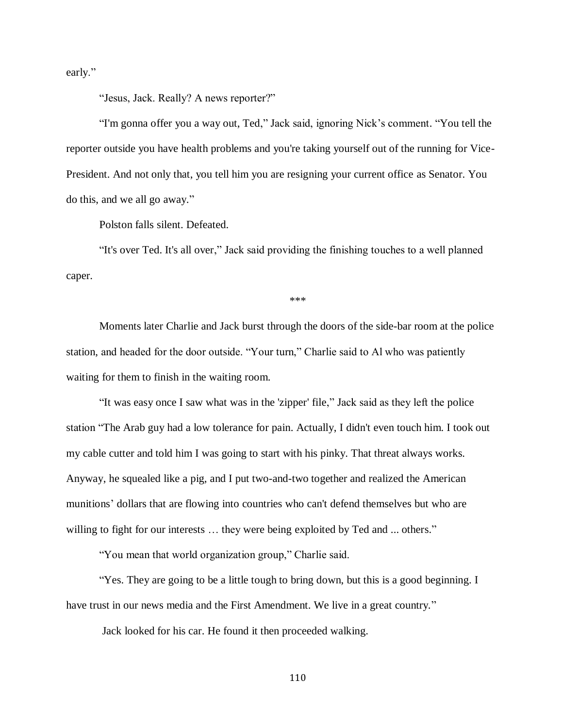early."

"Jesus, Jack. Really? A news reporter?"

"I'm gonna offer you a way out, Ted," Jack said, ignoring Nick's comment. "You tell the reporter outside you have health problems and you're taking yourself out of the running for Vice-President. And not only that, you tell him you are resigning your current office as Senator. You do this, and we all go away."

Polston falls silent. Defeated.

"It's over Ted. It's all over," Jack said providing the finishing touches to a well planned caper.

\*\*\*

Moments later Charlie and Jack burst through the doors of the side-bar room at the police station, and headed for the door outside. "Your turn," Charlie said to Al who was patiently waiting for them to finish in the waiting room.

"It was easy once I saw what was in the 'zipper' file," Jack said as they left the police station "The Arab guy had a low tolerance for pain. Actually, I didn't even touch him. I took out my cable cutter and told him I was going to start with his pinky. That threat always works. Anyway, he squealed like a pig, and I put two-and-two together and realized the American munitions' dollars that are flowing into countries who can't defend themselves but who are willing to fight for our interests ... they were being exploited by Ted and ... others."

"You mean that world organization group," Charlie said.

"Yes. They are going to be a little tough to bring down, but this is a good beginning. I have trust in our news media and the First Amendment. We live in a great country."

Jack looked for his car. He found it then proceeded walking.

110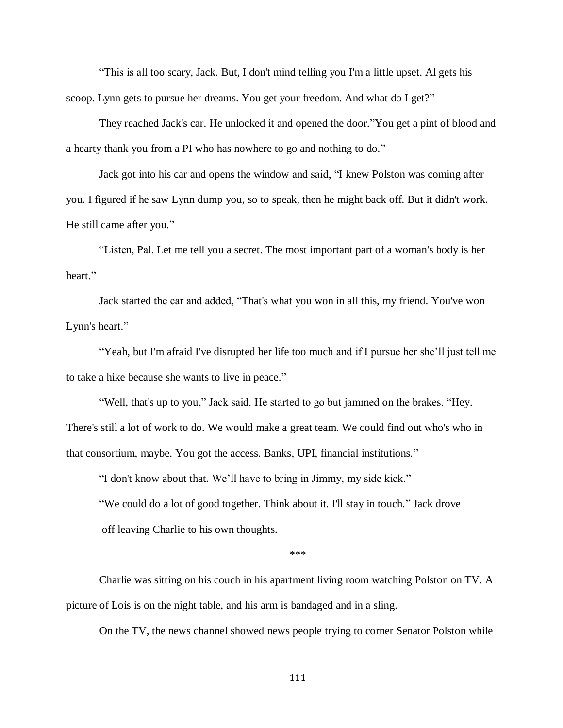"This is all too scary, Jack. But, I don't mind telling you I'm a little upset. Al gets his scoop. Lynn gets to pursue her dreams. You get your freedom. And what do I get?"

They reached Jack's car. He unlocked it and opened the door."You get a pint of blood and a hearty thank you from a PI who has nowhere to go and nothing to do."

Jack got into his car and opens the window and said, "I knew Polston was coming after you. I figured if he saw Lynn dump you, so to speak, then he might back off. But it didn't work. He still came after you."

"Listen, Pal. Let me tell you a secret. The most important part of a woman's body is her heart."

Jack started the car and added, "That's what you won in all this, my friend. You've won Lynn's heart."

"Yeah, but I'm afraid I've disrupted her life too much and if I pursue her she'll just tell me to take a hike because she wants to live in peace."

"Well, that's up to you," Jack said. He started to go but jammed on the brakes. "Hey. There's still a lot of work to do. We would make a great team. We could find out who's who in that consortium, maybe. You got the access. Banks, UPI, financial institutions."

"I don't know about that. We'll have to bring in Jimmy, my side kick."

"We could do a lot of good together. Think about it. I'll stay in touch." Jack drove off leaving Charlie to his own thoughts.

\*\*\*

Charlie was sitting on his couch in his apartment living room watching Polston on TV. A picture of Lois is on the night table, and his arm is bandaged and in a sling.

On the TV, the news channel showed news people trying to corner Senator Polston while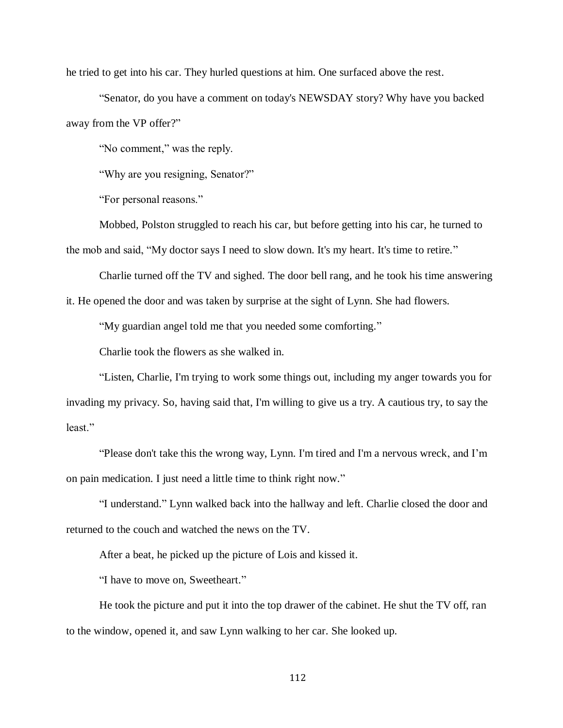he tried to get into his car. They hurled questions at him. One surfaced above the rest.

"Senator, do you have a comment on today's NEWSDAY story? Why have you backed away from the VP offer?"

"No comment," was the reply.

"Why are you resigning, Senator?"

"For personal reasons."

Mobbed, Polston struggled to reach his car, but before getting into his car, he turned to the mob and said, "My doctor says I need to slow down. It's my heart. It's time to retire."

Charlie turned off the TV and sighed. The door bell rang, and he took his time answering

it. He opened the door and was taken by surprise at the sight of Lynn. She had flowers.

"My guardian angel told me that you needed some comforting."

Charlie took the flowers as she walked in.

"Listen, Charlie, I'm trying to work some things out, including my anger towards you for invading my privacy. So, having said that, I'm willing to give us a try. A cautious try, to say the least."

"Please don't take this the wrong way, Lynn. I'm tired and I'm a nervous wreck, and I'm on pain medication. I just need a little time to think right now."

"I understand." Lynn walked back into the hallway and left. Charlie closed the door and returned to the couch and watched the news on the TV.

After a beat, he picked up the picture of Lois and kissed it.

"I have to move on, Sweetheart."

He took the picture and put it into the top drawer of the cabinet. He shut the TV off, ran to the window, opened it, and saw Lynn walking to her car. She looked up.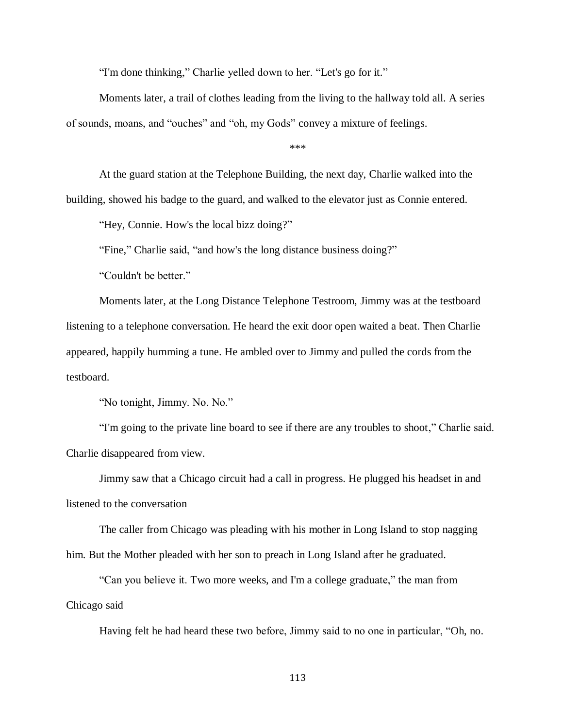"I'm done thinking," Charlie yelled down to her. "Let's go for it."

Moments later, a trail of clothes leading from the living to the hallway told all. A series of sounds, moans, and "ouches" and "oh, my Gods" convey a mixture of feelings.

\*\*\*

At the guard station at the Telephone Building, the next day, Charlie walked into the building, showed his badge to the guard, and walked to the elevator just as Connie entered.

"Hey, Connie. How's the local bizz doing?"

"Fine," Charlie said, "and how's the long distance business doing?"

"Couldn't be better."

Moments later, at the Long Distance Telephone Testroom, Jimmy was at the testboard listening to a telephone conversation. He heard the exit door open waited a beat. Then Charlie appeared, happily humming a tune. He ambled over to Jimmy and pulled the cords from the testboard.

"No tonight, Jimmy. No. No."

"I'm going to the private line board to see if there are any troubles to shoot," Charlie said. Charlie disappeared from view.

Jimmy saw that a Chicago circuit had a call in progress. He plugged his headset in and listened to the conversation

The caller from Chicago was pleading with his mother in Long Island to stop nagging him. But the Mother pleaded with her son to preach in Long Island after he graduated.

"Can you believe it. Two more weeks, and I'm a college graduate," the man from Chicago said

Having felt he had heard these two before, Jimmy said to no one in particular, "Oh, no.